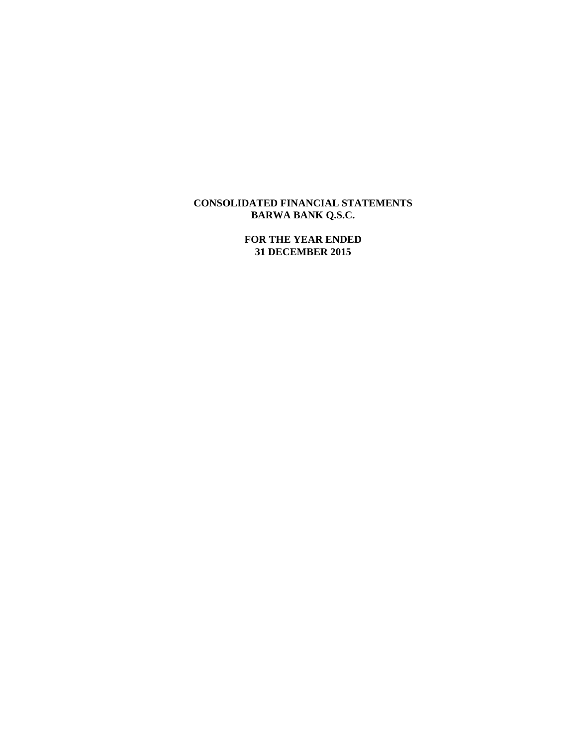# **CONSOLIDATED FINANCIAL STATEMENTS BARWA BANK Q.S.C.**

**FOR THE YEAR ENDED 31 DECEMBER 2015**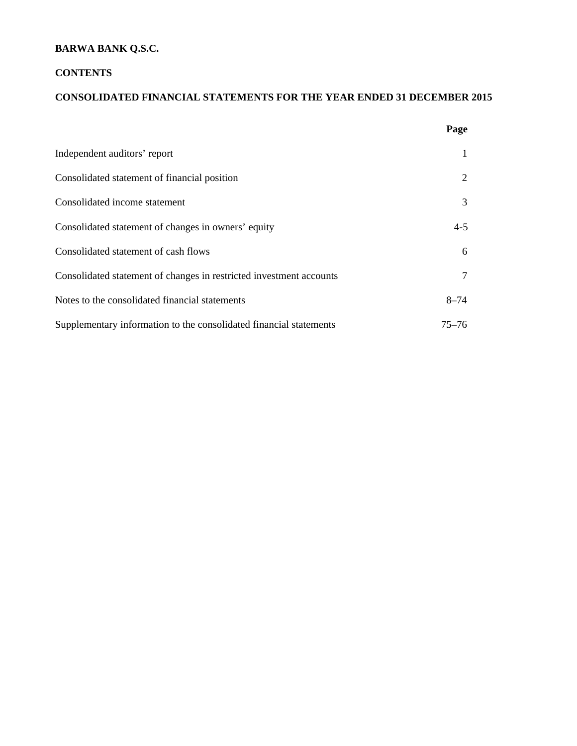# **BARWA BANK Q.S.C.**

# **CONTENTS**

# **CONSOLIDATED FINANCIAL STATEMENTS FOR THE YEAR ENDED 31 DECEMBER 2015**

|                                                                     | Page      |
|---------------------------------------------------------------------|-----------|
| Independent auditors' report                                        |           |
| Consolidated statement of financial position                        | 2         |
| Consolidated income statement                                       | 3         |
| Consolidated statement of changes in owners' equity                 | $4 - 5$   |
| Consolidated statement of cash flows                                | 6         |
| Consolidated statement of changes in restricted investment accounts | 7         |
| Notes to the consolidated financial statements                      | $8 - 74$  |
| Supplementary information to the consolidated financial statements  | $75 - 76$ |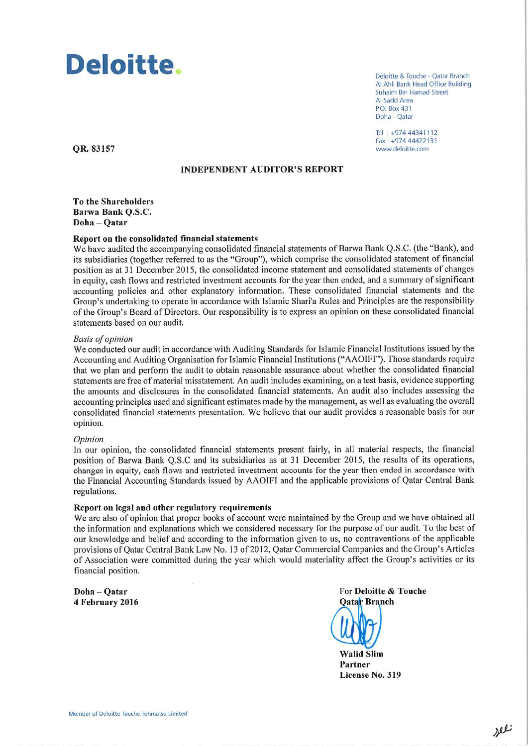# Deloitte.

Deloitte & Touche - Oatar Branch Al Ahli Bank Head Office Building **Suhaim Bin Hamad Street** Al Sadd Area P.O. Box 431 Doha - Qatar

Tel: +974 44341112 Fax: +974 44422131 www.deloitte.com

QR. 83157

# **INDEPENDENT AUDITOR'S REPORT**

**To the Shareholders** Barwa Bank O.S.C. Doha-Qatar

## Report on the consolidated financial statements

We have audited the accompanying consolidated financial statements of Barwa Bank Q.S.C. (the "Bank), and its subsidiaries (together referred to as the "Group"), which comprise the consolidated statement of financial position as at 31 December 2015, the consolidated income statement and consolidated statements of changes in equity, cash flows and restricted investment accounts for the year then ended, and a summary of significant accounting policies and other explanatory information. These consolidated financial statements and the Group's undertaking to operate in accordance with Islamic Shari'a Rules and Principles are the responsibility of the Group's Board of Directors. Our responsibility is to express an opinion on these consolidated financial statements based on our audit.

#### **Basis of opinion**

We conducted our audit in accordance with Auditing Standards for Islamic Financial Institutions issued by the Accounting and Auditing Organisation for Islamic Financial Institutions ("AAOIFI"). Those standards require that we plan and perform the audit to obtain reasonable assurance about whether the consolidated financial statements are free of material misstatement. An audit includes examining, on a test basis, evidence supporting the amounts and disclosures in the consolidated financial statements. An audit also includes assessing the accounting principles used and significant estimates made by the management, as well as evaluating the overall consolidated financial statements presentation. We believe that our audit provides a reasonable basis for our opinion.

#### Opinion

In our opinion, the consolidated financial statements present fairly, in all material respects, the financial position of Barwa Bank Q.S.C and its subsidiaries as at 31 December 2015, the results of its operations, changes in equity, cash flows and restricted investment accounts for the year then ended in accordance with the Financial Accounting Standards issued by AAOIFI and the applicable provisions of Qatar Central Bank regulations.

#### Report on legal and other regulatory requirements

We are also of opinion that proper books of account were maintained by the Group and we have obtained all the information and explanations which we considered necessary for the purpose of our audit. To the best of our knowledge and belief and according to the information given to us, no contraventions of the applicable provisions of Qatar Central Bank Law No. 13 of 2012, Qatar Commercial Companies and the Group's Articles of Association were committed during the year which would materiality affect the Group's activities or its financial position.

Doha-Qatar 4 February 2016 For Deloitte & Touche **Oatar Branch** 

**Walid Slim** Partner License No. 319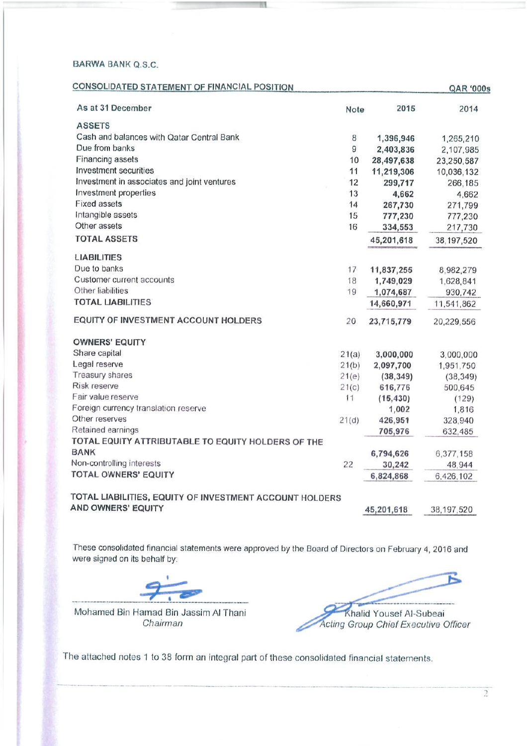# **BARWA BANK Q.S.C.**

| <b>CONSOLIDATED STATEMENT OF FINANCIAL POSITION</b>     |             |            | <b>QAR '000s</b> |
|---------------------------------------------------------|-------------|------------|------------------|
| As at 31 December                                       | <b>Note</b> | 2015       | 2014             |
| <b>ASSETS</b>                                           |             |            |                  |
| Cash and balances with Qatar Central Bank               | 8           | 1,396,946  | 1,265,210        |
| Due from banks                                          | 9           | 2,403,836  | 2,107,985        |
| Financing assets                                        | 10          | 28,497,638 | 23,250,587       |
| Investment securities                                   | 11          | 11,219,306 | 10,036,132       |
| Investment in associates and joint ventures             | 12          | 299,717    | 266,185          |
| Investment properties                                   | 13          | 4,662      | 4,662            |
| <b>Fixed assets</b>                                     | 14          | 267,730    | 271,799          |
| Intangible assets                                       | 15          | 777,230    | 777,230          |
| Other assets                                            | 16          | 334,553    | 217,730          |
| <b>TOTAL ASSETS</b>                                     |             | 45,201,618 | 38,197,520       |
| <b>LIABILITIES</b>                                      |             |            |                  |
| Due to banks                                            | 17          | 11,837,255 | 8,982,279        |
| Customer current accounts                               | 18          | 1,749,029  | 1,628,841        |
| Other liabilities                                       | 19          | 1,074,687  | 930,742          |
| <b>TOTAL LIABILITIES</b>                                |             | 14,660,971 | 11,541,862       |
| <b>EQUITY OF INVESTMENT ACCOUNT HOLDERS</b>             | 20          | 23,715,779 | 20,229,556       |
| <b>OWNERS' EQUITY</b>                                   |             |            |                  |
| Share capital                                           | 21(a)       | 3,000,000  | 3,000,000        |
| Legal reserve                                           | 21(b)       | 2,097,700  | 1,951,750        |
| Treasury shares                                         | 21(e)       | (38, 349)  | (38, 349)        |
| Risk reserve                                            | 21(c)       | 616,776    | 500,645          |
| Fair value reserve                                      | 11          | (15, 430)  | (129)            |
| Foreign currency translation reserve                    |             | 1,002      | 1,816            |
| Other reserves                                          | 21(d)       | 426,951    | 328,940          |
| Retained earnings                                       |             | 705,976    | 632,485          |
| TOTAL EQUITY ATTRIBUTABLE TO EQUITY HOLDERS OF THE      |             |            |                  |
| <b>BANK</b>                                             |             | 6,794,626  | 6,377,158        |
| Non-controlling interests                               | 22          | 30,242     | 48,944           |
| <b>TOTAL OWNERS' EQUITY</b>                             |             | 6,824,868  | 6,426,102        |
| TOTAL LIABILITIES, EQUITY OF INVESTMENT ACCOUNT HOLDERS |             |            |                  |
| <b>AND OWNERS' EQUITY</b>                               |             | 45,201,618 | 38, 197, 520     |

W.

These consolidated financial statements were approved by the Board of Directors on February 4, 2016 and were signed on its behalf by:

Mohamed Bin Hamad Bin Jassim Al Thani Chairman

Khalid Yousef Al-Subeai<br>Acting Group Chief Executive Officer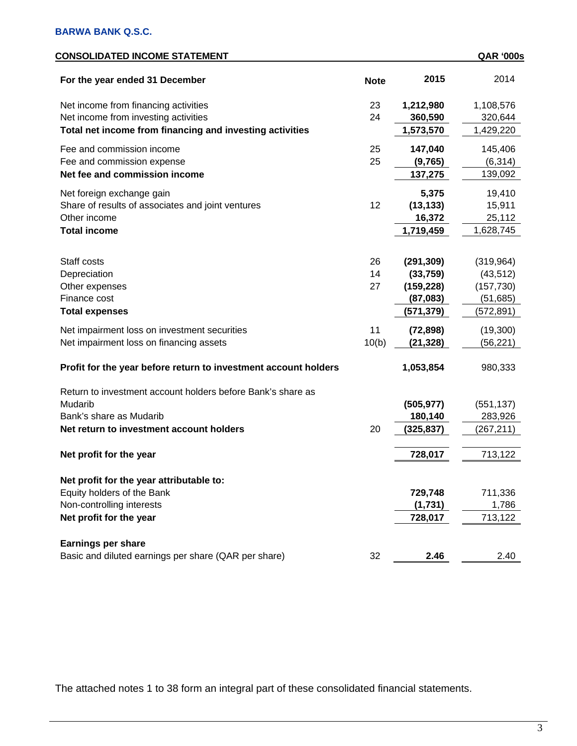| CONSOLIDATED INCOME STATEMENT                                          |             |            | <b>QAR '000s</b> |
|------------------------------------------------------------------------|-------------|------------|------------------|
| For the year ended 31 December                                         | <b>Note</b> | 2015       | 2014             |
| Net income from financing activities                                   | 23          | 1,212,980  | 1,108,576        |
| Net income from investing activities                                   | 24          | 360,590    | 320,644          |
| Total net income from financing and investing activities               |             | 1,573,570  | 1,429,220        |
| Fee and commission income                                              | 25          | 147,040    | 145,406          |
| Fee and commission expense                                             | 25          | (9,765)    | (6, 314)         |
| Net fee and commission income                                          |             | 137,275    | 139,092          |
| Net foreign exchange gain                                              |             | 5,375      | 19,410           |
| Share of results of associates and joint ventures                      | 12          | (13, 133)  | 15,911           |
| Other income                                                           |             | 16,372     | 25,112           |
| <b>Total income</b>                                                    |             | 1,719,459  | 1,628,745        |
|                                                                        |             |            |                  |
| Staff costs                                                            | 26          | (291, 309) | (319, 964)       |
| Depreciation                                                           | 14          | (33, 759)  | (43, 512)        |
| Other expenses                                                         | 27          | (159, 228) | (157, 730)       |
| Finance cost                                                           |             | (87,083)   | (51, 685)        |
| <b>Total expenses</b>                                                  |             | (571,379)  | (572,891)        |
| Net impairment loss on investment securities                           | 11          | (72, 898)  | (19,300)         |
| Net impairment loss on financing assets                                | 10(b)       | (21, 328)  | (56, 221)        |
| Profit for the year before return to investment account holders        |             | 1,053,854  | 980,333          |
| Return to investment account holders before Bank's share as            |             |            |                  |
| Mudarib                                                                |             | (505, 977) | (551, 137)       |
| Bank's share as Mudarib                                                |             | 180,140    | 283,926          |
| Net return to investment account holders                               | 20          | (325,837)  | (267,211)        |
| Net profit for the year                                                |             | 728,017    | 713,122          |
|                                                                        |             |            |                  |
| Net profit for the year attributable to:<br>Equity holders of the Bank |             | 729,748    | 711,336          |
| Non-controlling interests                                              |             | (1,731)    | 1,786            |
| Net profit for the year                                                |             | 728,017    | 713,122          |
|                                                                        |             |            |                  |
| <b>Earnings per share</b>                                              |             |            |                  |
| Basic and diluted earnings per share (QAR per share)                   | 32          | 2.46       | 2.40             |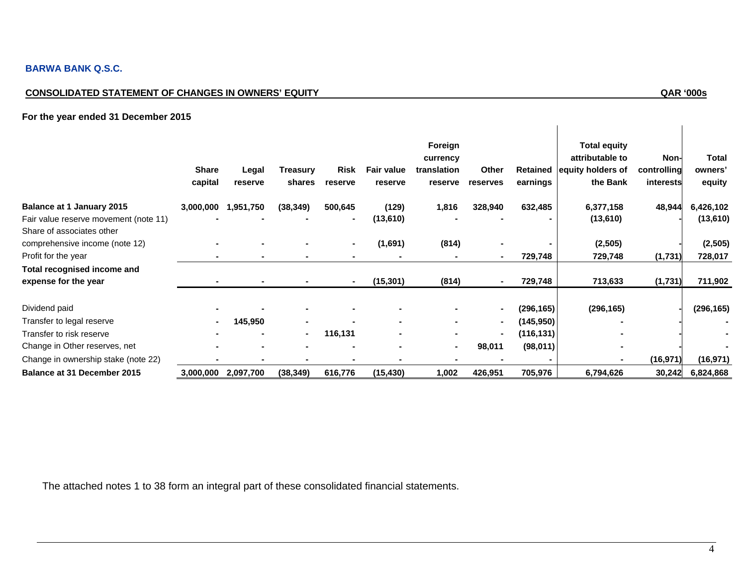# **BARWA BANK Q.S.C.**

# **CONSOLIDATED STATEMENT OF CHANGES IN OWNERS' EQUITY QAR '000s**

 $\overline{\phantom{a}}$ 

# **For the year ended 31 December 2015**

|                                                             | <b>Share</b><br>capital | Legal<br>reserve | <b>Treasury</b><br>shares | Risk<br>reserve | <b>Fair value</b><br>reserve | Foreign<br>currency<br>translation<br>reserve | Other<br>reserves | <b>Retained</b><br>earnings | <b>Total equity</b><br>attributable to<br>equity holders of<br>the Bank | Non-<br>controlling<br>interests | <b>Total</b><br>owners'<br>equity |
|-------------------------------------------------------------|-------------------------|------------------|---------------------------|-----------------|------------------------------|-----------------------------------------------|-------------------|-----------------------------|-------------------------------------------------------------------------|----------------------------------|-----------------------------------|
| Balance at 1 January 2015                                   | 3,000,000               | 1,951,750        | (38, 349)                 | 500,645         | (129)                        | 1,816                                         | 328,940           | 632,485                     | 6,377,158                                                               | 48,944                           | 6,426,102                         |
| Fair value reserve movement (note 11)                       |                         |                  |                           |                 | (13,610)                     |                                               |                   |                             | (13,610)                                                                |                                  | (13,610)                          |
| Share of associates other<br>comprehensive income (note 12) | $\blacksquare$          |                  |                           |                 | (1,691)                      | (814)                                         |                   |                             | (2,505)                                                                 |                                  | (2, 505)                          |
| Profit for the year                                         |                         |                  |                           |                 |                              |                                               |                   | 729,748                     | 729,748                                                                 | (1,731)                          | 728,017                           |
| Total recognised income and<br>expense for the year         |                         |                  |                           |                 | (15, 301)                    | (814)                                         |                   | 729,748                     | 713,633                                                                 | (1,731)                          | 711,902                           |
| Dividend paid                                               |                         |                  |                           |                 |                              |                                               | $\blacksquare$    | (296,165)                   | (296, 165)                                                              |                                  | (296, 165)                        |
| Transfer to legal reserve                                   |                         | 145,950          |                           |                 |                              |                                               | $\blacksquare$    | (145,950)                   |                                                                         |                                  |                                   |
| Transfer to risk reserve                                    |                         |                  |                           | 116,131         |                              |                                               | $\blacksquare$    | (116,131)                   |                                                                         |                                  |                                   |
| Change in Other reserves, net                               |                         |                  |                           |                 |                              |                                               | 98,011            | (98,011)                    |                                                                         |                                  |                                   |
| Change in ownership stake (note 22)                         |                         |                  |                           |                 |                              |                                               |                   |                             |                                                                         | (16, 971)                        | (16, 971)                         |
| <b>Balance at 31 December 2015</b>                          | 3,000,000               | 2,097,700        | (38, 349)                 | 616,776         | (15, 430)                    | 1,002                                         | 426,951           | 705,976                     | 6,794,626                                                               | 30,242                           | 6,824,868                         |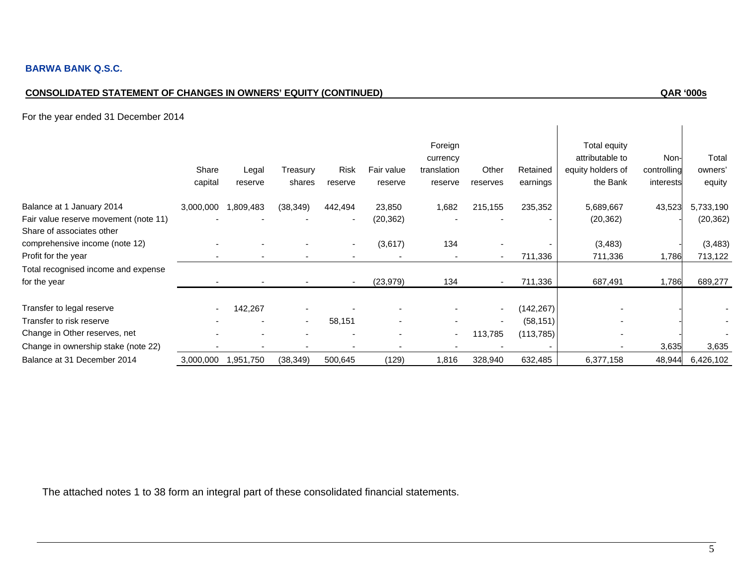# **CONSOLIDATED STATEMENT OF CHANGES IN OWNERS' EQUITY (CONTINUED) QAR '000s**

 $\overline{\phantom{a}}$ 

For the year ended 31 December 2014

|                                       | Share<br>capital | Legal<br>reserve | Treasury<br>shares       | Risk<br>reserve          | Fair value<br>reserve    | Foreign<br>currency<br>translation<br>reserve | Other<br>reserves        | Retained<br>earnings | Total equity<br>attributable to<br>equity holders of<br>the Bank | Non-<br>controlling<br>interests | Total<br>owners'<br>equity |
|---------------------------------------|------------------|------------------|--------------------------|--------------------------|--------------------------|-----------------------------------------------|--------------------------|----------------------|------------------------------------------------------------------|----------------------------------|----------------------------|
| Balance at 1 January 2014             | 3,000,000        | 1,809,483        | (38, 349)                | 442,494                  | 23,850                   | 1,682                                         | 215,155                  | 235,352              | 5,689,667                                                        | 43,523                           | 5,733,190                  |
| Fair value reserve movement (note 11) |                  |                  |                          | $\overline{\phantom{a}}$ | (20, 362)                |                                               |                          |                      | (20, 362)                                                        |                                  | (20, 362)                  |
| Share of associates other             |                  |                  |                          |                          |                          |                                               |                          |                      |                                                                  |                                  |                            |
| comprehensive income (note 12)        |                  |                  |                          |                          | (3,617)                  | 134                                           |                          |                      | (3, 483)                                                         |                                  | (3, 483)                   |
| Profit for the year                   |                  |                  |                          |                          |                          |                                               |                          | 711,336              | 711,336                                                          | 1,786                            | 713,122                    |
| Total recognised income and expense   |                  |                  |                          |                          |                          |                                               |                          |                      |                                                                  |                                  |                            |
| for the year                          |                  |                  |                          |                          | (23, 979)                | 134                                           |                          | 711,336              | 687,491                                                          | 1,786                            | 689,277                    |
|                                       |                  |                  |                          |                          |                          |                                               |                          |                      |                                                                  |                                  |                            |
| Transfer to legal reserve             |                  | 142,267          |                          |                          |                          |                                               | $\overline{\phantom{a}}$ | (142, 267)           |                                                                  |                                  |                            |
| Transfer to risk reserve              |                  |                  | $\overline{\phantom{a}}$ | 58,151                   | ۰                        |                                               | $\overline{\phantom{a}}$ | (58, 151)            |                                                                  |                                  |                            |
| Change in Other reserves, net         |                  |                  |                          |                          | $\overline{\phantom{0}}$ | $\sim$                                        | 113,785                  | (113, 785)           |                                                                  |                                  |                            |
| Change in ownership stake (note 22)   |                  |                  |                          | $\overline{\phantom{0}}$ |                          |                                               |                          |                      |                                                                  | 3,635                            | 3,635                      |
| Balance at 31 December 2014           | 3,000,000        | 1,951,750        | (38, 349)                | 500,645                  | (129)                    | 1,816                                         | 328,940                  | 632,485              | 6,377,158                                                        | 48,944                           | 6,426,102                  |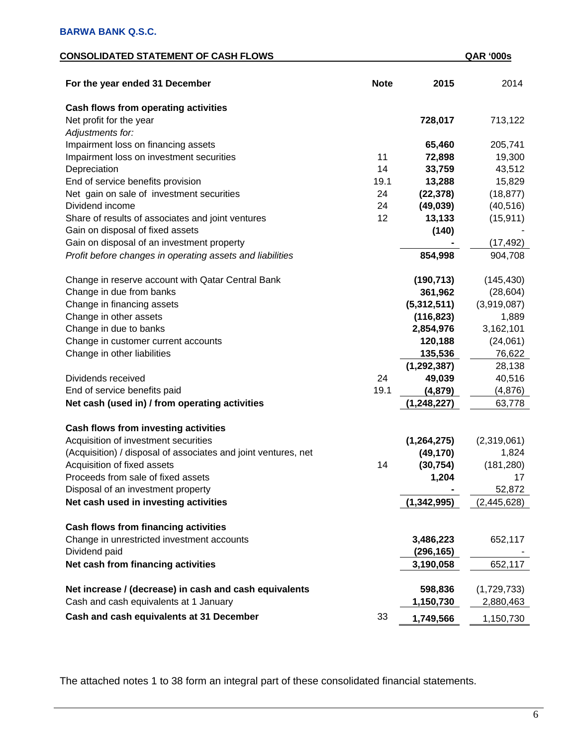# **CONSOLIDATED STATEMENT OF CASH FLOWS QAR '000s**

| For the year ended 31 December                                 | <b>Note</b> | 2015          | 2014        |
|----------------------------------------------------------------|-------------|---------------|-------------|
| Cash flows from operating activities                           |             |               |             |
| Net profit for the year                                        |             | 728,017       | 713,122     |
| Adjustments for:                                               |             |               |             |
| Impairment loss on financing assets                            |             | 65,460        | 205,741     |
| Impairment loss on investment securities                       | 11          | 72,898        | 19,300      |
| Depreciation                                                   | 14          | 33,759        | 43,512      |
| End of service benefits provision                              | 19.1        | 13,288        | 15,829      |
| Net gain on sale of investment securities                      | 24          | (22, 378)     | (18, 877)   |
| Dividend income                                                | 24          | (49, 039)     | (40, 516)   |
| Share of results of associates and joint ventures              | 12          | 13,133        | (15, 911)   |
| Gain on disposal of fixed assets                               |             | (140)         |             |
| Gain on disposal of an investment property                     |             |               | (17, 492)   |
| Profit before changes in operating assets and liabilities      |             | 854,998       | 904,708     |
| Change in reserve account with Qatar Central Bank              |             | (190, 713)    | (145, 430)  |
| Change in due from banks                                       |             | 361,962       | (28, 604)   |
| Change in financing assets                                     |             | (5,312,511)   | (3,919,087) |
| Change in other assets                                         |             | (116, 823)    | 1,889       |
| Change in due to banks                                         |             | 2,854,976     | 3,162,101   |
| Change in customer current accounts                            |             | 120,188       | (24,061)    |
| Change in other liabilities                                    |             | 135,536       | 76,622      |
|                                                                |             | (1, 292, 387) | 28,138      |
| Dividends received                                             | 24          | 49,039        | 40,516      |
| End of service benefits paid                                   | 19.1        | (4, 879)      | (4, 876)    |
| Net cash (used in) / from operating activities                 |             | (1, 248, 227) | 63,778      |
| Cash flows from investing activities                           |             |               |             |
| Acquisition of investment securities                           |             | (1, 264, 275) | (2,319,061) |
| (Acquisition) / disposal of associates and joint ventures, net |             | (49, 170)     | 1,824       |
| Acquisition of fixed assets                                    | 14          | (30, 754)     | (181, 280)  |
| Proceeds from sale of fixed assets                             |             | 1,204         | 17          |
| Disposal of an investment property                             |             |               | 52,872      |
| Net cash used in investing activities                          |             | (1, 342, 995) | (2,445,628) |
| <b>Cash flows from financing activities</b>                    |             |               |             |
| Change in unrestricted investment accounts                     |             | 3,486,223     | 652,117     |
| Dividend paid                                                  |             | (296, 165)    |             |
| Net cash from financing activities                             |             | 3,190,058     | 652,117     |
| Net increase / (decrease) in cash and cash equivalents         |             | 598,836       | (1,729,733) |
| Cash and cash equivalents at 1 January                         |             | 1,150,730     | 2,880,463   |
| Cash and cash equivalents at 31 December                       | 33          | 1,749,566     | 1,150,730   |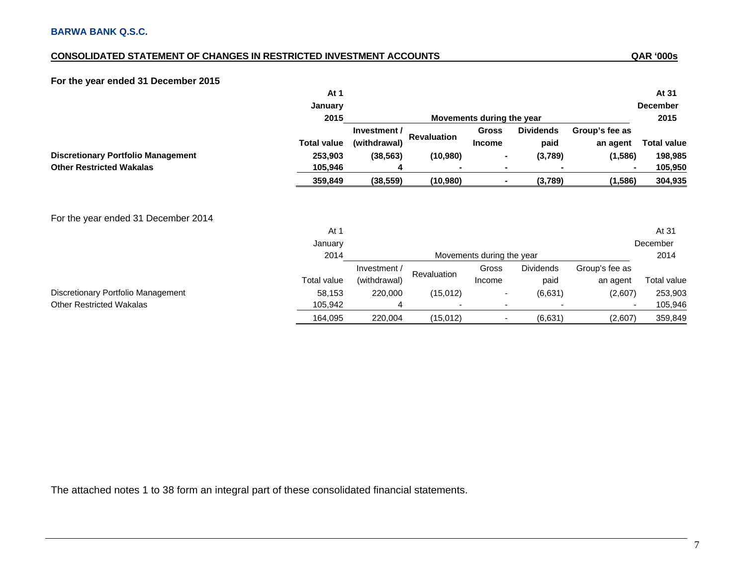# **CONSOLIDATED STATEMENT OF CHANGES IN RESTRICTED INVESTMENT ACCOUNTS**

# **For the year ended 31 December 2015**

|                                           | At 1            |                              |                    |                               |                          |                            | At 31              |
|-------------------------------------------|-----------------|------------------------------|--------------------|-------------------------------|--------------------------|----------------------------|--------------------|
|                                           | January         |                              |                    |                               |                          |                            | <b>December</b>    |
|                                           | 2015            |                              |                    | Movements during the year     |                          |                            | 2015               |
|                                           | Total value     | Investment /<br>(withdrawal) | <b>Revaluation</b> | <b>Gross</b><br><b>Income</b> | <b>Dividends</b><br>paid | Group's fee as<br>an agent | <b>Total value</b> |
| <b>Discretionary Portfolio Management</b> | 253,903         | (38, 563)                    | (10, 980)          | $\blacksquare$                | (3,789)                  | (1,586)                    | 198,985            |
| <b>Other Restricted Wakalas</b>           | 105,946         | 4                            |                    |                               |                          |                            | 105,950            |
|                                           | 359,849         | (38, 559)                    | (10,980)           | $\blacksquare$                | (3,789)                  | (1, 586)                   | 304,935            |
| For the year ended 31 December 2014       | At 1<br>January |                              |                    |                               |                          |                            | At 31<br>December  |
|                                           | 2014            |                              |                    | Movements during the year     |                          |                            | 2014               |
|                                           |                 | Investment /                 | Revaluation        | Gross                         | <b>Dividends</b>         | Group's fee as             |                    |
|                                           | Total value     | (withdrawal)                 |                    | Income                        | paid                     | an agent                   | Total value        |
| Discretionary Portfolio Management        | 58,153          | 220,000                      | (15,012)           | $\overline{\phantom{a}}$      | (6,631)                  | (2,607)                    | 253,903            |
| <b>Other Restricted Wakalas</b>           | 105,942         | 4                            |                    |                               |                          |                            | 105,946            |
|                                           | 164,095         | 220,004                      | (15,012)           | $\overline{\phantom{a}}$      | (6,631)                  | (2,607)                    | 359,849            |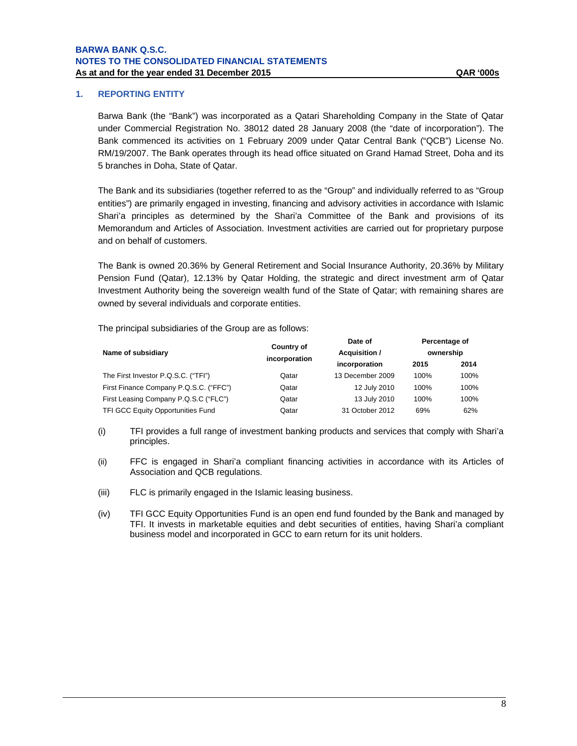# **1. REPORTING ENTITY**

Barwa Bank (the "Bank") was incorporated as a Qatari Shareholding Company in the State of Qatar under Commercial Registration No. 38012 dated 28 January 2008 (the "date of incorporation"). The Bank commenced its activities on 1 February 2009 under Qatar Central Bank ("QCB") License No. RM/19/2007. The Bank operates through its head office situated on Grand Hamad Street, Doha and its 5 branches in Doha, State of Qatar.

The Bank and its subsidiaries (together referred to as the "Group" and individually referred to as "Group entities") are primarily engaged in investing, financing and advisory activities in accordance with Islamic Shari'a principles as determined by the Shari'a Committee of the Bank and provisions of its Memorandum and Articles of Association. Investment activities are carried out for proprietary purpose and on behalf of customers.

The Bank is owned 20.36% by General Retirement and Social Insurance Authority, 20.36% by Military Pension Fund (Qatar), 12.13% by Qatar Holding, the strategic and direct investment arm of Qatar Investment Authority being the sovereign wealth fund of the State of Qatar; with remaining shares are owned by several individuals and corporate entities.

The principal subsidiaries of the Group are as follows:

| Name of subsidiary                     | <b>Country of</b><br>incorporation | Date of<br>Acquisition / | Percentage of<br>ownership |      |  |
|----------------------------------------|------------------------------------|--------------------------|----------------------------|------|--|
|                                        |                                    | incorporation            | 2015                       | 2014 |  |
| The First Investor P.Q.S.C. ("TFI")    | Qatar                              | 13 December 2009         | 100%                       | 100% |  |
| First Finance Company P.Q.S.C. ("FFC") | Qatar                              | 12 July 2010             | 100%                       | 100% |  |
| First Leasing Company P.Q.S.C ("FLC")  | Qatar                              | 13 July 2010             | 100%                       | 100% |  |
| TFI GCC Equity Opportunities Fund      | Qatar                              | 31 October 2012          | 69%                        | 62%  |  |

- (i) TFI provides a full range of investment banking products and services that comply with Shari'a principles.
- (ii) FFC is engaged in Shari'a compliant financing activities in accordance with its Articles of Association and QCB regulations.
- (iii) FLC is primarily engaged in the Islamic leasing business.
- (iv) TFI GCC Equity Opportunities Fund is an open end fund founded by the Bank and managed by TFI. It invests in marketable equities and debt securities of entities, having Shari'a compliant business model and incorporated in GCC to earn return for its unit holders.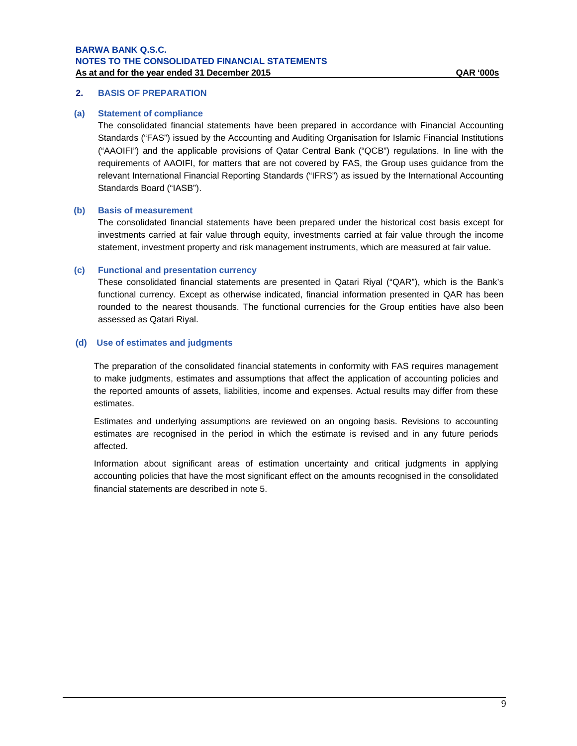## **2. BASIS OF PREPARATION**

#### **(a) Statement of compliance**

The consolidated financial statements have been prepared in accordance with Financial Accounting Standards ("FAS") issued by the Accounting and Auditing Organisation for Islamic Financial Institutions ("AAOIFI") and the applicable provisions of Qatar Central Bank ("QCB") regulations. In line with the requirements of AAOIFI, for matters that are not covered by FAS, the Group uses guidance from the relevant International Financial Reporting Standards ("IFRS") as issued by the International Accounting Standards Board ("IASB").

#### **(b) Basis of measurement**

The consolidated financial statements have been prepared under the historical cost basis except for investments carried at fair value through equity, investments carried at fair value through the income statement, investment property and risk management instruments, which are measured at fair value.

#### **(c) Functional and presentation currency**

These consolidated financial statements are presented in Qatari Riyal ("QAR"), which is the Bank's functional currency. Except as otherwise indicated, financial information presented in QAR has been rounded to the nearest thousands. The functional currencies for the Group entities have also been assessed as Qatari Riyal.

#### **(d) Use of estimates and judgments**

The preparation of the consolidated financial statements in conformity with FAS requires management to make judgments, estimates and assumptions that affect the application of accounting policies and the reported amounts of assets, liabilities, income and expenses. Actual results may differ from these estimates.

Estimates and underlying assumptions are reviewed on an ongoing basis. Revisions to accounting estimates are recognised in the period in which the estimate is revised and in any future periods affected.

Information about significant areas of estimation uncertainty and critical judgments in applying accounting policies that have the most significant effect on the amounts recognised in the consolidated financial statements are described in note 5.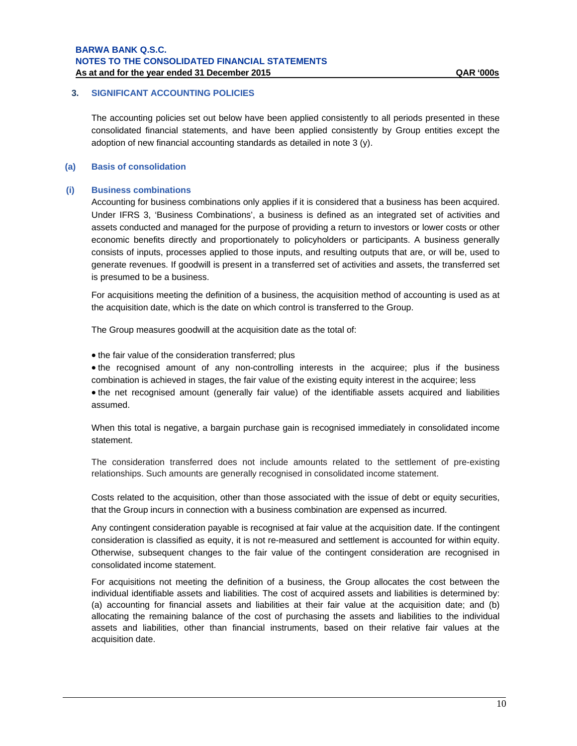# **3. SIGNIFICANT ACCOUNTING POLICIES**

The accounting policies set out below have been applied consistently to all periods presented in these consolidated financial statements, and have been applied consistently by Group entities except the adoption of new financial accounting standards as detailed in note 3 (y).

# **(a) Basis of consolidation**

#### **(i) Business combinations**

Accounting for business combinations only applies if it is considered that a business has been acquired. Under IFRS 3, 'Business Combinations', a business is defined as an integrated set of activities and assets conducted and managed for the purpose of providing a return to investors or lower costs or other economic benefits directly and proportionately to policyholders or participants. A business generally consists of inputs, processes applied to those inputs, and resulting outputs that are, or will be, used to generate revenues. If goodwill is present in a transferred set of activities and assets, the transferred set is presumed to be a business.

For acquisitions meeting the definition of a business, the acquisition method of accounting is used as at the acquisition date, which is the date on which control is transferred to the Group.

The Group measures goodwill at the acquisition date as the total of:

• the fair value of the consideration transferred; plus

• the recognised amount of any non-controlling interests in the acquiree; plus if the business combination is achieved in stages, the fair value of the existing equity interest in the acquiree; less

• the net recognised amount (generally fair value) of the identifiable assets acquired and liabilities assumed.

When this total is negative, a bargain purchase gain is recognised immediately in consolidated income statement.

The consideration transferred does not include amounts related to the settlement of pre-existing relationships. Such amounts are generally recognised in consolidated income statement.

Costs related to the acquisition, other than those associated with the issue of debt or equity securities, that the Group incurs in connection with a business combination are expensed as incurred.

Any contingent consideration payable is recognised at fair value at the acquisition date. If the contingent consideration is classified as equity, it is not re-measured and settlement is accounted for within equity. Otherwise, subsequent changes to the fair value of the contingent consideration are recognised in consolidated income statement.

For acquisitions not meeting the definition of a business, the Group allocates the cost between the individual identifiable assets and liabilities. The cost of acquired assets and liabilities is determined by: (a) accounting for financial assets and liabilities at their fair value at the acquisition date; and (b) allocating the remaining balance of the cost of purchasing the assets and liabilities to the individual assets and liabilities, other than financial instruments, based on their relative fair values at the acquisition date.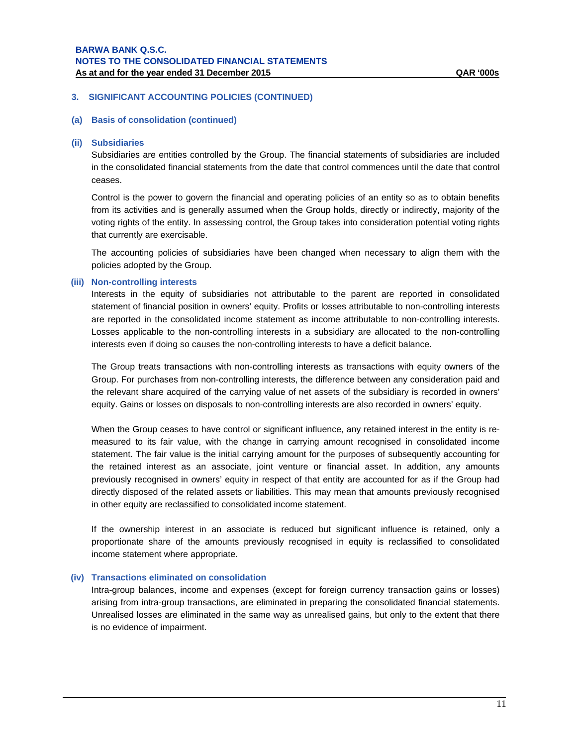#### **(a) Basis of consolidation (continued)**

#### **(ii) Subsidiaries**

Subsidiaries are entities controlled by the Group. The financial statements of subsidiaries are included in the consolidated financial statements from the date that control commences until the date that control ceases.

Control is the power to govern the financial and operating policies of an entity so as to obtain benefits from its activities and is generally assumed when the Group holds, directly or indirectly, majority of the voting rights of the entity. In assessing control, the Group takes into consideration potential voting rights that currently are exercisable.

The accounting policies of subsidiaries have been changed when necessary to align them with the policies adopted by the Group.

#### **(iii) Non-controlling interests**

Interests in the equity of subsidiaries not attributable to the parent are reported in consolidated statement of financial position in owners' equity. Profits or losses attributable to non-controlling interests are reported in the consolidated income statement as income attributable to non-controlling interests. Losses applicable to the non-controlling interests in a subsidiary are allocated to the non-controlling interests even if doing so causes the non-controlling interests to have a deficit balance.

The Group treats transactions with non-controlling interests as transactions with equity owners of the Group. For purchases from non-controlling interests, the difference between any consideration paid and the relevant share acquired of the carrying value of net assets of the subsidiary is recorded in owners' equity. Gains or losses on disposals to non-controlling interests are also recorded in owners' equity.

When the Group ceases to have control or significant influence, any retained interest in the entity is remeasured to its fair value, with the change in carrying amount recognised in consolidated income statement. The fair value is the initial carrying amount for the purposes of subsequently accounting for the retained interest as an associate, joint venture or financial asset. In addition, any amounts previously recognised in owners' equity in respect of that entity are accounted for as if the Group had directly disposed of the related assets or liabilities. This may mean that amounts previously recognised in other equity are reclassified to consolidated income statement.

If the ownership interest in an associate is reduced but significant influence is retained, only a proportionate share of the amounts previously recognised in equity is reclassified to consolidated income statement where appropriate.

#### **(iv) Transactions eliminated on consolidation**

Intra-group balances, income and expenses (except for foreign currency transaction gains or losses) arising from intra-group transactions, are eliminated in preparing the consolidated financial statements. Unrealised losses are eliminated in the same way as unrealised gains, but only to the extent that there is no evidence of impairment.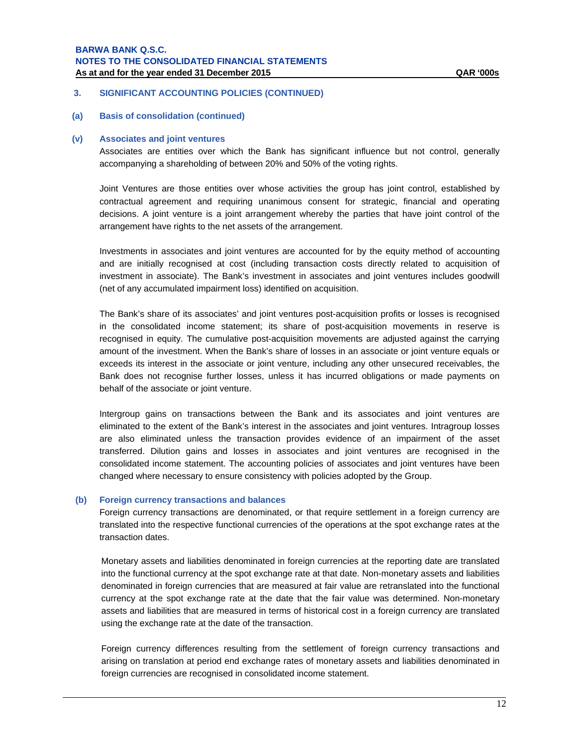## **3. SIGNIFICANT ACCOUNTING POLICIES (CONTINUED)**

**(a) Basis of consolidation (continued)**

#### **(v) Associates and joint ventures**

Associates are entities over which the Bank has significant influence but not control, generally accompanying a shareholding of between 20% and 50% of the voting rights.

Joint Ventures are those entities over whose activities the group has joint control, established by contractual agreement and requiring unanimous consent for strategic, financial and operating decisions. A joint venture is a joint arrangement whereby the parties that have joint control of the arrangement have rights to the net assets of the arrangement.

Investments in associates and joint ventures are accounted for by the equity method of accounting and are initially recognised at cost (including transaction costs directly related to acquisition of investment in associate). The Bank's investment in associates and joint ventures includes goodwill (net of any accumulated impairment loss) identified on acquisition.

The Bank's share of its associates' and joint ventures post-acquisition profits or losses is recognised in the consolidated income statement; its share of post-acquisition movements in reserve is recognised in equity. The cumulative post-acquisition movements are adjusted against the carrying amount of the investment. When the Bank's share of losses in an associate or joint venture equals or exceeds its interest in the associate or joint venture, including any other unsecured receivables, the Bank does not recognise further losses, unless it has incurred obligations or made payments on behalf of the associate or joint venture.

Intergroup gains on transactions between the Bank and its associates and joint ventures are eliminated to the extent of the Bank's interest in the associates and joint ventures. Intragroup losses are also eliminated unless the transaction provides evidence of an impairment of the asset transferred. Dilution gains and losses in associates and joint ventures are recognised in the consolidated income statement. The accounting policies of associates and joint ventures have been changed where necessary to ensure consistency with policies adopted by the Group.

#### **(b) Foreign currency transactions and balances**

Foreign currency transactions are denominated, or that require settlement in a foreign currency are translated into the respective functional currencies of the operations at the spot exchange rates at the transaction dates.

Monetary assets and liabilities denominated in foreign currencies at the reporting date are translated into the functional currency at the spot exchange rate at that date. Non-monetary assets and liabilities denominated in foreign currencies that are measured at fair value are retranslated into the functional currency at the spot exchange rate at the date that the fair value was determined. Non-monetary assets and liabilities that are measured in terms of historical cost in a foreign currency are translated using the exchange rate at the date of the transaction.

Foreign currency differences resulting from the settlement of foreign currency transactions and arising on translation at period end exchange rates of monetary assets and liabilities denominated in foreign currencies are recognised in consolidated income statement.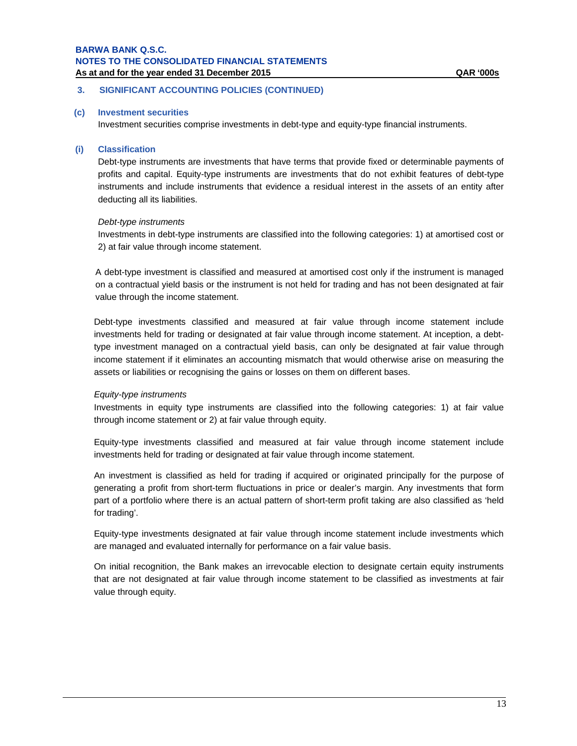# **3. SIGNIFICANT ACCOUNTING POLICIES (CONTINUED)**

#### **(c) Investment securities**

Investment securities comprise investments in debt-type and equity-type financial instruments.

#### **(i) Classification**

Debt-type instruments are investments that have terms that provide fixed or determinable payments of profits and capital. Equity-type instruments are investments that do not exhibit features of debt-type instruments and include instruments that evidence a residual interest in the assets of an entity after deducting all its liabilities.

#### *Debt-type instruments*

Investments in debt-type instruments are classified into the following categories: 1) at amortised cost or 2) at fair value through income statement.

A debt-type investment is classified and measured at amortised cost only if the instrument is managed on a contractual yield basis or the instrument is not held for trading and has not been designated at fair value through the income statement.

Debt-type investments classified and measured at fair value through income statement include investments held for trading or designated at fair value through income statement. At inception, a debttype investment managed on a contractual yield basis, can only be designated at fair value through income statement if it eliminates an accounting mismatch that would otherwise arise on measuring the assets or liabilities or recognising the gains or losses on them on different bases.

#### *Equity-type instruments*

Investments in equity type instruments are classified into the following categories: 1) at fair value through income statement or 2) at fair value through equity.

Equity-type investments classified and measured at fair value through income statement include investments held for trading or designated at fair value through income statement.

An investment is classified as held for trading if acquired or originated principally for the purpose of generating a profit from short-term fluctuations in price or dealer's margin. Any investments that form part of a portfolio where there is an actual pattern of short-term profit taking are also classified as 'held for trading'.

Equity-type investments designated at fair value through income statement include investments which are managed and evaluated internally for performance on a fair value basis.

On initial recognition, the Bank makes an irrevocable election to designate certain equity instruments that are not designated at fair value through income statement to be classified as investments at fair value through equity.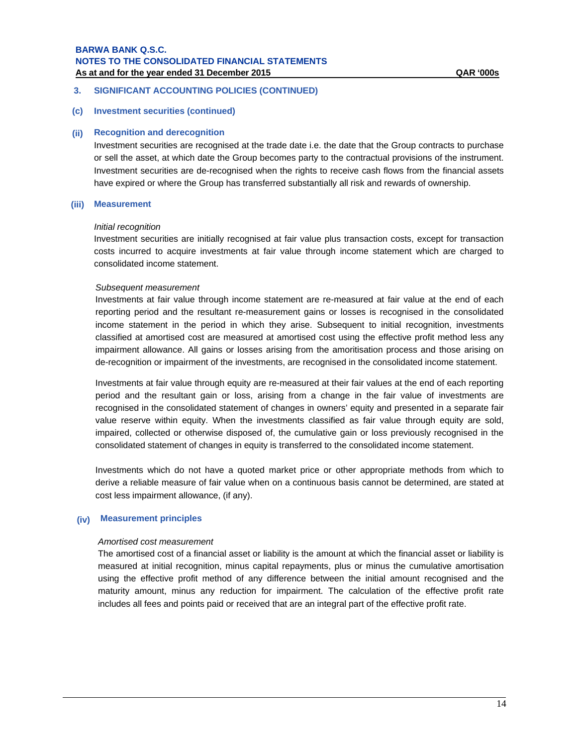# **3. SIGNIFICANT ACCOUNTING POLICIES (CONTINUED)**

## **(c) Investment securities (continued)**

#### **(ii) Recognition and derecognition**

Investment securities are recognised at the trade date i.e. the date that the Group contracts to purchase or sell the asset, at which date the Group becomes party to the contractual provisions of the instrument. Investment securities are de-recognised when the rights to receive cash flows from the financial assets have expired or where the Group has transferred substantially all risk and rewards of ownership.

# **(iii) Measurement**

#### *Initial recognition*

Investment securities are initially recognised at fair value plus transaction costs, except for transaction costs incurred to acquire investments at fair value through income statement which are charged to consolidated income statement.

#### *Subsequent measurement*

Investments at fair value through income statement are re-measured at fair value at the end of each reporting period and the resultant re-measurement gains or losses is recognised in the consolidated income statement in the period in which they arise. Subsequent to initial recognition, investments classified at amortised cost are measured at amortised cost using the effective profit method less any impairment allowance. All gains or losses arising from the amoritisation process and those arising on de-recognition or impairment of the investments, are recognised in the consolidated income statement.

Investments at fair value through equity are re-measured at their fair values at the end of each reporting period and the resultant gain or loss, arising from a change in the fair value of investments are recognised in the consolidated statement of changes in owners' equity and presented in a separate fair value reserve within equity. When the investments classified as fair value through equity are sold, impaired, collected or otherwise disposed of, the cumulative gain or loss previously recognised in the consolidated statement of changes in equity is transferred to the consolidated income statement.

Investments which do not have a quoted market price or other appropriate methods from which to derive a reliable measure of fair value when on a continuous basis cannot be determined, are stated at cost less impairment allowance, (if any).

#### **(iv) Measurement principles**

#### *Amortised cost measurement*

The amortised cost of a financial asset or liability is the amount at which the financial asset or liability is measured at initial recognition, minus capital repayments, plus or minus the cumulative amortisation using the effective profit method of any difference between the initial amount recognised and the maturity amount, minus any reduction for impairment. The calculation of the effective profit rate includes all fees and points paid or received that are an integral part of the effective profit rate.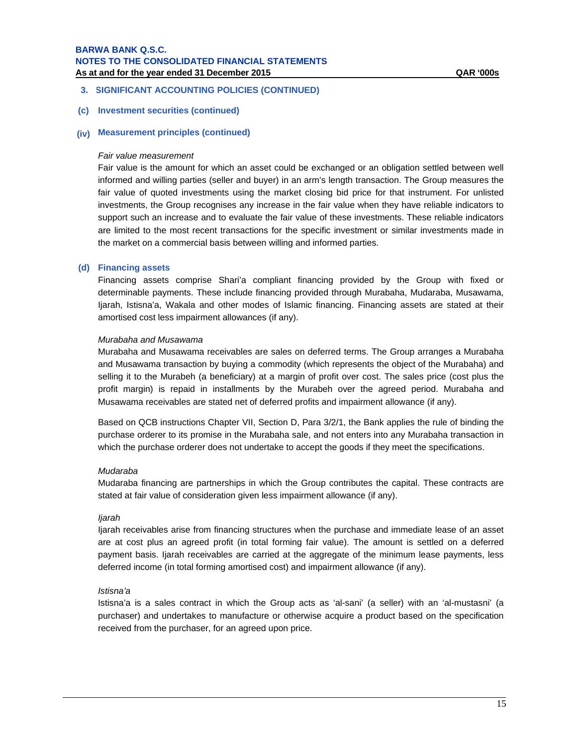# **3. SIGNIFICANT ACCOUNTING POLICIES (CONTINUED)**

#### **(c) Investment securities (continued)**

# **(iv) Measurement principles (continued)**

#### *Fair value measurement*

Fair value is the amount for which an asset could be exchanged or an obligation settled between well informed and willing parties (seller and buyer) in an arm's length transaction. The Group measures the fair value of quoted investments using the market closing bid price for that instrument. For unlisted investments, the Group recognises any increase in the fair value when they have reliable indicators to support such an increase and to evaluate the fair value of these investments. These reliable indicators are limited to the most recent transactions for the specific investment or similar investments made in the market on a commercial basis between willing and informed parties.

#### **(d) Financing assets**

Financing assets comprise Shari'a compliant financing provided by the Group with fixed or determinable payments. These include financing provided through Murabaha, Mudaraba, Musawama, Ijarah, Istisna'a, Wakala and other modes of Islamic financing. Financing assets are stated at their amortised cost less impairment allowances (if any).

#### *Murabaha and Musawama*

Murabaha and Musawama receivables are sales on deferred terms. The Group arranges a Murabaha and Musawama transaction by buying a commodity (which represents the object of the Murabaha) and selling it to the Murabeh (a beneficiary) at a margin of profit over cost. The sales price (cost plus the profit margin) is repaid in installments by the Murabeh over the agreed period. Murabaha and Musawama receivables are stated net of deferred profits and impairment allowance (if any).

Based on QCB instructions Chapter VII, Section D, Para 3/2/1, the Bank applies the rule of binding the purchase orderer to its promise in the Murabaha sale, and not enters into any Murabaha transaction in which the purchase orderer does not undertake to accept the goods if they meet the specifications.

#### *Mudaraba*

Mudaraba financing are partnerships in which the Group contributes the capital. These contracts are stated at fair value of consideration given less impairment allowance (if any).

#### *Ijarah*

Ijarah receivables arise from financing structures when the purchase and immediate lease of an asset are at cost plus an agreed profit (in total forming fair value). The amount is settled on a deferred payment basis. Ijarah receivables are carried at the aggregate of the minimum lease payments, less deferred income (in total forming amortised cost) and impairment allowance (if any).

#### *Istisna'a*

Istisna'a is a sales contract in which the Group acts as 'al-sani' (a seller) with an 'al-mustasni' (a purchaser) and undertakes to manufacture or otherwise acquire a product based on the specification received from the purchaser, for an agreed upon price.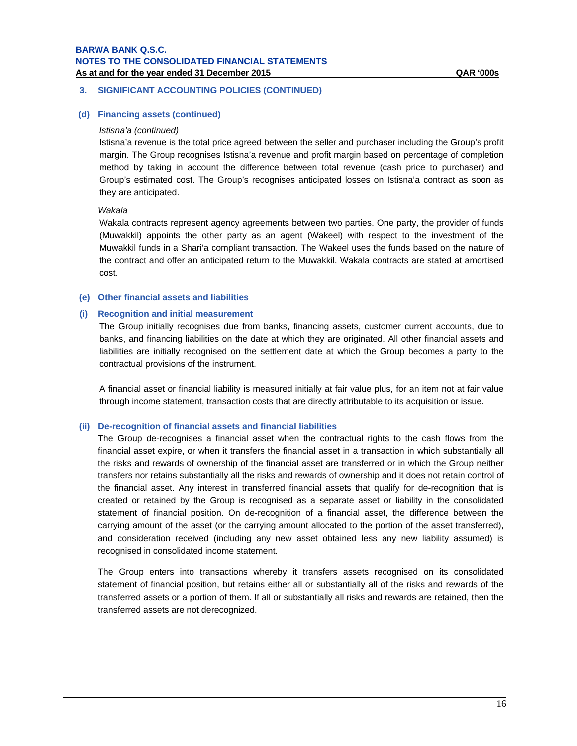# **3. SIGNIFICANT ACCOUNTING POLICIES (CONTINUED)**

# **(d) Financing assets (continued)**

#### *Istisna'a (continued)*

Istisna'a revenue is the total price agreed between the seller and purchaser including the Group's profit margin. The Group recognises Istisna'a revenue and profit margin based on percentage of completion method by taking in account the difference between total revenue (cash price to purchaser) and Group's estimated cost. The Group's recognises anticipated losses on Istisna'a contract as soon as they are anticipated.

#### *Wakala*

Wakala contracts represent agency agreements between two parties. One party, the provider of funds (Muwakkil) appoints the other party as an agent (Wakeel) with respect to the investment of the Muwakkil funds in a Shari'a compliant transaction. The Wakeel uses the funds based on the nature of the contract and offer an anticipated return to the Muwakkil. Wakala contracts are stated at amortised cost.

#### **(e) Other financial assets and liabilities**

#### **(i) Recognition and initial measurement**

The Group initially recognises due from banks, financing assets, customer current accounts, due to banks, and financing liabilities on the date at which they are originated. All other financial assets and liabilities are initially recognised on the settlement date at which the Group becomes a party to the contractual provisions of the instrument.

A financial asset or financial liability is measured initially at fair value plus, for an item not at fair value through income statement, transaction costs that are directly attributable to its acquisition or issue.

#### **(ii) De-recognition of financial assets and financial liabilities**

The Group de-recognises a financial asset when the contractual rights to the cash flows from the financial asset expire, or when it transfers the financial asset in a transaction in which substantially all the risks and rewards of ownership of the financial asset are transferred or in which the Group neither transfers nor retains substantially all the risks and rewards of ownership and it does not retain control of the financial asset. Any interest in transferred financial assets that qualify for de-recognition that is created or retained by the Group is recognised as a separate asset or liability in the consolidated statement of financial position. On de-recognition of a financial asset, the difference between the carrying amount of the asset (or the carrying amount allocated to the portion of the asset transferred), and consideration received (including any new asset obtained less any new liability assumed) is recognised in consolidated income statement.

The Group enters into transactions whereby it transfers assets recognised on its consolidated statement of financial position, but retains either all or substantially all of the risks and rewards of the transferred assets or a portion of them. If all or substantially all risks and rewards are retained, then the transferred assets are not derecognized.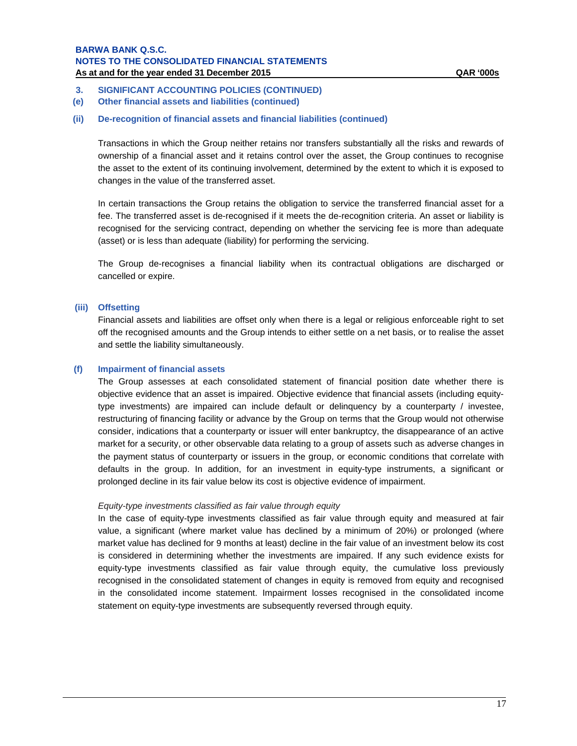- **3. SIGNIFICANT ACCOUNTING POLICIES (CONTINUED)**
- **(e) Other financial assets and liabilities (continued)**

# **(ii) De-recognition of financial assets and financial liabilities (continued)**

Transactions in which the Group neither retains nor transfers substantially all the risks and rewards of ownership of a financial asset and it retains control over the asset, the Group continues to recognise the asset to the extent of its continuing involvement, determined by the extent to which it is exposed to changes in the value of the transferred asset.

In certain transactions the Group retains the obligation to service the transferred financial asset for a fee. The transferred asset is de-recognised if it meets the de-recognition criteria. An asset or liability is recognised for the servicing contract, depending on whether the servicing fee is more than adequate (asset) or is less than adequate (liability) for performing the servicing.

The Group de-recognises a financial liability when its contractual obligations are discharged or cancelled or expire.

#### **(iii) Offsetting**

Financial assets and liabilities are offset only when there is a legal or religious enforceable right to set off the recognised amounts and the Group intends to either settle on a net basis, or to realise the asset and settle the liability simultaneously.

#### **(f) Impairment of financial assets**

The Group assesses at each consolidated statement of financial position date whether there is objective evidence that an asset is impaired. Objective evidence that financial assets (including equitytype investments) are impaired can include default or delinquency by a counterparty / investee, restructuring of financing facility or advance by the Group on terms that the Group would not otherwise consider, indications that a counterparty or issuer will enter bankruptcy, the disappearance of an active market for a security, or other observable data relating to a group of assets such as adverse changes in the payment status of counterparty or issuers in the group, or economic conditions that correlate with defaults in the group. In addition, for an investment in equity-type instruments, a significant or prolonged decline in its fair value below its cost is objective evidence of impairment.

#### *Equity-type investments classified as fair value through equity*

In the case of equity-type investments classified as fair value through equity and measured at fair value, a significant (where market value has declined by a minimum of 20%) or prolonged (where market value has declined for 9 months at least) decline in the fair value of an investment below its cost is considered in determining whether the investments are impaired. If any such evidence exists for equity-type investments classified as fair value through equity, the cumulative loss previously recognised in the consolidated statement of changes in equity is removed from equity and recognised in the consolidated income statement. Impairment losses recognised in the consolidated income statement on equity-type investments are subsequently reversed through equity.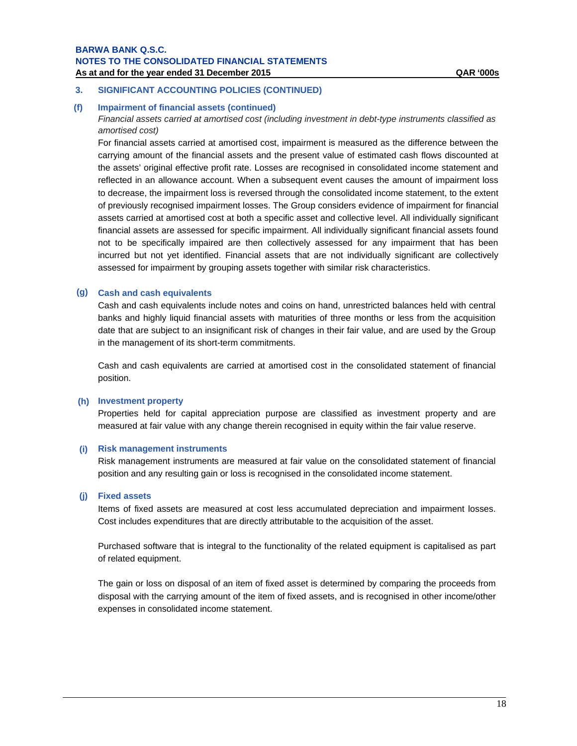# **3. SIGNIFICANT ACCOUNTING POLICIES (CONTINUED)**

#### **(f) Impairment of financial assets (continued)**

*Financial assets carried at amortised cost (including investment in debt-type instruments classified as amortised cost)* 

For financial assets carried at amortised cost, impairment is measured as the difference between the carrying amount of the financial assets and the present value of estimated cash flows discounted at the assets' original effective profit rate. Losses are recognised in consolidated income statement and reflected in an allowance account. When a subsequent event causes the amount of impairment loss to decrease, the impairment loss is reversed through the consolidated income statement, to the extent of previously recognised impairment losses. The Group considers evidence of impairment for financial assets carried at amortised cost at both a specific asset and collective level. All individually significant financial assets are assessed for specific impairment. All individually significant financial assets found not to be specifically impaired are then collectively assessed for any impairment that has been incurred but not yet identified. Financial assets that are not individually significant are collectively assessed for impairment by grouping assets together with similar risk characteristics.

#### **(g) Cash and cash equivalents**

Cash and cash equivalents include notes and coins on hand, unrestricted balances held with central banks and highly liquid financial assets with maturities of three months or less from the acquisition date that are subject to an insignificant risk of changes in their fair value, and are used by the Group in the management of its short-term commitments.

Cash and cash equivalents are carried at amortised cost in the consolidated statement of financial position.

#### **(h) Investment property**

Properties held for capital appreciation purpose are classified as investment property and are measured at fair value with any change therein recognised in equity within the fair value reserve.

#### **(i) Risk management instruments**

Risk management instruments are measured at fair value on the consolidated statement of financial position and any resulting gain or loss is recognised in the consolidated income statement.

#### **(j) Fixed assets**

Items of fixed assets are measured at cost less accumulated depreciation and impairment losses. Cost includes expenditures that are directly attributable to the acquisition of the asset.

Purchased software that is integral to the functionality of the related equipment is capitalised as part of related equipment.

The gain or loss on disposal of an item of fixed asset is determined by comparing the proceeds from disposal with the carrying amount of the item of fixed assets, and is recognised in other income/other expenses in consolidated income statement.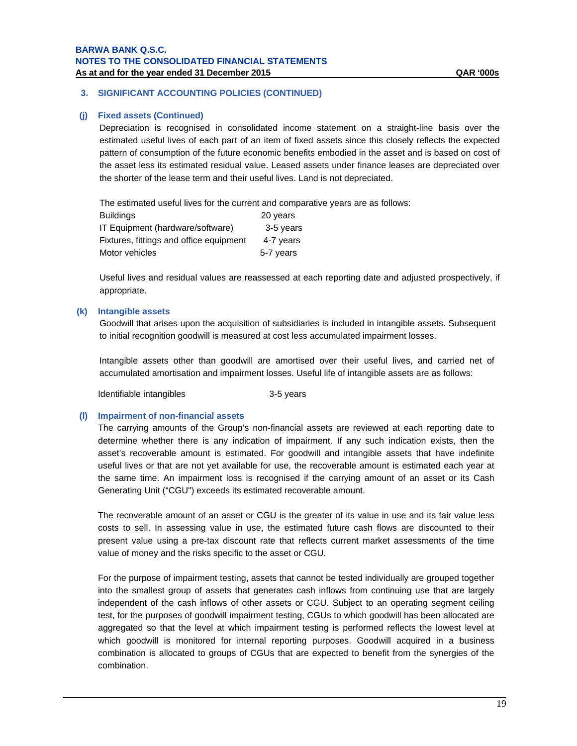# **3. SIGNIFICANT ACCOUNTING POLICIES (CONTINUED)**

#### **(j) Fixed assets (Continued)**

Depreciation is recognised in consolidated income statement on a straight-line basis over the estimated useful lives of each part of an item of fixed assets since this closely reflects the expected pattern of consumption of the future economic benefits embodied in the asset and is based on cost of the asset less its estimated residual value. Leased assets under finance leases are depreciated over the shorter of the lease term and their useful lives. Land is not depreciated.

The estimated useful lives for the current and comparative years are as follows:

| <b>Buildings</b>                        | 20 years  |
|-----------------------------------------|-----------|
| IT Equipment (hardware/software)        | 3-5 years |
| Fixtures, fittings and office equipment | 4-7 years |
| Motor vehicles                          | 5-7 years |

Useful lives and residual values are reassessed at each reporting date and adjusted prospectively, if appropriate.

## **(k) Intangible assets**

Goodwill that arises upon the acquisition of subsidiaries is included in intangible assets. Subsequent to initial recognition goodwill is measured at cost less accumulated impairment losses.

Intangible assets other than goodwill are amortised over their useful lives, and carried net of accumulated amortisation and impairment losses. Useful life of intangible assets are as follows:

Identifiable intangibles 3-5 years

# **(l) Impairment of non-financial assets**

The carrying amounts of the Group's non-financial assets are reviewed at each reporting date to determine whether there is any indication of impairment. If any such indication exists, then the asset's recoverable amount is estimated. For goodwill and intangible assets that have indefinite useful lives or that are not yet available for use, the recoverable amount is estimated each year at the same time. An impairment loss is recognised if the carrying amount of an asset or its Cash Generating Unit ("CGU") exceeds its estimated recoverable amount.

The recoverable amount of an asset or CGU is the greater of its value in use and its fair value less costs to sell. In assessing value in use, the estimated future cash flows are discounted to their present value using a pre-tax discount rate that reflects current market assessments of the time value of money and the risks specific to the asset or CGU.

For the purpose of impairment testing, assets that cannot be tested individually are grouped together into the smallest group of assets that generates cash inflows from continuing use that are largely independent of the cash inflows of other assets or CGU. Subject to an operating segment ceiling test, for the purposes of goodwill impairment testing, CGUs to which goodwill has been allocated are aggregated so that the level at which impairment testing is performed reflects the lowest level at which goodwill is monitored for internal reporting purposes. Goodwill acquired in a business combination is allocated to groups of CGUs that are expected to benefit from the synergies of the combination.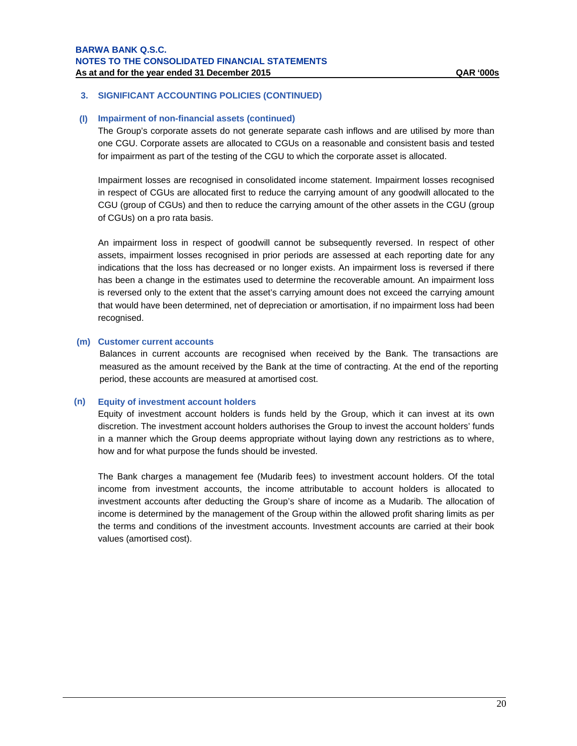## **(l) Impairment of non-financial assets (continued)**

The Group's corporate assets do not generate separate cash inflows and are utilised by more than one CGU. Corporate assets are allocated to CGUs on a reasonable and consistent basis and tested for impairment as part of the testing of the CGU to which the corporate asset is allocated.

Impairment losses are recognised in consolidated income statement. Impairment losses recognised in respect of CGUs are allocated first to reduce the carrying amount of any goodwill allocated to the CGU (group of CGUs) and then to reduce the carrying amount of the other assets in the CGU (group of CGUs) on a pro rata basis.

An impairment loss in respect of goodwill cannot be subsequently reversed. In respect of other assets, impairment losses recognised in prior periods are assessed at each reporting date for any indications that the loss has decreased or no longer exists. An impairment loss is reversed if there has been a change in the estimates used to determine the recoverable amount. An impairment loss is reversed only to the extent that the asset's carrying amount does not exceed the carrying amount that would have been determined, net of depreciation or amortisation, if no impairment loss had been recognised.

#### **(m) Customer current accounts**

Balances in current accounts are recognised when received by the Bank. The transactions are measured as the amount received by the Bank at the time of contracting. At the end of the reporting period, these accounts are measured at amortised cost.

#### **(n) Equity of investment account holders**

Equity of investment account holders is funds held by the Group, which it can invest at its own discretion. The investment account holders authorises the Group to invest the account holders' funds in a manner which the Group deems appropriate without laying down any restrictions as to where, how and for what purpose the funds should be invested.

The Bank charges a management fee (Mudarib fees) to investment account holders. Of the total income from investment accounts, the income attributable to account holders is allocated to investment accounts after deducting the Group's share of income as a Mudarib. The allocation of income is determined by the management of the Group within the allowed profit sharing limits as per the terms and conditions of the investment accounts. Investment accounts are carried at their book values (amortised cost).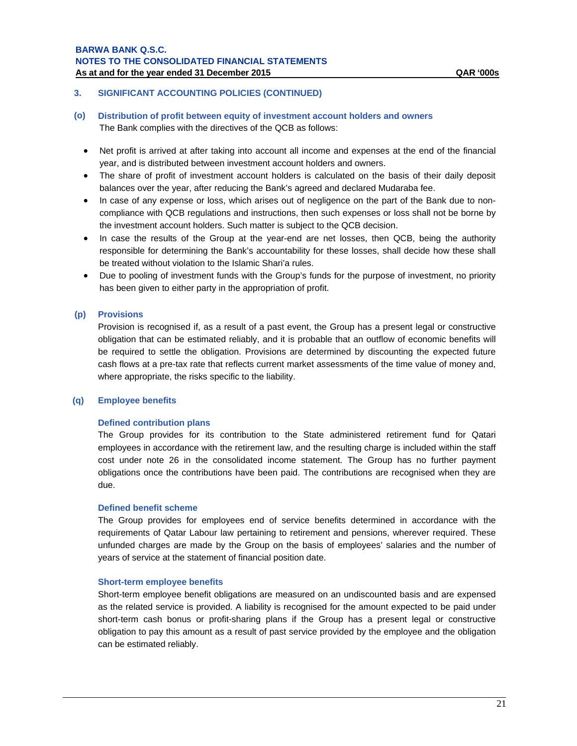- **(o) Distribution of profit between equity of investment account holders and owners**  The Bank complies with the directives of the QCB as follows:
	- Net profit is arrived at after taking into account all income and expenses at the end of the financial year, and is distributed between investment account holders and owners.
	- The share of profit of investment account holders is calculated on the basis of their daily deposit balances over the year, after reducing the Bank's agreed and declared Mudaraba fee.
	- In case of any expense or loss, which arises out of negligence on the part of the Bank due to noncompliance with QCB regulations and instructions, then such expenses or loss shall not be borne by the investment account holders. Such matter is subject to the QCB decision.
	- In case the results of the Group at the year-end are net losses, then QCB, being the authority responsible for determining the Bank's accountability for these losses, shall decide how these shall be treated without violation to the Islamic Shari'a rules.
	- Due to pooling of investment funds with the Group's funds for the purpose of investment, no priority has been given to either party in the appropriation of profit.

# **(p) Provisions**

Provision is recognised if, as a result of a past event, the Group has a present legal or constructive obligation that can be estimated reliably, and it is probable that an outflow of economic benefits will be required to settle the obligation. Provisions are determined by discounting the expected future cash flows at a pre-tax rate that reflects current market assessments of the time value of money and, where appropriate, the risks specific to the liability.

#### **(q) Employee benefits**

#### **Defined contribution plans**

The Group provides for its contribution to the State administered retirement fund for Qatari employees in accordance with the retirement law, and the resulting charge is included within the staff cost under note 26 in the consolidated income statement. The Group has no further payment obligations once the contributions have been paid. The contributions are recognised when they are due.

#### **Defined benefit scheme**

The Group provides for employees end of service benefits determined in accordance with the requirements of Qatar Labour law pertaining to retirement and pensions, wherever required. These unfunded charges are made by the Group on the basis of employees' salaries and the number of years of service at the statement of financial position date.

#### **Short-term employee benefits**

Short-term employee benefit obligations are measured on an undiscounted basis and are expensed as the related service is provided. A liability is recognised for the amount expected to be paid under short-term cash bonus or profit-sharing plans if the Group has a present legal or constructive obligation to pay this amount as a result of past service provided by the employee and the obligation can be estimated reliably.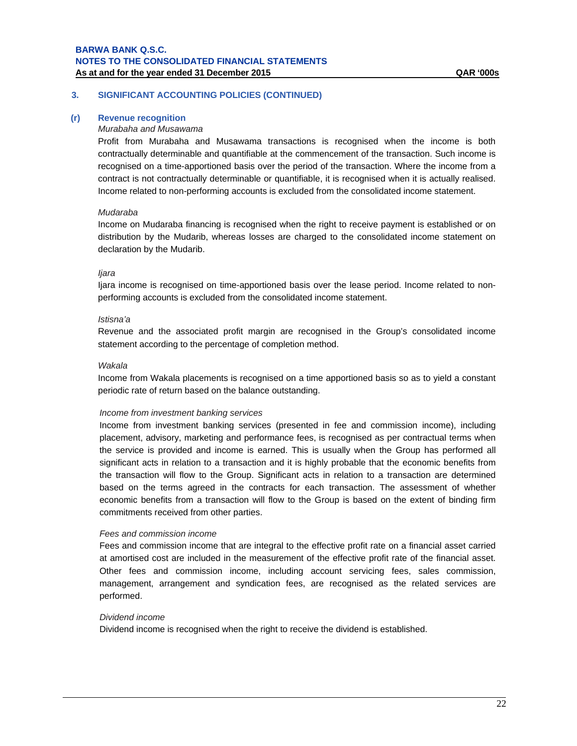#### **(r) Revenue recognition**

#### *Murabaha and Musawama*

Profit from Murabaha and Musawama transactions is recognised when the income is both contractually determinable and quantifiable at the commencement of the transaction. Such income is recognised on a time-apportioned basis over the period of the transaction. Where the income from a contract is not contractually determinable or quantifiable, it is recognised when it is actually realised. Income related to non-performing accounts is excluded from the consolidated income statement.

#### *Mudaraba*

Income on Mudaraba financing is recognised when the right to receive payment is established or on distribution by the Mudarib, whereas losses are charged to the consolidated income statement on declaration by the Mudarib.

#### *Ijara*

Ijara income is recognised on time-apportioned basis over the lease period. Income related to nonperforming accounts is excluded from the consolidated income statement.

#### *Istisna'a*

Revenue and the associated profit margin are recognised in the Group's consolidated income statement according to the percentage of completion method.

#### *Wakala*

Income from Wakala placements is recognised on a time apportioned basis so as to yield a constant periodic rate of return based on the balance outstanding.

#### *Income from investment banking services*

Income from investment banking services (presented in fee and commission income), including placement, advisory, marketing and performance fees, is recognised as per contractual terms when the service is provided and income is earned. This is usually when the Group has performed all significant acts in relation to a transaction and it is highly probable that the economic benefits from the transaction will flow to the Group. Significant acts in relation to a transaction are determined based on the terms agreed in the contracts for each transaction. The assessment of whether economic benefits from a transaction will flow to the Group is based on the extent of binding firm commitments received from other parties.

#### *Fees and commission income*

Fees and commission income that are integral to the effective profit rate on a financial asset carried at amortised cost are included in the measurement of the effective profit rate of the financial asset. Other fees and commission income, including account servicing fees, sales commission, management, arrangement and syndication fees, are recognised as the related services are performed.

#### *Dividend income*

Dividend income is recognised when the right to receive the dividend is established.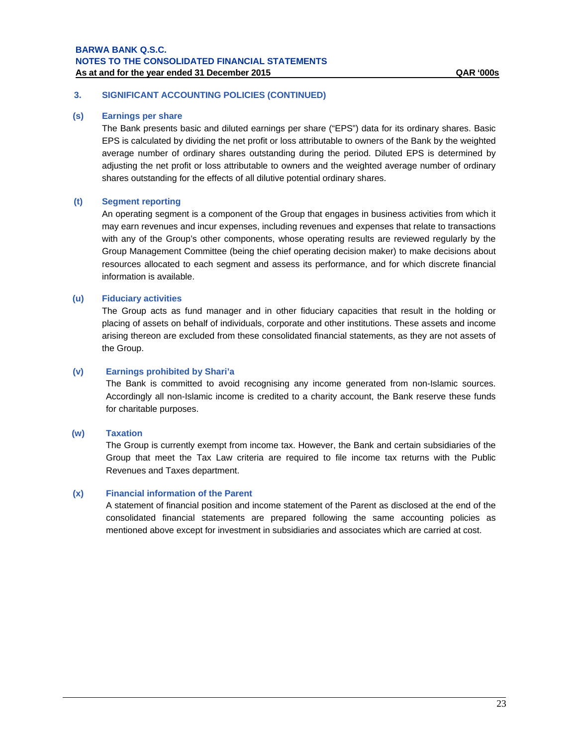# **3. SIGNIFICANT ACCOUNTING POLICIES (CONTINUED)**

#### **(s) Earnings per share**

The Bank presents basic and diluted earnings per share ("EPS") data for its ordinary shares. Basic EPS is calculated by dividing the net profit or loss attributable to owners of the Bank by the weighted average number of ordinary shares outstanding during the period. Diluted EPS is determined by adjusting the net profit or loss attributable to owners and the weighted average number of ordinary shares outstanding for the effects of all dilutive potential ordinary shares.

# **(t) Segment reporting**

An operating segment is a component of the Group that engages in business activities from which it may earn revenues and incur expenses, including revenues and expenses that relate to transactions with any of the Group's other components, whose operating results are reviewed regularly by the Group Management Committee (being the chief operating decision maker) to make decisions about resources allocated to each segment and assess its performance, and for which discrete financial information is available.

# **(u) Fiduciary activities**

The Group acts as fund manager and in other fiduciary capacities that result in the holding or placing of assets on behalf of individuals, corporate and other institutions. These assets and income arising thereon are excluded from these consolidated financial statements, as they are not assets of the Group.

## **(v) Earnings prohibited by Shari'a**

The Bank is committed to avoid recognising any income generated from non-Islamic sources. Accordingly all non-Islamic income is credited to a charity account, the Bank reserve these funds for charitable purposes.

#### **(w) Taxation**

The Group is currently exempt from income tax. However, the Bank and certain subsidiaries of the Group that meet the Tax Law criteria are required to file income tax returns with the Public Revenues and Taxes department.

#### **(x) Financial information of the Parent**

A statement of financial position and income statement of the Parent as disclosed at the end of the consolidated financial statements are prepared following the same accounting policies as mentioned above except for investment in subsidiaries and associates which are carried at cost.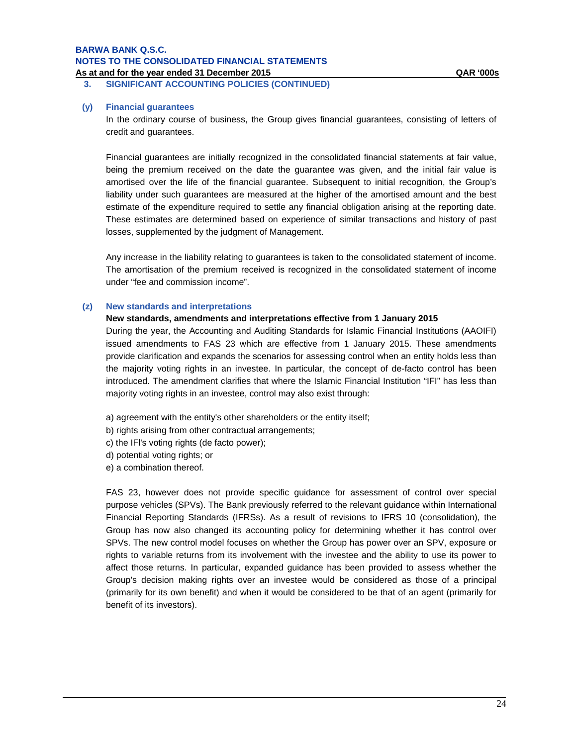**3. SIGNIFICANT ACCOUNTING POLICIES (CONTINUED)** 

#### **(y) Financial guarantees**

In the ordinary course of business, the Group gives financial guarantees, consisting of letters of credit and guarantees.

Financial guarantees are initially recognized in the consolidated financial statements at fair value, being the premium received on the date the guarantee was given, and the initial fair value is amortised over the life of the financial guarantee. Subsequent to initial recognition, the Group's liability under such guarantees are measured at the higher of the amortised amount and the best estimate of the expenditure required to settle any financial obligation arising at the reporting date. These estimates are determined based on experience of similar transactions and history of past losses, supplemented by the judgment of Management.

Any increase in the liability relating to guarantees is taken to the consolidated statement of income. The amortisation of the premium received is recognized in the consolidated statement of income under "fee and commission income".

#### **(z) New standards and interpretations**

#### **New standards, amendments and interpretations effective from 1 January 2015**

During the year, the Accounting and Auditing Standards for Islamic Financial Institutions (AAOIFI) issued amendments to FAS 23 which are effective from 1 January 2015. These amendments provide clarification and expands the scenarios for assessing control when an entity holds less than the majority voting rights in an investee. In particular, the concept of de-facto control has been introduced. The amendment clarifies that where the Islamic Financial Institution "IFI" has less than majority voting rights in an investee, control may also exist through:

a) agreement with the entity's other shareholders or the entity itself;

- b) rights arising from other contractual arrangements;
- c) the IFl's voting rights (de facto power);
- d) potential voting rights; or
- e) a combination thereof.

FAS 23, however does not provide specific guidance for assessment of control over special purpose vehicles (SPVs). The Bank previously referred to the relevant guidance within International Financial Reporting Standards (IFRSs). As a result of revisions to IFRS 10 (consolidation), the Group has now also changed its accounting policy for determining whether it has control over SPVs. The new control model focuses on whether the Group has power over an SPV, exposure or rights to variable returns from its involvement with the investee and the ability to use its power to affect those returns. In particular, expanded guidance has been provided to assess whether the Group's decision making rights over an investee would be considered as those of a principal (primarily for its own benefit) and when it would be considered to be that of an agent (primarily for benefit of its investors).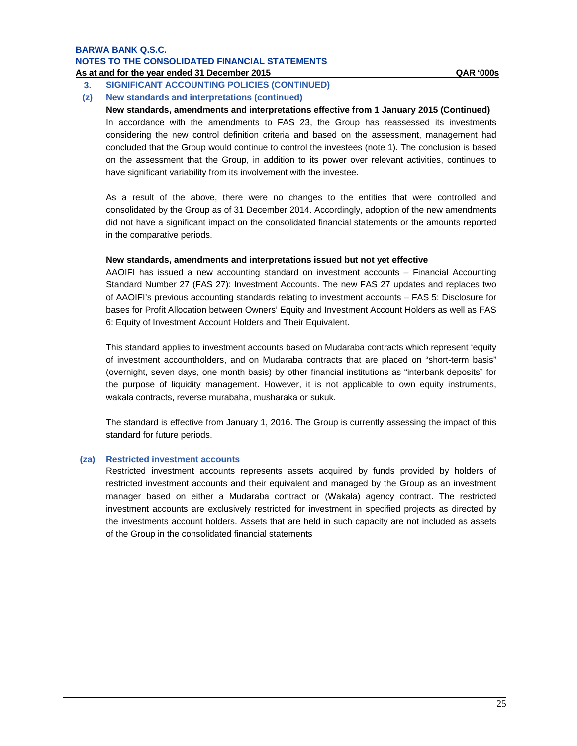# **3. SIGNIFICANT ACCOUNTING POLICIES (CONTINUED)**

# **(z) New standards and interpretations (continued)**

**New standards, amendments and interpretations effective from 1 January 2015 (Continued)** In accordance with the amendments to FAS 23, the Group has reassessed its investments considering the new control definition criteria and based on the assessment, management had concluded that the Group would continue to control the investees (note 1). The conclusion is based on the assessment that the Group, in addition to its power over relevant activities, continues to have significant variability from its involvement with the investee.

As a result of the above, there were no changes to the entities that were controlled and consolidated by the Group as of 31 December 2014. Accordingly, adoption of the new amendments did not have a significant impact on the consolidated financial statements or the amounts reported in the comparative periods.

# **New standards, amendments and interpretations issued but not yet effective**

AAOIFI has issued a new accounting standard on investment accounts – Financial Accounting Standard Number 27 (FAS 27): Investment Accounts. The new FAS 27 updates and replaces two of AAOIFI's previous accounting standards relating to investment accounts – FAS 5: Disclosure for bases for Profit Allocation between Owners' Equity and Investment Account Holders as well as FAS 6: Equity of Investment Account Holders and Their Equivalent.

This standard applies to investment accounts based on Mudaraba contracts which represent 'equity of investment accountholders, and on Mudaraba contracts that are placed on "short-term basis" (overnight, seven days, one month basis) by other financial institutions as "interbank deposits" for the purpose of liquidity management. However, it is not applicable to own equity instruments, wakala contracts, reverse murabaha, musharaka or sukuk.

The standard is effective from January 1, 2016. The Group is currently assessing the impact of this standard for future periods.

# **(za) Restricted investment accounts**

Restricted investment accounts represents assets acquired by funds provided by holders of restricted investment accounts and their equivalent and managed by the Group as an investment manager based on either a Mudaraba contract or (Wakala) agency contract. The restricted investment accounts are exclusively restricted for investment in specified projects as directed by the investments account holders. Assets that are held in such capacity are not included as assets of the Group in the consolidated financial statements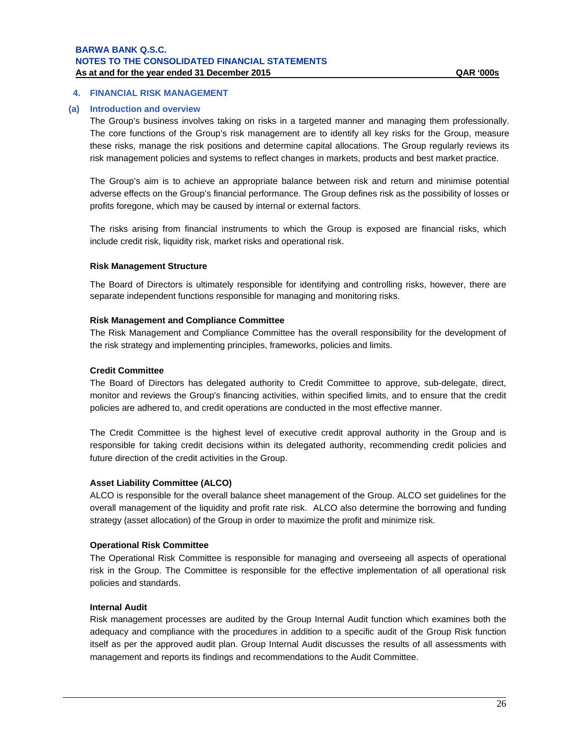## **4. FINANCIAL RISK MANAGEMENT**

#### **(a) Introduction and overview**

The Group's business involves taking on risks in a targeted manner and managing them professionally. The core functions of the Group's risk management are to identify all key risks for the Group, measure these risks, manage the risk positions and determine capital allocations. The Group regularly reviews its risk management policies and systems to reflect changes in markets, products and best market practice.

The Group's aim is to achieve an appropriate balance between risk and return and minimise potential adverse effects on the Group's financial performance. The Group defines risk as the possibility of losses or profits foregone, which may be caused by internal or external factors.

The risks arising from financial instruments to which the Group is exposed are financial risks, which include credit risk, liquidity risk, market risks and operational risk.

#### **Risk Management Structure**

The Board of Directors is ultimately responsible for identifying and controlling risks, however, there are separate independent functions responsible for managing and monitoring risks.

#### **Risk Management and Compliance Committee**

The Risk Management and Compliance Committee has the overall responsibility for the development of the risk strategy and implementing principles, frameworks, policies and limits.

#### **Credit Committee**

The Board of Directors has delegated authority to Credit Committee to approve, sub-delegate, direct, monitor and reviews the Group's financing activities, within specified limits, and to ensure that the credit policies are adhered to, and credit operations are conducted in the most effective manner.

The Credit Committee is the highest level of executive credit approval authority in the Group and is responsible for taking credit decisions within its delegated authority, recommending credit policies and future direction of the credit activities in the Group.

#### **Asset Liability Committee (ALCO)**

ALCO is responsible for the overall balance sheet management of the Group. ALCO set guidelines for the overall management of the liquidity and profit rate risk. ALCO also determine the borrowing and funding strategy (asset allocation) of the Group in order to maximize the profit and minimize risk.

#### **Operational Risk Committee**

The Operational Risk Committee is responsible for managing and overseeing all aspects of operational risk in the Group. The Committee is responsible for the effective implementation of all operational risk policies and standards.

#### **Internal Audit**

Risk management processes are audited by the Group Internal Audit function which examines both the adequacy and compliance with the procedures in addition to a specific audit of the Group Risk function itself as per the approved audit plan. Group Internal Audit discusses the results of all assessments with management and reports its findings and recommendations to the Audit Committee.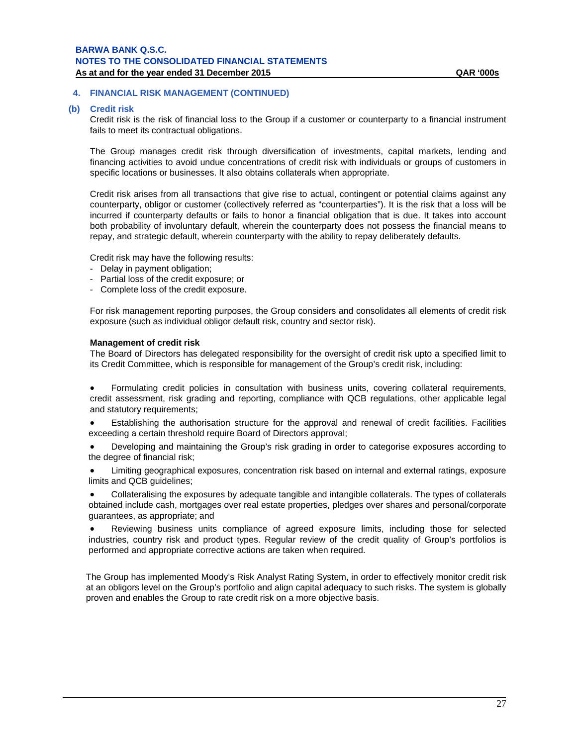#### **(b) Credit risk**

Credit risk is the risk of financial loss to the Group if a customer or counterparty to a financial instrument fails to meet its contractual obligations.

The Group manages credit risk through diversification of investments, capital markets, lending and financing activities to avoid undue concentrations of credit risk with individuals or groups of customers in specific locations or businesses. It also obtains collaterals when appropriate.

Credit risk arises from all transactions that give rise to actual, contingent or potential claims against any counterparty, obligor or customer (collectively referred as "counterparties"). It is the risk that a loss will be incurred if counterparty defaults or fails to honor a financial obligation that is due. It takes into account both probability of involuntary default, wherein the counterparty does not possess the financial means to repay, and strategic default, wherein counterparty with the ability to repay deliberately defaults.

Credit risk may have the following results:

- Delay in payment obligation;
- Partial loss of the credit exposure; or
- Complete loss of the credit exposure.

For risk management reporting purposes, the Group considers and consolidates all elements of credit risk exposure (such as individual obligor default risk, country and sector risk).

#### **Management of credit risk**

The Board of Directors has delegated responsibility for the oversight of credit risk upto a specified limit to its Credit Committee, which is responsible for management of the Group's credit risk, including:

 Formulating credit policies in consultation with business units, covering collateral requirements, credit assessment, risk grading and reporting, compliance with QCB regulations, other applicable legal and statutory requirements;

 Establishing the authorisation structure for the approval and renewal of credit facilities. Facilities exceeding a certain threshold require Board of Directors approval;

 Developing and maintaining the Group's risk grading in order to categorise exposures according to the degree of financial risk;

 Limiting geographical exposures, concentration risk based on internal and external ratings, exposure limits and QCB guidelines;

 Collateralising the exposures by adequate tangible and intangible collaterals. The types of collaterals obtained include cash, mortgages over real estate properties, pledges over shares and personal/corporate guarantees, as appropriate; and

 Reviewing business units compliance of agreed exposure limits, including those for selected industries, country risk and product types. Regular review of the credit quality of Group's portfolios is performed and appropriate corrective actions are taken when required.

The Group has implemented Moody's Risk Analyst Rating System, in order to effectively monitor credit risk at an obligors level on the Group's portfolio and align capital adequacy to such risks. The system is globally proven and enables the Group to rate credit risk on a more objective basis.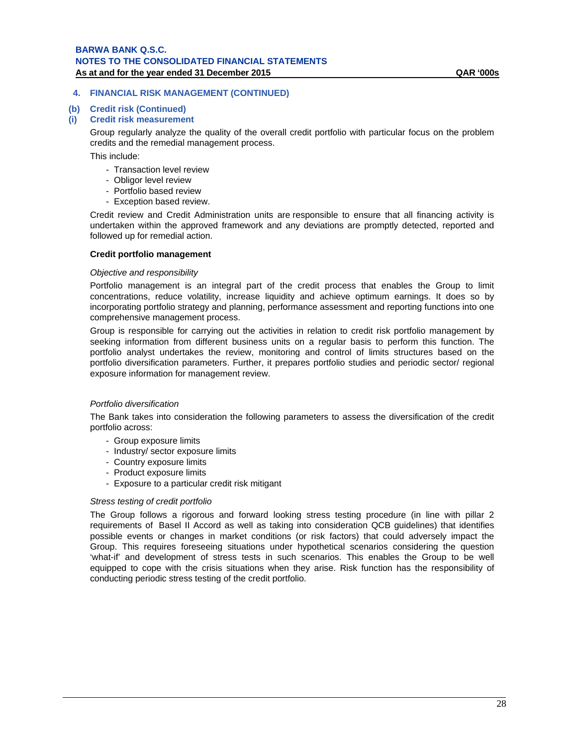# **(b) Credit risk (Continued)**

**(i) Credit risk measurement** 

Group regularly analyze the quality of the overall credit portfolio with particular focus on the problem credits and the remedial management process.

This include:

- Transaction level review
- Obligor level review
- Portfolio based review
- Exception based review.

Credit review and Credit Administration units are responsible to ensure that all financing activity is undertaken within the approved framework and any deviations are promptly detected, reported and followed up for remedial action.

## **Credit portfolio management**

#### *Objective and responsibility*

Portfolio management is an integral part of the credit process that enables the Group to limit concentrations, reduce volatility, increase liquidity and achieve optimum earnings. It does so by incorporating portfolio strategy and planning, performance assessment and reporting functions into one comprehensive management process.

Group is responsible for carrying out the activities in relation to credit risk portfolio management by seeking information from different business units on a regular basis to perform this function. The portfolio analyst undertakes the review, monitoring and control of limits structures based on the portfolio diversification parameters. Further, it prepares portfolio studies and periodic sector/ regional exposure information for management review.

#### *Portfolio diversification*

The Bank takes into consideration the following parameters to assess the diversification of the credit portfolio across:

- Group exposure limits
- Industry/ sector exposure limits
- Country exposure limits
- Product exposure limits
- Exposure to a particular credit risk mitigant

#### *Stress testing of credit portfolio*

The Group follows a rigorous and forward looking stress testing procedure (in line with pillar 2 requirements of Basel II Accord as well as taking into consideration QCB guidelines) that identifies possible events or changes in market conditions (or risk factors) that could adversely impact the Group. This requires foreseeing situations under hypothetical scenarios considering the question 'what-if' and development of stress tests in such scenarios. This enables the Group to be well equipped to cope with the crisis situations when they arise. Risk function has the responsibility of conducting periodic stress testing of the credit portfolio.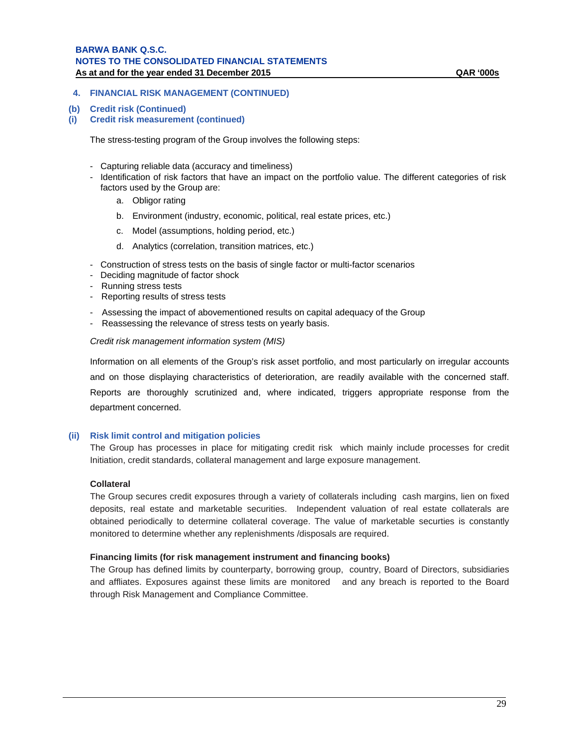#### **(b) Credit risk (Continued)**

**(i) Credit risk measurement (continued)**

The stress-testing program of the Group involves the following steps:

- Capturing reliable data (accuracy and timeliness)
- Identification of risk factors that have an impact on the portfolio value. The different categories of risk factors used by the Group are:
	- a. Obligor rating
	- b. Environment (industry, economic, political, real estate prices, etc.)
	- c. Model (assumptions, holding period, etc.)
	- d. Analytics (correlation, transition matrices, etc.)
- Construction of stress tests on the basis of single factor or multi-factor scenarios
- Deciding magnitude of factor shock
- Running stress tests
- Reporting results of stress tests
- Assessing the impact of abovementioned results on capital adequacy of the Group
- Reassessing the relevance of stress tests on yearly basis.

*Credit risk management information system (MIS)*

Information on all elements of the Group's risk asset portfolio, and most particularly on irregular accounts and on those displaying characteristics of deterioration, are readily available with the concerned staff. Reports are thoroughly scrutinized and, where indicated, triggers appropriate response from the department concerned.

#### **(ii) Risk limit control and mitigation policies**

The Group has processes in place for mitigating credit risk which mainly include processes for credit Initiation, credit standards, collateral management and large exposure management.

#### **Collateral**

The Group secures credit exposures through a variety of collaterals including cash margins, lien on fixed deposits, real estate and marketable securities. Independent valuation of real estate collaterals are obtained periodically to determine collateral coverage. The value of marketable securties is constantly monitored to determine whether any replenishments /disposals are required.

#### **Financing limits (for risk management instrument and financing books)**

The Group has defined limits by counterparty, borrowing group, country, Board of Directors, subsidiaries and affliates. Exposures against these limits are monitored and any breach is reported to the Board through Risk Management and Compliance Committee.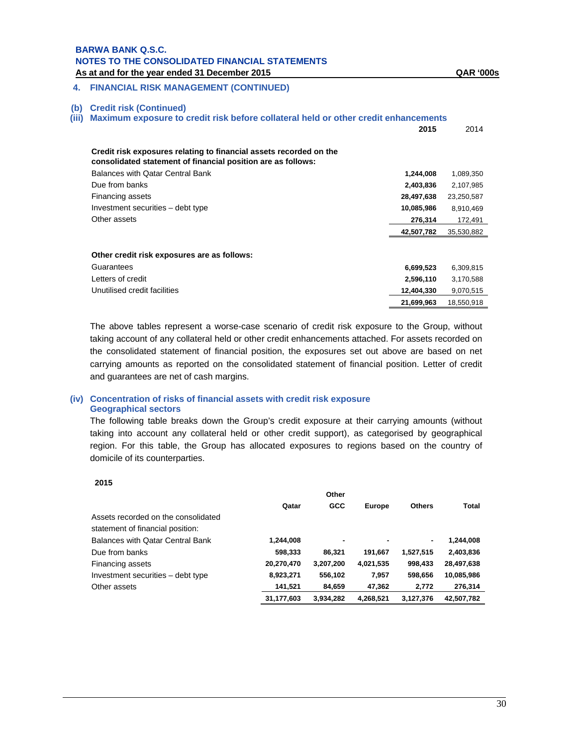# **4. FINANCIAL RISK MANAGEMENT (CONTINUED)**

#### **(b) Credit risk (Continued)**

**(iii) Maximum exposure to credit risk before collateral held or other credit enhancements** 

|                                                                                                                                    | 2015       | 2014       |
|------------------------------------------------------------------------------------------------------------------------------------|------------|------------|
| Credit risk exposures relating to financial assets recorded on the<br>consolidated statement of financial position are as follows: |            |            |
| Balances with Qatar Central Bank                                                                                                   | 1,244,008  | 1,089,350  |
| Due from banks                                                                                                                     | 2,403,836  | 2,107,985  |
| Financing assets                                                                                                                   | 28,497,638 | 23,250,587 |
| Investment securities – debt type                                                                                                  | 10,085,986 | 8,910,469  |
| Other assets                                                                                                                       | 276,314    | 172,491    |
|                                                                                                                                    | 42,507,782 | 35,530,882 |
|                                                                                                                                    |            |            |
| Other credit risk exposures are as follows:                                                                                        |            |            |
| Guarantees                                                                                                                         | 6,699,523  | 6,309,815  |
| Letters of credit                                                                                                                  | 2,596,110  | 3,170,588  |
| Unutilised credit facilities                                                                                                       | 12,404,330 | 9,070,515  |
|                                                                                                                                    | 21,699,963 | 18,550,918 |

The above tables represent a worse-case scenario of credit risk exposure to the Group, without taking account of any collateral held or other credit enhancements attached. For assets recorded on the consolidated statement of financial position, the exposures set out above are based on net carrying amounts as reported on the consolidated statement of financial position. Letter of credit and guarantees are net of cash margins.

# **(iv) Concentration of risks of financial assets with credit risk exposure Geographical sectors**

The following table breaks down the Group's credit exposure at their carrying amounts (without taking into account any collateral held or other credit support), as categorised by geographical region. For this table, the Group has allocated exposures to regions based on the country of domicile of its counterparties.

#### **2015**

|                                     |            | Other      |               |               |              |  |
|-------------------------------------|------------|------------|---------------|---------------|--------------|--|
|                                     | Qatar      | <b>GCC</b> | <b>Europe</b> | <b>Others</b> | <b>Total</b> |  |
| Assets recorded on the consolidated |            |            |               |               |              |  |
| statement of financial position:    |            |            |               |               |              |  |
| Balances with Qatar Central Bank    | 1,244,008  | ۰          | ٠             | ۰             | 1,244,008    |  |
| Due from banks                      | 598,333    | 86.321     | 191,667       | 1,527,515     | 2,403,836    |  |
| Financing assets                    | 20,270,470 | 3,207,200  | 4,021,535     | 998,433       | 28,497,638   |  |
| Investment securities - debt type   | 8,923,271  | 556,102    | 7,957         | 598,656       | 10,085,986   |  |
| Other assets                        | 141,521    | 84,659     | 47,362        | 2.772         | 276,314      |  |
|                                     | 31,177,603 | 3.934.282  | 4.268.521     | 3.127.376     | 42,507,782   |  |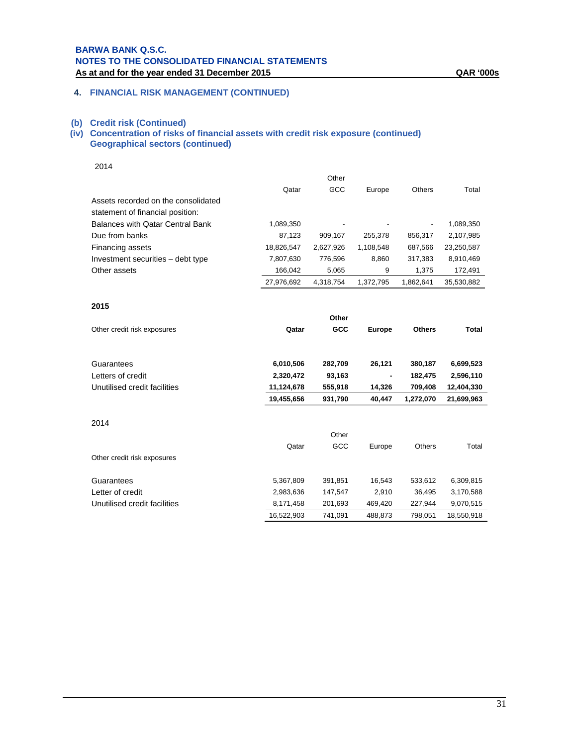# **4. FINANCIAL RISK MANAGEMENT (CONTINUED)**

#### **(b) Credit risk (Continued)**

## **(iv) Concentration of risks of financial assets with credit risk exposure (continued) Geographical sectors (continued)**

2014

|                                                                         |            | Other     |                          |                          |            |
|-------------------------------------------------------------------------|------------|-----------|--------------------------|--------------------------|------------|
|                                                                         | Qatar      | GCC       | Europe                   | Others                   | Total      |
| Assets recorded on the consolidated<br>statement of financial position: |            |           |                          |                          |            |
| Balances with Qatar Central Bank                                        | 1,089,350  |           | $\overline{\phantom{a}}$ | $\overline{\phantom{0}}$ | 1,089,350  |
| Due from banks                                                          | 87,123     | 909.167   | 255.378                  | 856.317                  | 2,107,985  |
| Financing assets                                                        | 18,826,547 | 2.627.926 | 1,108,548                | 687.566                  | 23,250,587 |
| Investment securities – debt type                                       | 7,807,630  | 776.596   | 8.860                    | 317.383                  | 8,910,469  |
| Other assets                                                            | 166,042    | 5,065     | 9                        | 1.375                    | 172,491    |
|                                                                         | 27,976,692 | 4.318.754 | 1.372.795                | 1.862.641                | 35,530,882 |
|                                                                         |            |           |                          |                          |            |

#### **2015**

|                              |            | Other   |               |               |              |
|------------------------------|------------|---------|---------------|---------------|--------------|
| Other credit risk exposures  | Qatar      | GCC     | <b>Europe</b> | <b>Others</b> | <b>Total</b> |
|                              |            |         |               |               |              |
| Guarantees                   | 6,010,506  | 282,709 | 26,121        | 380,187       | 6,699,523    |
| Letters of credit            | 2,320,472  | 93,163  |               | 182,475       | 2,596,110    |
| Unutilised credit facilities | 11,124,678 | 555,918 | 14,326        | 709,408       | 12,404,330   |
|                              | 19,455,656 | 931,790 | 40,447        | 1,272,070     | 21,699,963   |
|                              |            |         |               |               |              |
| 2014                         |            |         |               |               |              |
|                              |            | Other   |               |               |              |
|                              | Qatar      | GCC     | Europe        | <b>Others</b> | Total        |
| Other credit risk exposures  |            |         |               |               |              |
| Guarantees                   | 5,367,809  | 391,851 | 16,543        | 533,612       | 6,309,815    |
| Letter of credit             | 2,983,636  | 147,547 | 2,910         | 36,495        | 3,170,588    |
| Unutilised credit facilities | 8,171,458  | 201,693 | 469,420       | 227,944       | 9,070,515    |
|                              | 16,522,903 | 741,091 | 488,873       | 798,051       | 18,550,918   |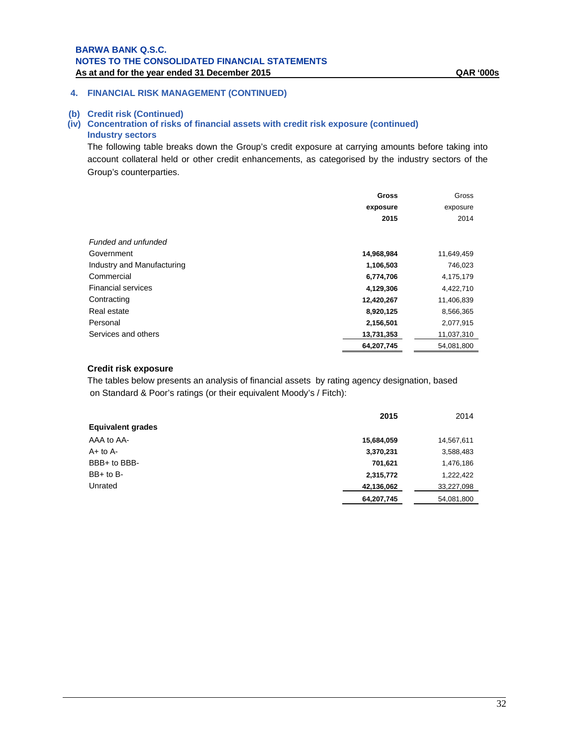# **(b) Credit risk (Continued)**

# **(iv) Concentration of risks of financial assets with credit risk exposure (continued) Industry sectors**

The following table breaks down the Group's credit exposure at carrying amounts before taking into account collateral held or other credit enhancements, as categorised by the industry sectors of the Group's counterparties.

|                            | <b>Gross</b> | Gross      |
|----------------------------|--------------|------------|
|                            | exposure     | exposure   |
|                            | 2015         | 2014       |
|                            |              |            |
| Funded and unfunded        |              |            |
| Government                 | 14,968,984   | 11,649,459 |
| Industry and Manufacturing | 1,106,503    | 746,023    |
| Commercial                 | 6,774,706    | 4,175,179  |
| <b>Financial services</b>  | 4,129,306    | 4,422,710  |
| Contracting                | 12,420,267   | 11,406,839 |
| Real estate                | 8,920,125    | 8,566,365  |
| Personal                   | 2,156,501    | 2,077,915  |
| Services and others        | 13,731,353   | 11,037,310 |
|                            | 64,207,745   | 54,081,800 |

# **Credit risk exposure**

The tables below presents an analysis of financial assets by rating agency designation, based on Standard & Poor's ratings (or their equivalent Moody's / Fitch):

|                          | 2015       | 2014       |
|--------------------------|------------|------------|
| <b>Equivalent grades</b> |            |            |
| AAA to AA-               | 15,684,059 | 14,567,611 |
| $A+$ to $A-$             | 3,370,231  | 3,588,483  |
| BBB+ to BBB-             | 701,621    | 1,476,186  |
| $BB+$ to $B-$            | 2,315,772  | 1,222,422  |
| Unrated                  | 42,136,062 | 33,227,098 |
|                          | 64,207,745 | 54,081,800 |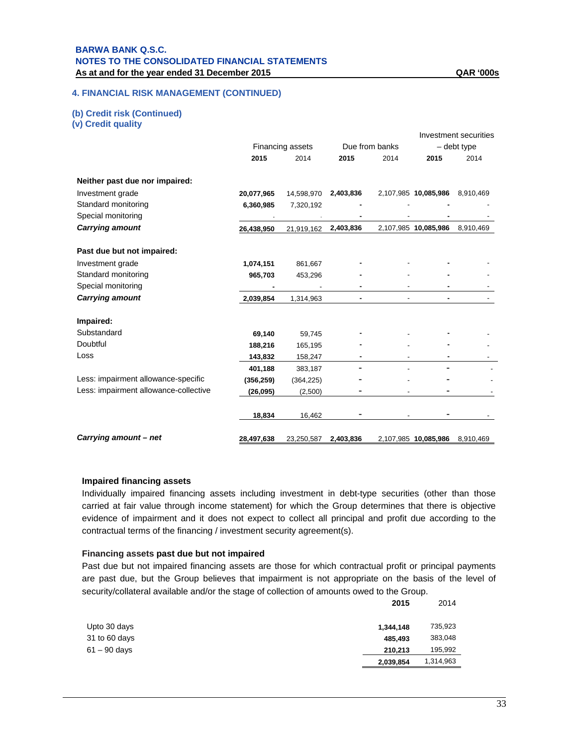# **(b) Credit risk (Continued)**

**(v) Credit quality** 

|                                       |            |                  |           |                |                      | Investment securities |
|---------------------------------------|------------|------------------|-----------|----------------|----------------------|-----------------------|
|                                       |            | Financing assets |           | Due from banks |                      | - debt type           |
|                                       | 2015       | 2014             | 2015      | 2014           | 2015                 | 2014                  |
| Neither past due nor impaired:        |            |                  |           |                |                      |                       |
| Investment grade                      | 20,077,965 | 14,598,970       | 2,403,836 |                | 2,107,985 10,085,986 | 8,910,469             |
| Standard monitoring                   | 6,360,985  | 7,320,192        |           |                |                      |                       |
| Special monitoring                    |            |                  |           |                |                      |                       |
| <b>Carrying amount</b>                | 26,438,950 | 21,919,162       | 2,403,836 |                | 2,107,985 10,085,986 | 8,910,469             |
| Past due but not impaired:            |            |                  |           |                |                      |                       |
| Investment grade                      | 1,074,151  | 861,667          |           |                |                      |                       |
| Standard monitoring                   | 965,703    | 453,296          |           |                |                      |                       |
| Special monitoring                    |            |                  |           |                |                      |                       |
| <b>Carrying amount</b>                | 2,039,854  | 1,314,963        |           |                | ٠                    |                       |
| Impaired:                             |            |                  |           |                |                      |                       |
| Substandard                           | 69,140     | 59,745           |           |                |                      |                       |
| Doubtful                              | 188,216    | 165,195          |           |                |                      |                       |
| Loss                                  | 143,832    | 158,247          |           |                |                      |                       |
|                                       | 401,188    | 383,187          |           |                |                      |                       |
| Less: impairment allowance-specific   | (356, 259) | (364, 225)       |           |                |                      |                       |
| Less: impairment allowance-collective | (26, 095)  | (2,500)          |           |                |                      |                       |
|                                       | 18,834     | 16,462           |           |                |                      |                       |
| Carrying amount - net                 | 28,497,638 | 23,250,587       | 2,403,836 |                | 2,107,985 10,085,986 | 8,910,469             |

# **Impaired financing assets**

Individually impaired financing assets including investment in debt-type securities (other than those carried at fair value through income statement) for which the Group determines that there is objective evidence of impairment and it does not expect to collect all principal and profit due according to the contractual terms of the financing / investment security agreement(s).

# **Financing assets past due but not impaired**

Past due but not impaired financing assets are those for which contractual profit or principal payments are past due, but the Group believes that impairment is not appropriate on the basis of the level of security/collateral available and/or the stage of collection of amounts owed to the Group.

|               | 2015      | 2014      |
|---------------|-----------|-----------|
| Upto 30 days  | 1,344,148 | 735,923   |
| 31 to 60 days | 485.493   | 383,048   |
| 61 – 90 days  | 210,213   | 195,992   |
|               | 2,039,854 | 1,314,963 |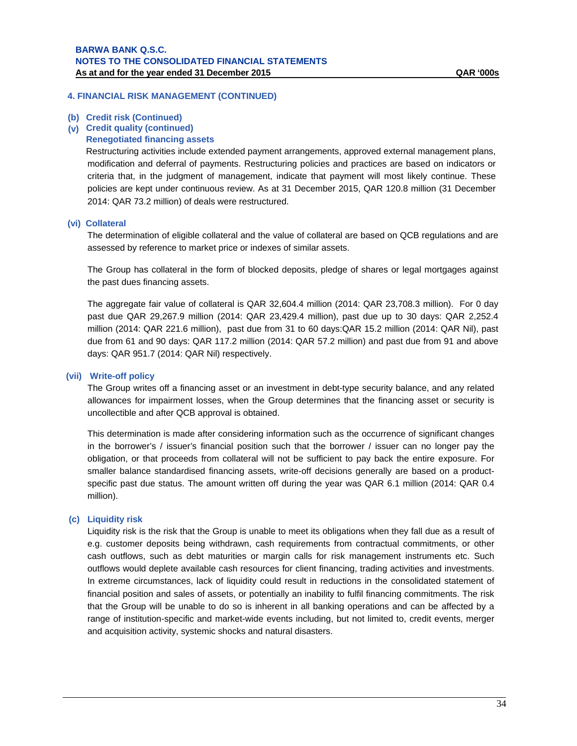#### **(b) Credit risk (Continued)**

#### **(v) Credit quality (continued)**

## **Renegotiated financing assets**

Restructuring activities include extended payment arrangements, approved external management plans, modification and deferral of payments. Restructuring policies and practices are based on indicators or criteria that, in the judgment of management, indicate that payment will most likely continue. These policies are kept under continuous review. As at 31 December 2015, QAR 120.8 million (31 December 2014: QAR 73.2 million) of deals were restructured.

#### **(vi) Collateral**

The determination of eligible collateral and the value of collateral are based on QCB regulations and are assessed by reference to market price or indexes of similar assets.

The Group has collateral in the form of blocked deposits, pledge of shares or legal mortgages against the past dues financing assets.

The aggregate fair value of collateral is QAR 32,604.4 million (2014: QAR 23,708.3 million). For 0 day past due QAR 29,267.9 million (2014: QAR 23,429.4 million), past due up to 30 days: QAR 2,252.4 million (2014: QAR 221.6 million), past due from 31 to 60 days:QAR 15.2 million (2014: QAR Nil), past due from 61 and 90 days: QAR 117.2 million (2014: QAR 57.2 million) and past due from 91 and above days: QAR 951.7 (2014: QAR Nil) respectively.

#### **(vii) Write-off policy**

The Group writes off a financing asset or an investment in debt-type security balance, and any related allowances for impairment losses, when the Group determines that the financing asset or security is uncollectible and after QCB approval is obtained.

This determination is made after considering information such as the occurrence of significant changes in the borrower's / issuer's financial position such that the borrower / issuer can no longer pay the obligation, or that proceeds from collateral will not be sufficient to pay back the entire exposure. For smaller balance standardised financing assets, write-off decisions generally are based on a productspecific past due status. The amount written off during the year was QAR 6.1 million (2014: QAR 0.4 million).

#### **(c) Liquidity risk**

Liquidity risk is the risk that the Group is unable to meet its obligations when they fall due as a result of e.g. customer deposits being withdrawn, cash requirements from contractual commitments, or other cash outflows, such as debt maturities or margin calls for risk management instruments etc. Such outflows would deplete available cash resources for client financing, trading activities and investments. In extreme circumstances, lack of liquidity could result in reductions in the consolidated statement of financial position and sales of assets, or potentially an inability to fulfil financing commitments. The risk that the Group will be unable to do so is inherent in all banking operations and can be affected by a range of institution-specific and market-wide events including, but not limited to, credit events, merger and acquisition activity, systemic shocks and natural disasters.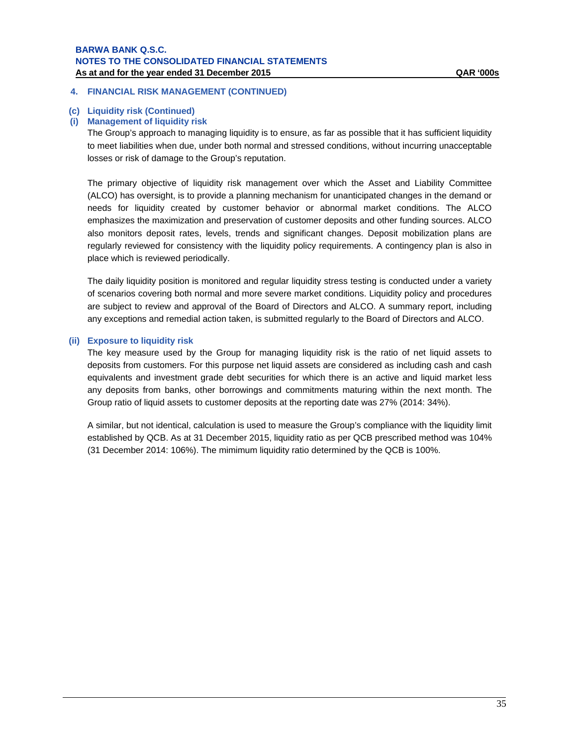#### **4. FINANCIAL RISK MANAGEMENT (CONTINUED)**

#### **(c) Liquidity risk (Continued)**

#### **(i) Management of liquidity risk**

The Group's approach to managing liquidity is to ensure, as far as possible that it has sufficient liquidity to meet liabilities when due, under both normal and stressed conditions, without incurring unacceptable losses or risk of damage to the Group's reputation.

The primary objective of liquidity risk management over which the Asset and Liability Committee (ALCO) has oversight, is to provide a planning mechanism for unanticipated changes in the demand or needs for liquidity created by customer behavior or abnormal market conditions. The ALCO emphasizes the maximization and preservation of customer deposits and other funding sources. ALCO also monitors deposit rates, levels, trends and significant changes. Deposit mobilization plans are regularly reviewed for consistency with the liquidity policy requirements. A contingency plan is also in place which is reviewed periodically.

The daily liquidity position is monitored and regular liquidity stress testing is conducted under a variety of scenarios covering both normal and more severe market conditions. Liquidity policy and procedures are subject to review and approval of the Board of Directors and ALCO. A summary report, including any exceptions and remedial action taken, is submitted regularly to the Board of Directors and ALCO.

#### **(ii) Exposure to liquidity risk**

The key measure used by the Group for managing liquidity risk is the ratio of net liquid assets to deposits from customers. For this purpose net liquid assets are considered as including cash and cash equivalents and investment grade debt securities for which there is an active and liquid market less any deposits from banks, other borrowings and commitments maturing within the next month. The Group ratio of liquid assets to customer deposits at the reporting date was 27% (2014: 34%).

A similar, but not identical, calculation is used to measure the Group's compliance with the liquidity limit established by QCB. As at 31 December 2015, liquidity ratio as per QCB prescribed method was 104% (31 December 2014: 106%). The mimimum liquidity ratio determined by the QCB is 100%.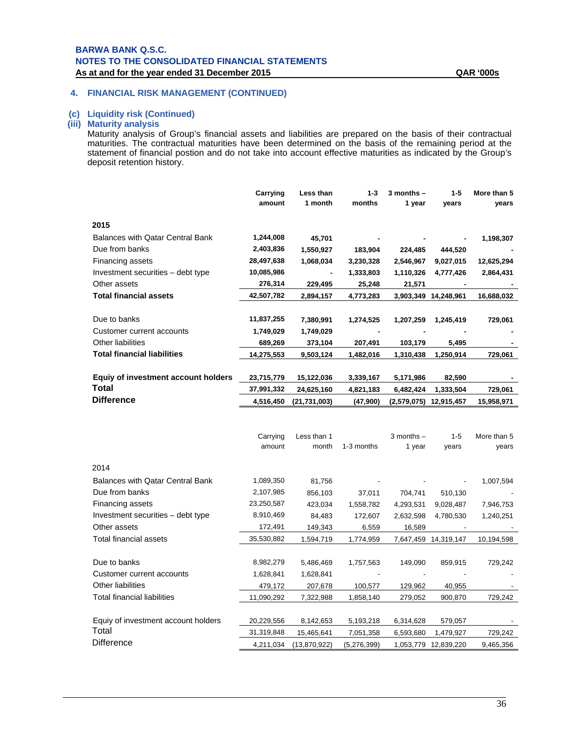#### **(c) Liquidity risk (Continued)**

## **(iii) Maturity analysis**

Maturity analysis of Group's financial assets and liabilities are prepared on the basis of their contractual maturities. The contractual maturities have been determined on the basis of the remaining period at the statement of financial postion and do not take into account effective maturities as indicated by the Group's deposit retention history.

|                                         | Carrying<br>amount | Less than<br>1 month | $1 - 3$<br>months | $3$ months $-$<br>1 year | $1 - 5$<br>years | More than 5<br>years |
|-----------------------------------------|--------------------|----------------------|-------------------|--------------------------|------------------|----------------------|
| 2015                                    |                    |                      |                   |                          |                  |                      |
| <b>Balances with Qatar Central Bank</b> | 1,244,008          | 45,701               |                   |                          |                  | 1,198,307            |
| Due from banks                          | 2,403,836          | 1,550,927            | 183,904           | 224,485                  | 444,520          |                      |
| Financing assets                        | 28,497,638         | 1,068,034            | 3,230,328         | 2,546,967                | 9,027,015        | 12,625,294           |
| Investment securities – debt type       | 10,085,986         |                      | 1,333,803         | 1,110,326                | 4,777,426        | 2,864,431            |
| Other assets                            | 276,314            | 229,495              | 25,248            | 21,571                   |                  |                      |
| Total financial assets                  | 42,507,782         | 2,894,157            | 4,773,283         | 3,903,349                | 14,248,961       | 16,688,032           |
|                                         |                    |                      |                   |                          |                  |                      |
| Due to banks                            | 11,837,255         | 7,380,991            | 1,274,525         | 1,207,259                | 1,245,419        | 729,061              |
| Customer current accounts               | 1,749,029          | 1,749,029            |                   |                          |                  |                      |
| <b>Other liabilities</b>                | 689,269            | 373,104              | 207,491           | 103,179                  | 5,495            |                      |
| <b>Total financial liabilities</b>      | 14,275,553         | 9,503,124            | 1,482,016         | 1,310,438                | 1,250,914        | 729,061              |
|                                         |                    |                      |                   |                          |                  |                      |
| Equiy of investment account holders     | 23,715,779         | 15,122,036           | 3,339,167         | 5,171,986                | 82,590           |                      |
| Total                                   | 37,991,332         | 24,625,160           | 4,821,183         | 6,482,424                | 1,333,504        | 729,061              |
| <b>Difference</b>                       | 4,516,450          | (21, 731, 003)       | (47,900)          | (2,579,075)              | 12,915,457       | 15,958,971           |

|                                         | Carrying<br>amount | Less than 1<br>month | 1-3 months  | $3$ months $-$<br>1 year | $1 - 5$<br>years | More than 5<br>years |
|-----------------------------------------|--------------------|----------------------|-------------|--------------------------|------------------|----------------------|
| 2014                                    |                    |                      |             |                          |                  |                      |
| <b>Balances with Qatar Central Bank</b> | 1,089,350          | 81,756               |             |                          |                  | 1,007,594            |
| Due from banks                          | 2,107,985          | 856,103              | 37,011      | 704,741                  | 510,130          |                      |
| Financing assets                        | 23,250,587         | 423,034              | 1,558,782   | 4,293,531                | 9,028,487        | 7,946,753            |
| Investment securities – debt type       | 8,910,469          | 84,483               | 172,607     | 2,632,598                | 4,780,530        | 1,240,251            |
| Other assets                            | 172,491            | 149,343              | 6,559       | 16,589                   |                  |                      |
| Total financial assets                  | 35,530,882         | 1,594,719            | 1,774,959   | 7,647,459                | 14,319,147       | 10,194,598           |
| Due to banks                            | 8,982,279          | 5,486,469            | 1,757,563   | 149,090                  | 859,915          | 729,242              |
| Customer current accounts               | 1,628,841          | 1,628,841            |             |                          |                  |                      |
| <b>Other liabilities</b>                | 479,172            | 207,678              | 100,577     | 129,962                  | 40,955           |                      |
| Total financial liabilities             | 11,090,292         | 7,322,988            | 1,858,140   | 279,052                  | 900,870          | 729,242              |
| Equiy of investment account holders     | 20,229,556         | 8,142,653            | 5,193,218   | 6,314,628                | 579,057          |                      |
| Total                                   | 31,319,848         | 15,465,641           | 7,051,358   | 6,593,680                | 1,479,927        | 729,242              |
| <b>Difference</b>                       | 4,211,034          | (13,870,922)         | (5,276,399) | 1,053,779                | 12,839,220       | 9,465,356            |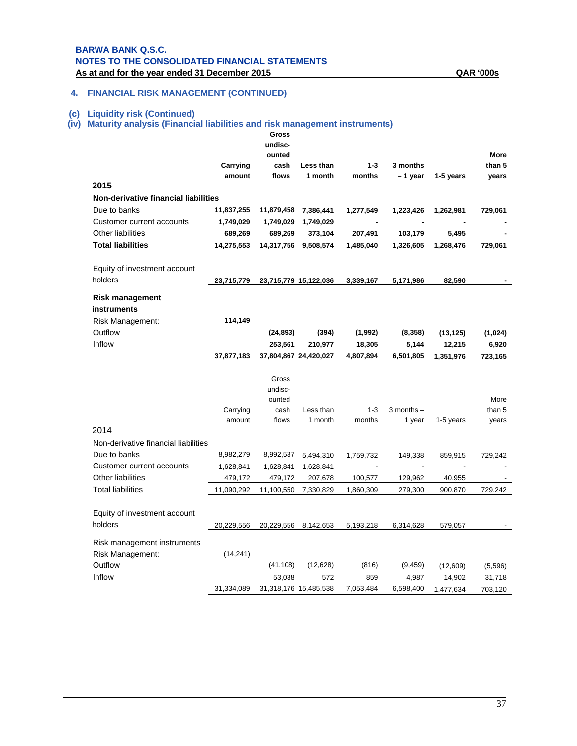## **4. FINANCIAL RISK MANAGEMENT (CONTINUED)**

#### **(c) Liquidity risk (Continued)**

# **(iv) Maturity analysis (Financial liabilities and risk management instruments)**

|                                      |                    | Gross                 |           |           |                |           |             |
|--------------------------------------|--------------------|-----------------------|-----------|-----------|----------------|-----------|-------------|
|                                      |                    | undisc-               |           |           |                |           |             |
|                                      |                    | ounted                |           |           |                |           | <b>More</b> |
|                                      | Carrying           | cash                  | Less than | $1 - 3$   | 3 months       |           | than 5      |
| 2015                                 | amount             | flows                 | 1 month   | months    | - 1 year       | 1-5 years | years       |
|                                      |                    |                       |           |           |                |           |             |
| Non-derivative financial liabilities |                    |                       |           |           |                |           |             |
| Due to banks                         | 11,837,255         | 11,879,458            | 7,386,441 | 1,277,549 | 1,223,426      | 1,262,981 | 729,061     |
| Customer current accounts            | 1,749,029          | 1,749,029             | 1,749,029 |           |                |           |             |
| <b>Other liabilities</b>             | 689,269            | 689,269               | 373,104   | 207,491   | 103,179        | 5,495     |             |
| <b>Total liabilities</b>             | 14,275,553         | 14,317,756            | 9,508,574 | 1,485,040 | 1,326,605      | 1,268,476 | 729,061     |
| Equity of investment account         |                    |                       |           |           |                |           |             |
| holders                              | 23,715,779         | 23,715,779 15,122,036 |           | 3,339,167 | 5,171,986      | 82,590    |             |
| <b>Risk management</b>               |                    |                       |           |           |                |           |             |
| instruments                          |                    |                       |           |           |                |           |             |
| Risk Management:                     | 114,149            |                       |           |           |                |           |             |
| Outflow                              |                    | (24, 893)             | (394)     | (1,992)   | (8,358)        | (13, 125) | (1,024)     |
| Inflow                               |                    | 253,561               | 210,977   | 18,305    | 5,144          | 12,215    | 6,920       |
|                                      | 37,877,183         | 37,804,867 24,420,027 |           | 4,807,894 | 6,501,805      | 1,351,976 | 723,165     |
|                                      |                    |                       |           |           |                |           |             |
|                                      |                    | Gross                 |           |           |                |           |             |
|                                      |                    | undisc-               |           |           |                |           |             |
|                                      |                    | ounted                |           | $1 - 3$   | $3$ months $-$ |           | More        |
|                                      | Carrying<br>amount | cash                  | Less than |           |                |           | than 5      |
|                                      |                    |                       |           |           |                |           |             |
|                                      |                    | flows                 | 1 month   | months    | 1 year         | 1-5 years | years       |
| 2014                                 |                    |                       |           |           |                |           |             |
| Non-derivative financial liabilities |                    |                       |           |           |                |           |             |
| Due to banks                         | 8,982,279          | 8,992,537             | 5,494,310 | 1,759,732 | 149,338        | 859,915   | 729,242     |
| Customer current accounts            | 1,628,841          | 1,628,841             | 1,628,841 |           |                |           |             |
| Other liabilities                    | 479,172            | 479,172               | 207,678   | 100,577   | 129,962        | 40,955    |             |
| <b>Total liabilities</b>             | 11,090,292         | 11,100,550            | 7,330,829 | 1,860,309 | 279,300        | 900,870   | 729,242     |
|                                      |                    |                       |           |           |                |           |             |
| Equity of investment account         |                    |                       |           |           |                |           |             |
| holders                              | 20,229,556         | 20,229,556 8,142,653  |           | 5,193,218 | 6,314,628      | 579,057   |             |
| Risk management instruments          |                    |                       |           |           |                |           |             |
| Risk Management:                     | (14, 241)          |                       |           |           |                |           |             |
| Outflow                              |                    | (41, 108)             | (12, 628) | (816)     | (9, 459)       | (12,609)  | (5,596)     |
| Inflow                               |                    | 53,038                | 572       | 859       | 4,987          | 14,902    | 31,718      |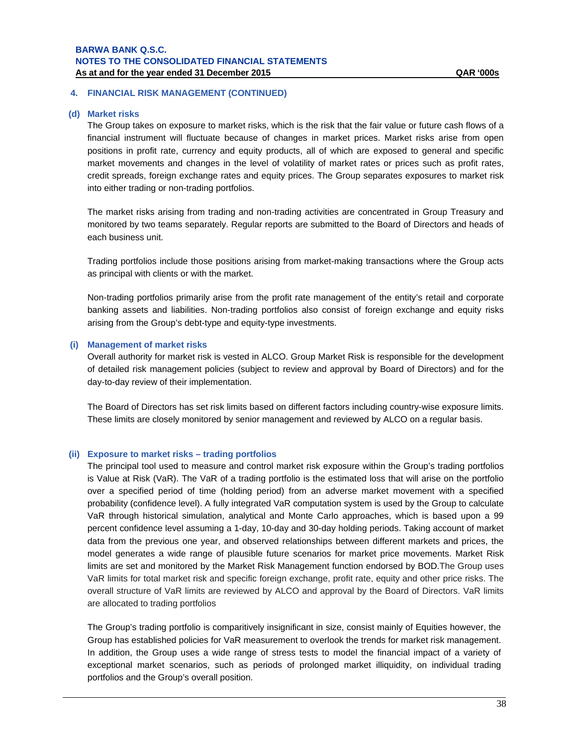#### **(d) Market risks**

The Group takes on exposure to market risks, which is the risk that the fair value or future cash flows of a financial instrument will fluctuate because of changes in market prices. Market risks arise from open positions in profit rate, currency and equity products, all of which are exposed to general and specific market movements and changes in the level of volatility of market rates or prices such as profit rates, credit spreads, foreign exchange rates and equity prices. The Group separates exposures to market risk into either trading or non-trading portfolios.

The market risks arising from trading and non-trading activities are concentrated in Group Treasury and monitored by two teams separately. Regular reports are submitted to the Board of Directors and heads of each business unit.

Trading portfolios include those positions arising from market-making transactions where the Group acts as principal with clients or with the market.

Non-trading portfolios primarily arise from the profit rate management of the entity's retail and corporate banking assets and liabilities. Non-trading portfolios also consist of foreign exchange and equity risks arising from the Group's debt-type and equity-type investments.

#### **(i) Management of market risks**

Overall authority for market risk is vested in ALCO. Group Market Risk is responsible for the development of detailed risk management policies (subject to review and approval by Board of Directors) and for the day-to-day review of their implementation.

The Board of Directors has set risk limits based on different factors including country-wise exposure limits. These limits are closely monitored by senior management and reviewed by ALCO on a regular basis.

#### **(ii) Exposure to market risks – trading portfolios**

The principal tool used to measure and control market risk exposure within the Group's trading portfolios is Value at Risk (VaR). The VaR of a trading portfolio is the estimated loss that will arise on the portfolio over a specified period of time (holding period) from an adverse market movement with a specified probability (confidence level). A fully integrated VaR computation system is used by the Group to calculate VaR through historical simulation, analytical and Monte Carlo approaches, which is based upon a 99 percent confidence level assuming a 1-day, 10-day and 30-day holding periods. Taking account of market data from the previous one year, and observed relationships between different markets and prices, the model generates a wide range of plausible future scenarios for market price movements. Market Risk limits are set and monitored by the Market Risk Management function endorsed by BOD.The Group uses VaR limits for total market risk and specific foreign exchange, profit rate, equity and other price risks. The overall structure of VaR limits are reviewed by ALCO and approval by the Board of Directors. VaR limits are allocated to trading portfolios

The Group's trading portfolio is comparitively insignificant in size, consist mainly of Equities however, the Group has established policies for VaR measurement to overlook the trends for market risk management. In addition, the Group uses a wide range of stress tests to model the financial impact of a variety of exceptional market scenarios, such as periods of prolonged market illiquidity, on individual trading portfolios and the Group's overall position.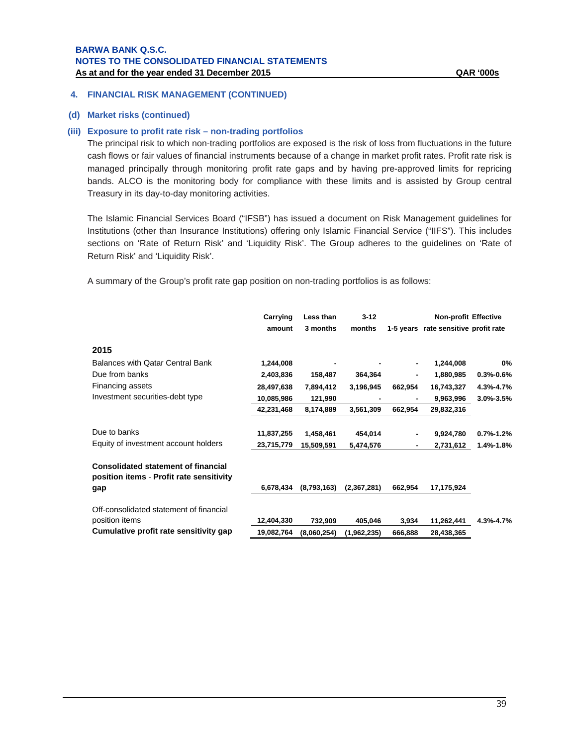#### **(d) Market risks (continued)**

#### **(iii) Exposure to profit rate risk – non-trading portfolios**

The principal risk to which non-trading portfolios are exposed is the risk of loss from fluctuations in the future cash flows or fair values of financial instruments because of a change in market profit rates. Profit rate risk is managed principally through monitoring profit rate gaps and by having pre-approved limits for repricing bands. ALCO is the monitoring body for compliance with these limits and is assisted by Group central Treasury in its day-to-day monitoring activities.

The Islamic Financial Services Board ("IFSB") has issued a document on Risk Management guidelines for Institutions (other than Insurance Institutions) offering only Islamic Financial Service ("IIFS"). This includes sections on 'Rate of Return Risk' and 'Liquidity Risk'. The Group adheres to the guidelines on 'Rate of Return Risk' and 'Liquidity Risk'.

A summary of the Group's profit rate gap position on non-trading portfolios is as follows:

|                                                                                        | Carrying   | Less than   | $3 - 12$    |         | <b>Non-profit Effective</b>          |               |
|----------------------------------------------------------------------------------------|------------|-------------|-------------|---------|--------------------------------------|---------------|
|                                                                                        | amount     | 3 months    | months      |         | 1-5 years rate sensitive profit rate |               |
| 2015                                                                                   |            |             |             |         |                                      |               |
| Balances with Qatar Central Bank                                                       | 1,244,008  |             |             | ۰       | 1,244,008                            | $0\%$         |
| Due from banks                                                                         | 2,403,836  | 158,487     | 364,364     |         | 1,880,985                            | $0.3% - 0.6%$ |
| Financing assets                                                                       | 28,497,638 | 7,894,412   | 3,196,945   | 662,954 | 16,743,327                           | 4.3%-4.7%     |
| Investment securities-debt type                                                        | 10,085,986 | 121,990     |             |         | 9,963,996                            | 3.0%-3.5%     |
|                                                                                        | 42,231,468 | 8,174,889   | 3,561,309   | 662.954 | 29,832,316                           |               |
| Due to banks                                                                           | 11,837,255 | 1,458,461   | 454,014     | ٠       | 9,924,780                            | $0.7% - 1.2%$ |
| Equity of investment account holders                                                   | 23,715,779 | 15,509,591  | 5,474,576   |         | 2,731,612                            | 1.4%-1.8%     |
| <b>Consolidated statement of financial</b><br>position items - Profit rate sensitivity |            |             |             |         |                                      |               |
| gap                                                                                    | 6,678,434  | (8,793,163) | (2,367,281) | 662,954 | 17,175,924                           |               |
| Off-consolidated statement of financial                                                |            |             |             |         |                                      |               |
| position items                                                                         | 12,404,330 | 732,909     | 405,046     | 3,934   | 11,262,441                           | 4.3%-4.7%     |
| Cumulative profit rate sensitivity gap                                                 | 19,082,764 | (8,060,254) | (1,962,235) | 666,888 | 28,438,365                           |               |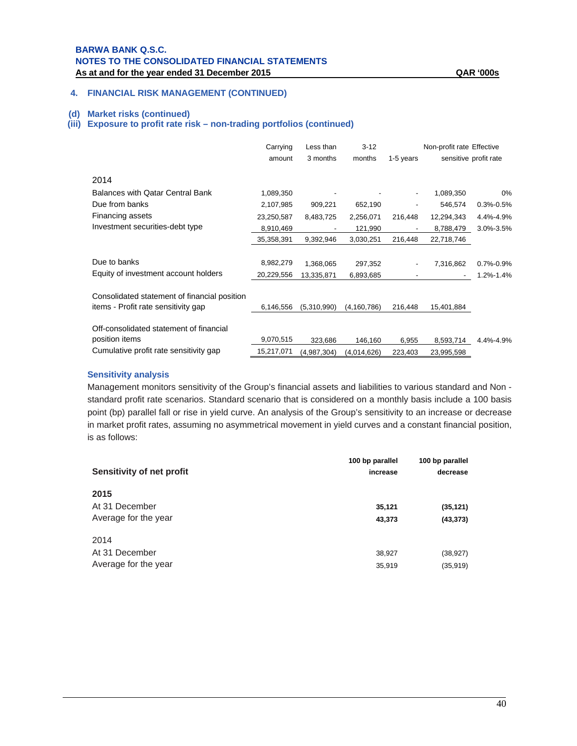## **4. FINANCIAL RISK MANAGEMENT (CONTINUED)**

#### **(d) Market risks (continued)**

## **(iii) Exposure to profit rate risk – non-trading portfolios (continued)**

|                                              | Carrying   | Less than   | $3 - 12$      |           | Non-profit rate Effective |                       |
|----------------------------------------------|------------|-------------|---------------|-----------|---------------------------|-----------------------|
|                                              | amount     | 3 months    | months        | 1-5 years |                           | sensitive profit rate |
| 2014                                         |            |             |               |           |                           |                       |
| Balances with Qatar Central Bank             | 1,089,350  |             |               |           | 1,089,350                 | $0\%$                 |
| Due from banks                               | 2,107,985  | 909,221     | 652,190       |           | 546,574                   | $0.3\% - 0.5\%$       |
| Financing assets                             | 23,250,587 | 8,483,725   | 2,256,071     | 216,448   | 12,294,343                | 4.4%-4.9%             |
| Investment securities-debt type              | 8,910,469  |             | 121,990       |           | 8,788,479                 | 3.0%-3.5%             |
|                                              | 35,358,391 | 9,392,946   | 3,030,251     | 216,448   | 22,718,746                |                       |
|                                              |            |             |               |           |                           |                       |
| Due to banks                                 | 8,982,279  | 1,368,065   | 297,352       |           | 7,316,862                 | $0.7\% - 0.9\%$       |
| Equity of investment account holders         | 20,229,556 | 13,335,871  | 6,893,685     |           | ٠                         | 1.2%-1.4%             |
| Consolidated statement of financial position |            |             |               |           |                           |                       |
| items - Profit rate sensitivity gap          | 6,146,556  | (5,310,990) | (4, 160, 786) | 216,448   | 15,401,884                |                       |
| Off-consolidated statement of financial      |            |             |               |           |                           |                       |
| position items                               | 9,070,515  | 323,686     | 146,160       | 6,955     | 8,593,714                 | 4.4%-4.9%             |
| Cumulative profit rate sensitivity gap       | 15,217,071 | (4,987,304) | (4,014,626)   | 223,403   | 23,995,598                |                       |

#### **Sensitivity analysis**

Management monitors sensitivity of the Group's financial assets and liabilities to various standard and Non standard profit rate scenarios. Standard scenario that is considered on a monthly basis include a 100 basis point (bp) parallel fall or rise in yield curve. An analysis of the Group's sensitivity to an increase or decrease in market profit rates, assuming no asymmetrical movement in yield curves and a constant financial position, is as follows:

| Sensitivity of net profit | 100 bp parallel<br>increase | 100 bp parallel<br>decrease |
|---------------------------|-----------------------------|-----------------------------|
| 2015                      |                             |                             |
| At 31 December            | 35,121                      | (35, 121)                   |
| Average for the year      | 43,373                      | (43, 373)                   |
| 2014                      |                             |                             |
| At 31 December            | 38,927                      | (38, 927)                   |
| Average for the year      | 35,919                      | (35, 919)                   |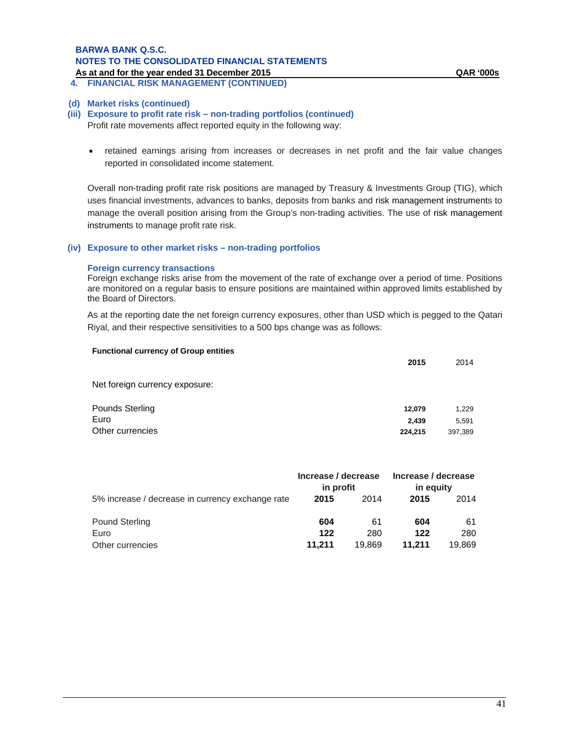# **BARWA BANK Q.S.C. NOTES TO THE CONSOLIDATED FINANCIAL STATEMENTS**

**As at and for the year ended 31 December 2015 QAR '000s 4. FINANCIAL RISK MANAGEMENT (CONTINUED)**

# **(d) Market risks (continued)**

## **(iii) Exposure to profit rate risk – non-trading portfolios (continued)**

Profit rate movements affect reported equity in the following way:

 retained earnings arising from increases or decreases in net profit and the fair value changes reported in consolidated income statement.

Overall non-trading profit rate risk positions are managed by Treasury & Investments Group (TIG), which uses financial investments, advances to banks, deposits from banks and risk management instruments to manage the overall position arising from the Group's non-trading activities. The use of risk management instruments to manage profit rate risk.

#### **(iv) Exposure to other market risks – non-trading portfolios**

#### **Foreign currency transactions**

Foreign exchange risks arise from the movement of the rate of exchange over a period of time. Positions are monitored on a regular basis to ensure positions are maintained within approved limits established by the Board of Directors.

As at the reporting date the net foreign currency exposures, other than USD which is pegged to the Qatari Riyal, and their respective sensitivities to a 500 bps change was as follows:

| 2015                       | 2014                      |
|----------------------------|---------------------------|
|                            |                           |
| 12,079<br>2,439<br>224,215 | 1,229<br>5,591<br>397,389 |
|                            |                           |

|                                                  | Increase / decrease<br>in profit |        | Increase / decrease<br>in equity |        |
|--------------------------------------------------|----------------------------------|--------|----------------------------------|--------|
| 5% increase / decrease in currency exchange rate | 2015                             | 2014   | 2015                             | 2014   |
| <b>Pound Sterling</b>                            | 604                              | 61     | 604                              | 61     |
| Euro                                             | 122                              | 280    | 122                              | 280    |
| Other currencies                                 | 11.211                           | 19.869 | 11.211                           | 19,869 |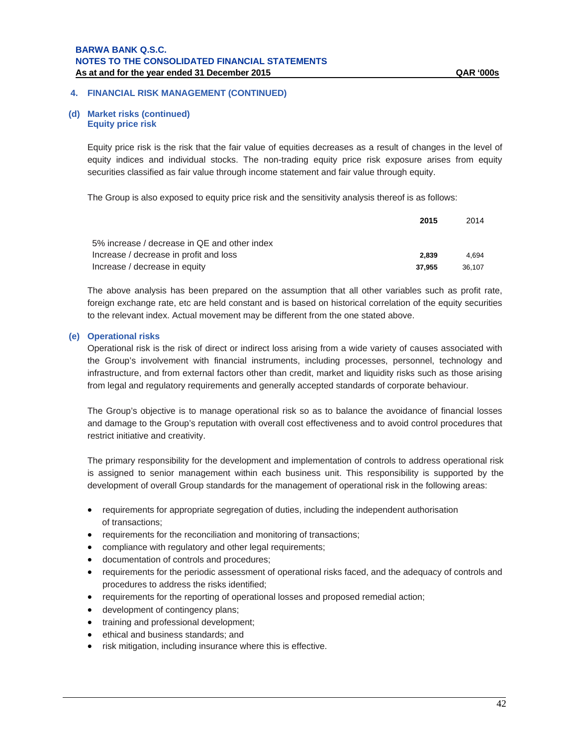#### **(d) Market risks (continued) Equity price risk**

Equity price risk is the risk that the fair value of equities decreases as a result of changes in the level of equity indices and individual stocks. The non-trading equity price risk exposure arises from equity securities classified as fair value through income statement and fair value through equity.

The Group is also exposed to equity price risk and the sensitivity analysis thereof is as follows:

|                                              | 2015   | 2014   |
|----------------------------------------------|--------|--------|
| 5% increase / decrease in QE and other index |        |        |
| Increase / decrease in profit and loss       | 2.839  | 4.694  |
| Increase / decrease in equity                | 37.955 | 36.107 |

The above analysis has been prepared on the assumption that all other variables such as profit rate, foreign exchange rate, etc are held constant and is based on historical correlation of the equity securities to the relevant index. Actual movement may be different from the one stated above.

#### **(e) Operational risks**

Operational risk is the risk of direct or indirect loss arising from a wide variety of causes associated with the Group's involvement with financial instruments, including processes, personnel, technology and infrastructure, and from external factors other than credit, market and liquidity risks such as those arising from legal and regulatory requirements and generally accepted standards of corporate behaviour.

The Group's objective is to manage operational risk so as to balance the avoidance of financial losses and damage to the Group's reputation with overall cost effectiveness and to avoid control procedures that restrict initiative and creativity.

The primary responsibility for the development and implementation of controls to address operational risk is assigned to senior management within each business unit. This responsibility is supported by the development of overall Group standards for the management of operational risk in the following areas:

- requirements for appropriate segregation of duties, including the independent authorisation of transactions;
- requirements for the reconciliation and monitoring of transactions;
- compliance with regulatory and other legal requirements;
- documentation of controls and procedures;
- requirements for the periodic assessment of operational risks faced, and the adequacy of controls and procedures to address the risks identified;
- requirements for the reporting of operational losses and proposed remedial action;
- development of contingency plans;
- training and professional development;
- ethical and business standards; and
- risk mitigation, including insurance where this is effective.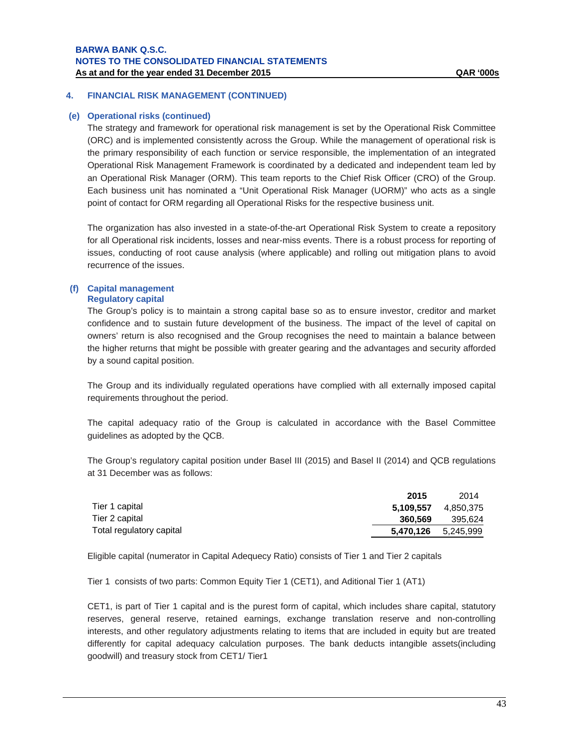#### **(e) Operational risks (continued)**

The strategy and framework for operational risk management is set by the Operational Risk Committee (ORC) and is implemented consistently across the Group. While the management of operational risk is the primary responsibility of each function or service responsible, the implementation of an integrated Operational Risk Management Framework is coordinated by a dedicated and independent team led by an Operational Risk Manager (ORM). This team reports to the Chief Risk Officer (CRO) of the Group. Each business unit has nominated a "Unit Operational Risk Manager (UORM)" who acts as a single point of contact for ORM regarding all Operational Risks for the respective business unit.

The organization has also invested in a state-of-the-art Operational Risk System to create a repository for all Operational risk incidents, losses and near-miss events. There is a robust process for reporting of issues, conducting of root cause analysis (where applicable) and rolling out mitigation plans to avoid recurrence of the issues.

#### **(f) Capital management Regulatory capital**

The Group's policy is to maintain a strong capital base so as to ensure investor, creditor and market confidence and to sustain future development of the business. The impact of the level of capital on owners' return is also recognised and the Group recognises the need to maintain a balance between the higher returns that might be possible with greater gearing and the advantages and security afforded by a sound capital position.

The Group and its individually regulated operations have complied with all externally imposed capital requirements throughout the period.

The capital adequacy ratio of the Group is calculated in accordance with the Basel Committee guidelines as adopted by the QCB.

The Group's regulatory capital position under Basel III (2015) and Basel II (2014) and QCB regulations at 31 December was as follows:

|                          | 2015                       | 2014      |
|--------------------------|----------------------------|-----------|
| Tier 1 capital           | 5.109.557                  | 4.850.375 |
| Tier 2 capital           | 360.569                    | 395.624   |
| Total regulatory capital | <b>5,470,126</b> 5,245,999 |           |

Eligible capital (numerator in Capital Adequecy Ratio) consists of Tier 1 and Tier 2 capitals

Tier 1 consists of two parts: Common Equity Tier 1 (CET1), and Aditional Tier 1 (AT1)

CET1, is part of Tier 1 capital and is the purest form of capital, which includes share capital, statutory reserves, general reserve, retained earnings, exchange translation reserve and non-controlling interests, and other regulatory adjustments relating to items that are included in equity but are treated differently for capital adequacy calculation purposes. The bank deducts intangible assets(including goodwill) and treasury stock from CET1/ Tier1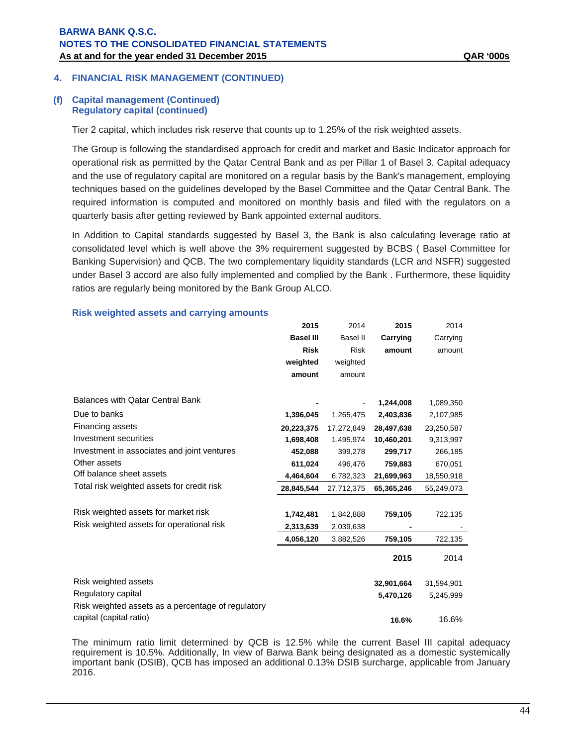#### **(f) Capital management (Continued) Regulatory capital (continued)**

Tier 2 capital, which includes risk reserve that counts up to 1.25% of the risk weighted assets.

The Group is following the standardised approach for credit and market and Basic Indicator approach for operational risk as permitted by the Qatar Central Bank and as per Pillar 1 of Basel 3. Capital adequacy and the use of regulatory capital are monitored on a regular basis by the Bank's management, employing techniques based on the guidelines developed by the Basel Committee and the Qatar Central Bank. The required information is computed and monitored on monthly basis and filed with the regulators on a quarterly basis after getting reviewed by Bank appointed external auditors.

In Addition to Capital standards suggested by Basel 3, the Bank is also calculating leverage ratio at consolidated level which is well above the 3% requirement suggested by BCBS ( Basel Committee for Banking Supervision) and QCB. The two complementary liquidity standards (LCR and NSFR) suggested under Basel 3 accord are also fully implemented and complied by the Bank . Furthermore, these liquidity ratios are regularly being monitored by the Bank Group ALCO.

#### **Risk weighted assets and carrying amounts**

|                                                    | 2015             | 2014            | 2015       | 2014       |
|----------------------------------------------------|------------------|-----------------|------------|------------|
|                                                    | <b>Basel III</b> | <b>Basel II</b> | Carrying   | Carrying   |
|                                                    | <b>Risk</b>      | <b>Risk</b>     | amount     | amount     |
|                                                    | weighted         | weighted        |            |            |
|                                                    | amount           | amount          |            |            |
| <b>Balances with Qatar Central Bank</b>            |                  |                 | 1,244,008  | 1,089,350  |
| Due to banks                                       |                  |                 |            |            |
|                                                    | 1,396,045        | 1,265,475       | 2,403,836  | 2,107,985  |
| Financing assets                                   | 20,223,375       | 17.272.849      | 28,497,638 | 23,250,587 |
| Investment securities                              | 1,698,408        | 1,495,974       | 10,460,201 | 9,313,997  |
| Investment in associates and joint ventures        | 452,088          | 399,278         | 299,717    | 266,185    |
| Other assets                                       | 611,024          | 496,476         | 759,883    | 670,051    |
| Off balance sheet assets                           | 4,464,604        | 6,782,323       | 21,699,963 | 18,550,918 |
| Total risk weighted assets for credit risk         | 28,845,544       | 27,712,375      | 65,365,246 | 55,249,073 |
|                                                    |                  |                 |            |            |
| Risk weighted assets for market risk               | 1,742,481        | 1,842,888       | 759,105    | 722,135    |
| Risk weighted assets for operational risk          | 2,313,639        | 2,039,638       |            |            |
|                                                    | 4,056,120        | 3,882,526       | 759,105    | 722,135    |
|                                                    |                  |                 | 2015       | 2014       |
| Risk weighted assets                               |                  |                 | 32,901,664 | 31,594,901 |
| Regulatory capital                                 |                  |                 | 5,470,126  | 5,245,999  |
| Risk weighted assets as a percentage of regulatory |                  |                 |            |            |
| capital (capital ratio)                            |                  |                 | 16.6%      | 16.6%      |

The minimum ratio limit determined by QCB is 12.5% while the current Basel III capital adequacy requirement is 10.5%. Additionally, In view of Barwa Bank being designated as a domestic systemically important bank (DSIB), QCB has imposed an additional 0.13% DSIB surcharge, applicable from January 2016.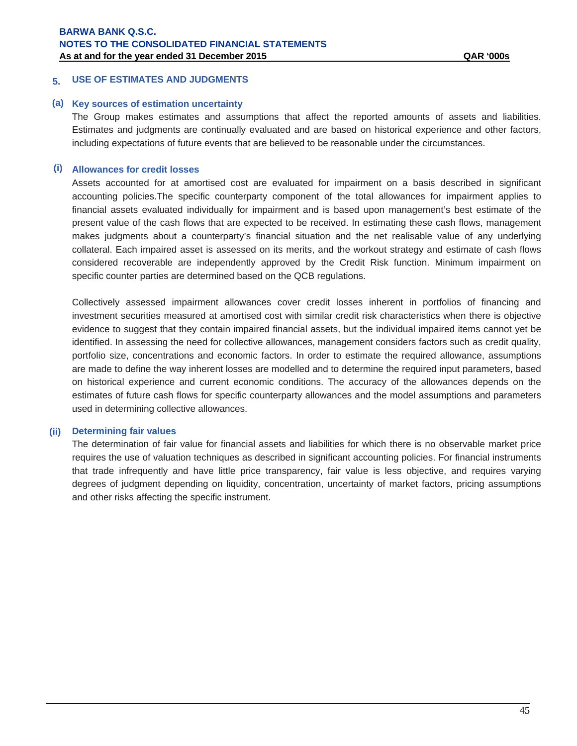# **5. USE OF ESTIMATES AND JUDGMENTS**

#### **(a) Key sources of estimation uncertainty**

The Group makes estimates and assumptions that affect the reported amounts of assets and liabilities. Estimates and judgments are continually evaluated and are based on historical experience and other factors, including expectations of future events that are believed to be reasonable under the circumstances.

#### **(i) Allowances for credit losses**

Assets accounted for at amortised cost are evaluated for impairment on a basis described in significant accounting policies.The specific counterparty component of the total allowances for impairment applies to financial assets evaluated individually for impairment and is based upon management's best estimate of the present value of the cash flows that are expected to be received. In estimating these cash flows, management makes judgments about a counterparty's financial situation and the net realisable value of any underlying collateral. Each impaired asset is assessed on its merits, and the workout strategy and estimate of cash flows considered recoverable are independently approved by the Credit Risk function. Minimum impairment on specific counter parties are determined based on the QCB regulations.

Collectively assessed impairment allowances cover credit losses inherent in portfolios of financing and investment securities measured at amortised cost with similar credit risk characteristics when there is objective evidence to suggest that they contain impaired financial assets, but the individual impaired items cannot yet be identified. In assessing the need for collective allowances, management considers factors such as credit quality, portfolio size, concentrations and economic factors. In order to estimate the required allowance, assumptions are made to define the way inherent losses are modelled and to determine the required input parameters, based on historical experience and current economic conditions. The accuracy of the allowances depends on the estimates of future cash flows for specific counterparty allowances and the model assumptions and parameters used in determining collective allowances.

#### **(ii) Determining fair values**

The determination of fair value for financial assets and liabilities for which there is no observable market price requires the use of valuation techniques as described in significant accounting policies. For financial instruments that trade infrequently and have little price transparency, fair value is less objective, and requires varying degrees of judgment depending on liquidity, concentration, uncertainty of market factors, pricing assumptions and other risks affecting the specific instrument.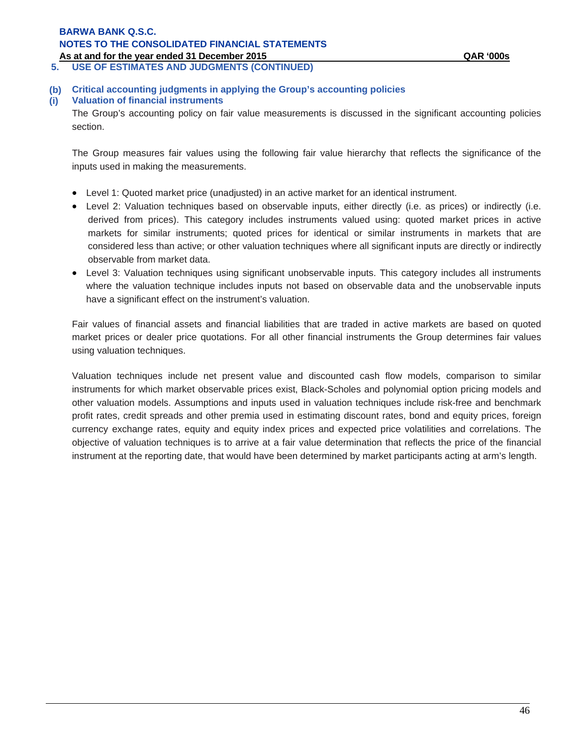**5. USE OF ESTIMATES AND JUDGMENTS (CONTINUED)**

# **(b) Critical accounting judgments in applying the Group's accounting policies**

#### **(i) Valuation of financial instruments**

The Group's accounting policy on fair value measurements is discussed in the significant accounting policies section.

The Group measures fair values using the following fair value hierarchy that reflects the significance of the inputs used in making the measurements.

- Level 1: Quoted market price (unadjusted) in an active market for an identical instrument.
- Level 2: Valuation techniques based on observable inputs, either directly (i.e. as prices) or indirectly (i.e. derived from prices). This category includes instruments valued using: quoted market prices in active markets for similar instruments; quoted prices for identical or similar instruments in markets that are considered less than active; or other valuation techniques where all significant inputs are directly or indirectly observable from market data.
- Level 3: Valuation techniques using significant unobservable inputs. This category includes all instruments where the valuation technique includes inputs not based on observable data and the unobservable inputs have a significant effect on the instrument's valuation.

Fair values of financial assets and financial liabilities that are traded in active markets are based on quoted market prices or dealer price quotations. For all other financial instruments the Group determines fair values using valuation techniques.

Valuation techniques include net present value and discounted cash flow models, comparison to similar instruments for which market observable prices exist, Black-Scholes and polynomial option pricing models and other valuation models. Assumptions and inputs used in valuation techniques include risk-free and benchmark profit rates, credit spreads and other premia used in estimating discount rates, bond and equity prices, foreign currency exchange rates, equity and equity index prices and expected price volatilities and correlations. The objective of valuation techniques is to arrive at a fair value determination that reflects the price of the financial instrument at the reporting date, that would have been determined by market participants acting at arm's length.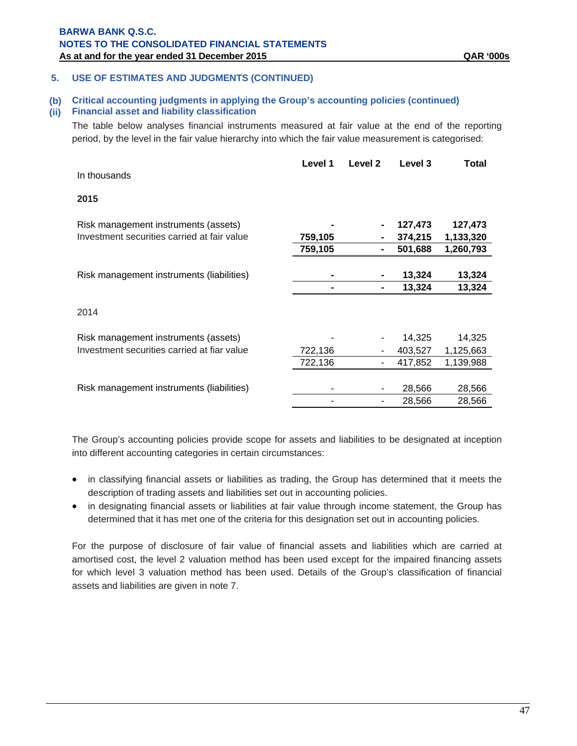#### **5. USE OF ESTIMATES AND JUDGMENTS (CONTINUED)**

#### **(b) Critical accounting judgments in applying the Group's accounting policies (continued)**

#### **(ii) Financial asset and liability classification**

The table below analyses financial instruments measured at fair value at the end of the reporting period, by the level in the fair value hierarchy into which the fair value measurement is categorised:

|                                             | Level 1 | Level 2 | Level 3 | Total     |
|---------------------------------------------|---------|---------|---------|-----------|
| In thousands                                |         |         |         |           |
| 2015                                        |         |         |         |           |
| Risk management instruments (assets)        |         |         | 127,473 | 127,473   |
| Investment securities carried at fair value | 759,105 |         | 374,215 | 1,133,320 |
|                                             | 759,105 |         | 501,688 | 1,260,793 |
|                                             |         |         |         |           |
| Risk management instruments (liabilities)   |         |         | 13,324  | 13,324    |
|                                             |         |         | 13,324  | 13,324    |
| 2014                                        |         |         |         |           |
| Risk management instruments (assets)        |         |         | 14,325  | 14,325    |
| Investment securities carried at fiar value | 722,136 |         | 403,527 | 1,125,663 |
|                                             | 722,136 |         | 417,852 | 1,139,988 |
|                                             |         |         |         |           |
| Risk management instruments (liabilities)   |         |         | 28,566  | 28,566    |
|                                             |         |         | 28,566  | 28,566    |

The Group's accounting policies provide scope for assets and liabilities to be designated at inception into different accounting categories in certain circumstances:

- in classifying financial assets or liabilities as trading, the Group has determined that it meets the description of trading assets and liabilities set out in accounting policies.
- in designating financial assets or liabilities at fair value through income statement, the Group has determined that it has met one of the criteria for this designation set out in accounting policies.

For the purpose of disclosure of fair value of financial assets and liabilities which are carried at amortised cost, the level 2 valuation method has been used except for the impaired financing assets for which level 3 valuation method has been used. Details of the Group's classification of financial assets and liabilities are given in note 7.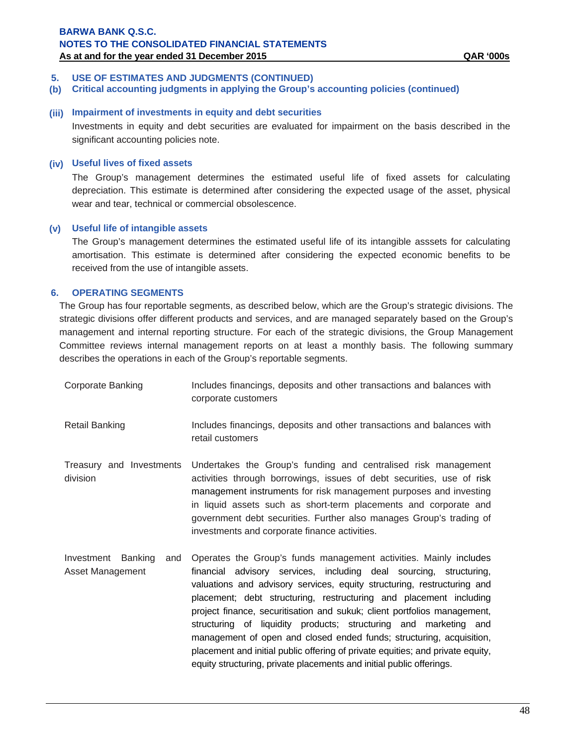## **5. USE OF ESTIMATES AND JUDGMENTS (CONTINUED)**

**(b) Critical accounting judgments in applying the Group's accounting policies (continued)**

#### **(iii) Impairment of investments in equity and debt securities**

Investments in equity and debt securities are evaluated for impairment on the basis described in the significant accounting policies note.

#### **(iv) Useful lives of fixed assets**

The Group's management determines the estimated useful life of fixed assets for calculating depreciation. This estimate is determined after considering the expected usage of the asset, physical wear and tear, technical or commercial obsolescence.

#### **(v) Useful life of intangible assets**

 The Group's management determines the estimated useful life of its intangible asssets for calculating amortisation. This estimate is determined after considering the expected economic benefits to be received from the use of intangible assets.

## **6. OPERATING SEGMENTS**

The Group has four reportable segments, as described below, which are the Group's strategic divisions. The strategic divisions offer different products and services, and are managed separately based on the Group's management and internal reporting structure. For each of the strategic divisions, the Group Management Committee reviews internal management reports on at least a monthly basis. The following summary describes the operations in each of the Group's reportable segments.

| Corporate Banking | Includes financings, deposits and other transactions and balances with                                        |
|-------------------|---------------------------------------------------------------------------------------------------------------|
|                   | corporate customers                                                                                           |
|                   | la al cola a fine de signa de la constitución a fine de la constancia de la cola la cola a constitución de la |

- Retail Banking **Includes financings, deposits and other transactions and balances with** retail customers
- Treasury and Investments division Undertakes the Group's funding and centralised risk management activities through borrowings, issues of debt securities, use of risk management instruments for risk management purposes and investing in liquid assets such as short-term placements and corporate and government debt securities. Further also manages Group's trading of investments and corporate finance activities.
- Investment Banking and Asset Management Operates the Group's funds management activities. Mainly includes financial advisory services, including deal sourcing, structuring, valuations and advisory services, equity structuring, restructuring and placement; debt structuring, restructuring and placement including project finance, securitisation and sukuk; client portfolios management, structuring of liquidity products; structuring and marketing and management of open and closed ended funds; structuring, acquisition, placement and initial public offering of private equities; and private equity, equity structuring, private placements and initial public offerings.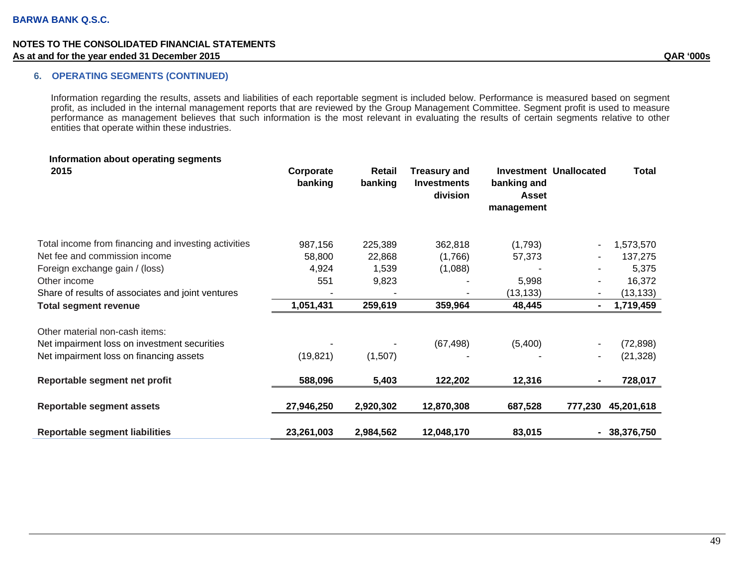## **6. OPERATING SEGMENTS (CONTINUED)**

Information regarding the results, assets and liabilities of each reportable segment is included below. Performance is measured based on segment profit, as included in the internal management reports that are reviewed by the Group Management Committee. Segment profit is used to measure performance as management believes that such information is the most relevant in evaluating the results of certain segments relative to other entities that operate within these industries.

| Information about operating segments<br>2015         | Corporate<br>banking | Retail<br>banking | <b>Treasury and</b><br><b>Investments</b><br>division | banking and<br><b>Asset</b><br>management | <b>Investment Unallocated</b> | <b>Total</b> |
|------------------------------------------------------|----------------------|-------------------|-------------------------------------------------------|-------------------------------------------|-------------------------------|--------------|
| Total income from financing and investing activities | 987,156              | 225,389           | 362,818                                               | (1,793)                                   |                               | 1,573,570    |
| Net fee and commission income                        | 58,800               | 22,868            | (1,766)                                               | 57,373                                    |                               | 137,275      |
| Foreign exchange gain / (loss)                       | 4,924                | 1,539             | (1,088)                                               |                                           | ۰                             | 5,375        |
| Other income                                         | 551                  | 9,823             |                                                       | 5,998                                     |                               | 16,372       |
| Share of results of associates and joint ventures    |                      |                   |                                                       | (13, 133)                                 |                               | (13, 133)    |
| <b>Total segment revenue</b>                         | 1,051,431            | 259,619           | 359,964                                               | 48,445                                    | $\blacksquare$                | 1,719,459    |
| Other material non-cash items:                       |                      |                   |                                                       |                                           |                               |              |
| Net impairment loss on investment securities         |                      |                   | (67, 498)                                             | (5,400)                                   |                               | (72, 898)    |
| Net impairment loss on financing assets              | (19, 821)            | (1,507)           |                                                       |                                           | $\blacksquare$                | (21, 328)    |
| Reportable segment net profit                        | 588,096              | 5,403             | 122,202                                               | 12,316                                    |                               | 728,017      |
| <b>Reportable segment assets</b>                     | 27,946,250           | 2,920,302         | 12,870,308                                            | 687,528                                   | 777,230                       | 45,201,618   |
| <b>Reportable segment liabilities</b>                | 23,261,003           | 2,984,562         | 12,048,170                                            | 83,015                                    | $\blacksquare$                | 38,376,750   |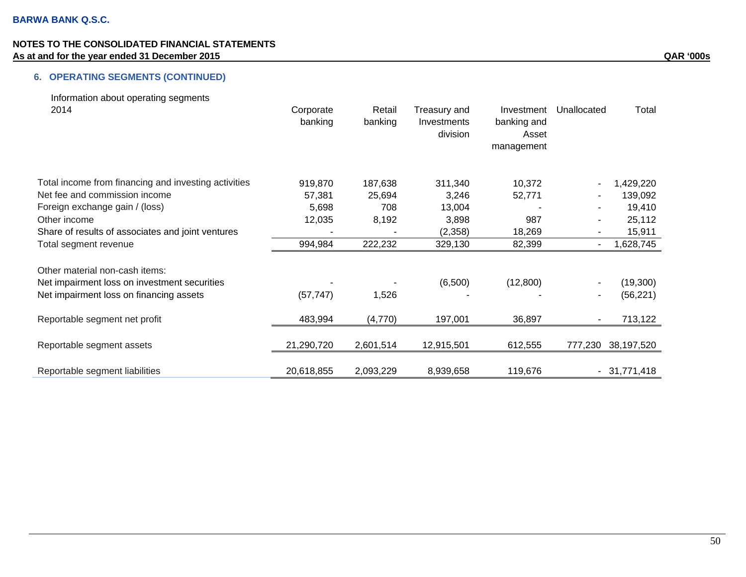# **6. OPERATING SEGMENTS (CONTINUED)**

| Information about operating segments<br>2014                                   | Corporate<br>banking | Retail<br>banking | Treasury and<br>Investments<br>division | Investment<br>banking and<br>Asset<br>management | Unallocated    | Total         |
|--------------------------------------------------------------------------------|----------------------|-------------------|-----------------------------------------|--------------------------------------------------|----------------|---------------|
| Total income from financing and investing activities                           | 919,870              | 187,638           | 311,340                                 | 10,372                                           |                | 1,429,220     |
| Net fee and commission income                                                  | 57,381               | 25,694            | 3,246                                   | 52,771                                           |                | 139,092       |
| Foreign exchange gain / (loss)                                                 | 5,698                | 708               | 13,004                                  |                                                  |                | 19,410        |
| Other income                                                                   | 12,035               | 8,192             | 3,898                                   | 987                                              |                | 25,112        |
| Share of results of associates and joint ventures                              |                      |                   | (2,358)                                 | 18,269                                           |                | 15,911        |
| Total segment revenue                                                          | 994,984              | 222,232           | 329,130                                 | 82,399                                           | $\blacksquare$ | 1,628,745     |
| Other material non-cash items:<br>Net impairment loss on investment securities |                      |                   | (6,500)                                 | (12,800)                                         |                | (19, 300)     |
| Net impairment loss on financing assets                                        | (57, 747)            | 1,526             |                                         |                                                  |                | (56, 221)     |
| Reportable segment net profit                                                  | 483,994              | (4,770)           | 197,001                                 | 36,897                                           |                | 713,122       |
| Reportable segment assets                                                      | 21,290,720           | 2,601,514         | 12,915,501                              | 612,555                                          | 777,230        | 38,197,520    |
| Reportable segment liabilities                                                 | 20,618,855           | 2,093,229         | 8,939,658                               | 119,676                                          |                | $-31,771,418$ |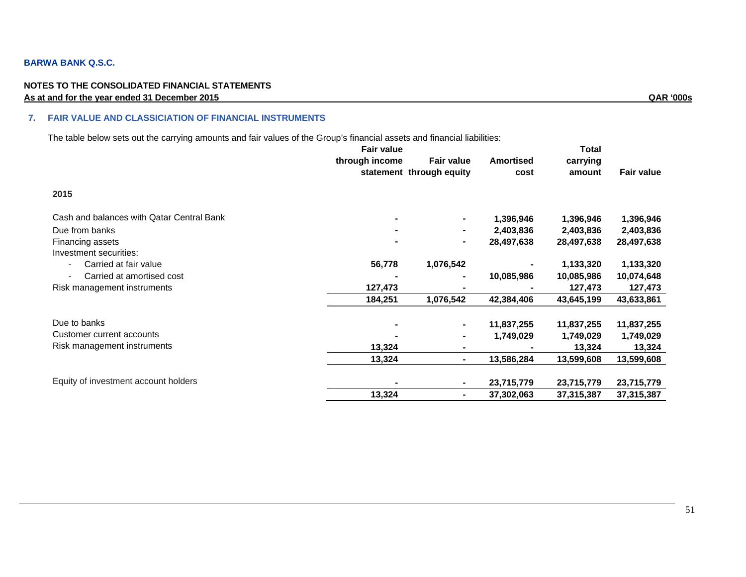#### **BARWA BANK Q.S.C.**

#### **NOTES TO THE CONSOLIDATED FINANCIAL STATEMENTS As at and for the year ended 31 December 2015 QAR '000s**

#### **7. FAIR VALUE AND CLASSICIATION OF FINANCIAL INSTRUMENTS**

The table below sets out the carrying amounts and fair values of the Group's financial assets and financial liabilities:

|                                           | <b>Fair value</b> |                          |                  | Total      |                   |
|-------------------------------------------|-------------------|--------------------------|------------------|------------|-------------------|
|                                           | through income    | <b>Fair value</b>        | <b>Amortised</b> | carrying   |                   |
|                                           |                   | statement through equity | cost             | amount     | <b>Fair value</b> |
| 2015                                      |                   |                          |                  |            |                   |
| Cash and balances with Qatar Central Bank |                   | ۰                        | 1,396,946        | 1,396,946  | 1,396,946         |
| Due from banks                            |                   |                          | 2,403,836        | 2,403,836  | 2,403,836         |
| Financing assets                          |                   | $\sim$                   | 28,497,638       | 28,497,638 | 28,497,638        |
| Investment securities:                    |                   |                          |                  |            |                   |
| Carried at fair value                     | 56,778            | 1,076,542                |                  | 1,133,320  | 1,133,320         |
| Carried at amortised cost                 |                   |                          | 10,085,986       | 10,085,986 | 10,074,648        |
| Risk management instruments               | 127,473           |                          |                  | 127,473    | 127,473           |
|                                           | 184,251           | 1,076,542                | 42,384,406       | 43,645,199 | 43,633,861        |
| Due to banks                              |                   | ۰                        | 11,837,255       | 11,837,255 | 11,837,255        |
| Customer current accounts                 |                   | ۰                        | 1,749,029        | 1,749,029  | 1,749,029         |
| Risk management instruments               | 13,324            | ۰.                       |                  | 13,324     | 13,324            |
|                                           | 13,324            | $\blacksquare$           | 13,586,284       | 13,599,608 | 13,599,608        |
| Equity of investment account holders      |                   | ۰.                       | 23,715,779       | 23,715,779 | 23,715,779        |
|                                           | 13,324            | ۰.                       | 37,302,063       | 37,315,387 | 37,315,387        |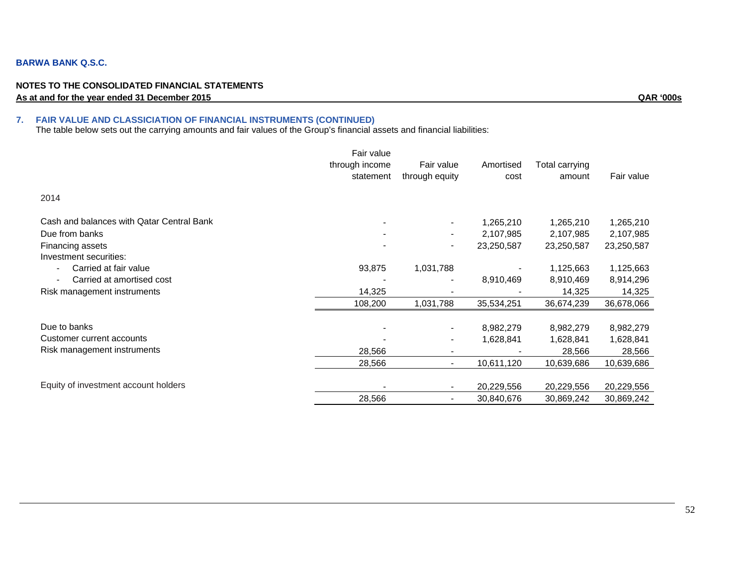#### **BARWA BANK Q.S.C.**

#### **NOTES TO THE CONSOLIDATED FINANCIAL STATEMENTS As at and for the year ended 31 December 2015 QAR '000s**

#### **7. FAIR VALUE AND CLASSICIATION OF FINANCIAL INSTRUMENTS (CONTINUED)**

The table below sets out the carrying amounts and fair values of the Group's financial assets and financial liabilities:

|                                           | Fair value     |                          |            |                |            |
|-------------------------------------------|----------------|--------------------------|------------|----------------|------------|
|                                           | through income | Fair value               | Amortised  | Total carrying |            |
|                                           | statement      | through equity           | cost       | amount         | Fair value |
| 2014                                      |                |                          |            |                |            |
| Cash and balances with Qatar Central Bank |                | $\overline{\phantom{a}}$ | 1,265,210  | 1,265,210      | 1,265,210  |
| Due from banks                            |                | -                        | 2,107,985  | 2,107,985      | 2,107,985  |
| Financing assets                          |                | -                        | 23,250,587 | 23,250,587     | 23,250,587 |
| Investment securities:                    |                |                          |            |                |            |
| Carried at fair value                     | 93,875         | 1,031,788                |            | 1,125,663      | 1,125,663  |
| Carried at amortised cost                 |                |                          | 8,910,469  | 8,910,469      | 8,914,296  |
| Risk management instruments               | 14,325         |                          |            | 14,325         | 14,325     |
|                                           | 108,200        | 1,031,788                | 35,534,251 | 36,674,239     | 36,678,066 |
| Due to banks                              |                | $\overline{\phantom{a}}$ | 8,982,279  | 8,982,279      | 8,982,279  |
| Customer current accounts                 |                |                          | 1,628,841  | 1,628,841      | 1,628,841  |
| Risk management instruments               | 28,566         | $\blacksquare$           |            | 28,566         | 28,566     |
|                                           | 28,566         | $\overline{\phantom{0}}$ | 10,611,120 | 10,639,686     | 10,639,686 |
| Equity of investment account holders      |                | $\blacksquare$           | 20,229,556 | 20,229,556     | 20,229,556 |
|                                           | 28,566         | $\blacksquare$           | 30,840,676 | 30,869,242     | 30,869,242 |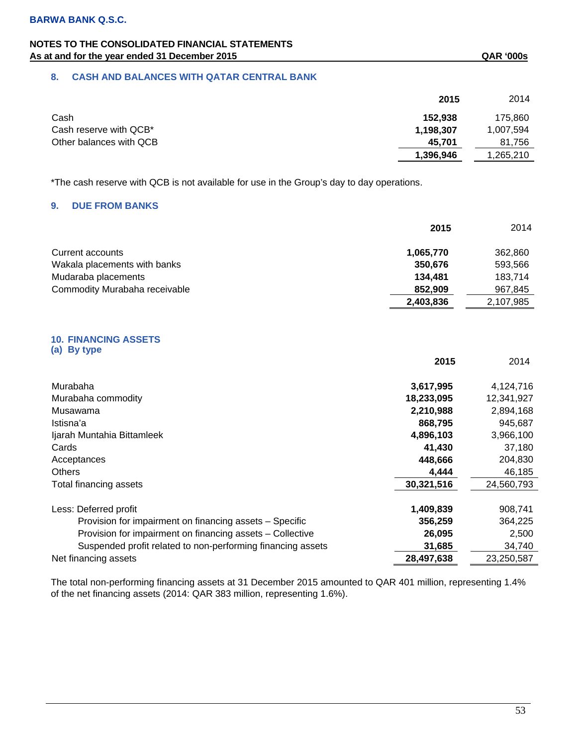## **8. CASH AND BALANCES WITH QATAR CENTRAL BANK**

|                         | 2015      | 2014      |
|-------------------------|-----------|-----------|
| Cash                    | 152.938   | 175,860   |
| Cash reserve with QCB*  | 1,198,307 | 1,007,594 |
| Other balances with QCB | 45,701    | 81.756    |
|                         | 1,396,946 | .265.210  |

\*The cash reserve with QCB is not available for use in the Group's day to day operations.

## **9. DUE FROM BANKS**

|                               | 2015      | 2014      |
|-------------------------------|-----------|-----------|
| Current accounts              | 1,065,770 | 362,860   |
| Wakala placements with banks  | 350,676   | 593,566   |
| Mudaraba placements           | 134.481   | 183,714   |
| Commodity Murabaha receivable | 852.909   | 967.845   |
|                               | 2,403,836 | 2,107,985 |

#### **10. FINANCING ASSETS (a) By type**

|                                                             | 2015       | 2014       |
|-------------------------------------------------------------|------------|------------|
| Murabaha                                                    | 3,617,995  | 4,124,716  |
| Murabaha commodity                                          | 18,233,095 | 12,341,927 |
| Musawama                                                    | 2,210,988  | 2,894,168  |
| Istisna'a                                                   | 868,795    | 945,687    |
| Ijarah Muntahia Bittamleek                                  | 4,896,103  | 3,966,100  |
| Cards                                                       | 41,430     | 37,180     |
| Acceptances                                                 | 448,666    | 204,830    |
| <b>Others</b>                                               | 4,444      | 46,185     |
| Total financing assets                                      | 30,321,516 | 24,560,793 |
| Less: Deferred profit                                       | 1,409,839  | 908,741    |
| Provision for impairment on financing assets - Specific     | 356,259    | 364,225    |
| Provision for impairment on financing assets - Collective   | 26,095     | 2,500      |
| Suspended profit related to non-performing financing assets | 31,685     | 34,740     |
| Net financing assets                                        | 28,497,638 | 23,250,587 |

The total non-performing financing assets at 31 December 2015 amounted to QAR 401 million, representing 1.4% of the net financing assets (2014: QAR 383 million, representing 1.6%).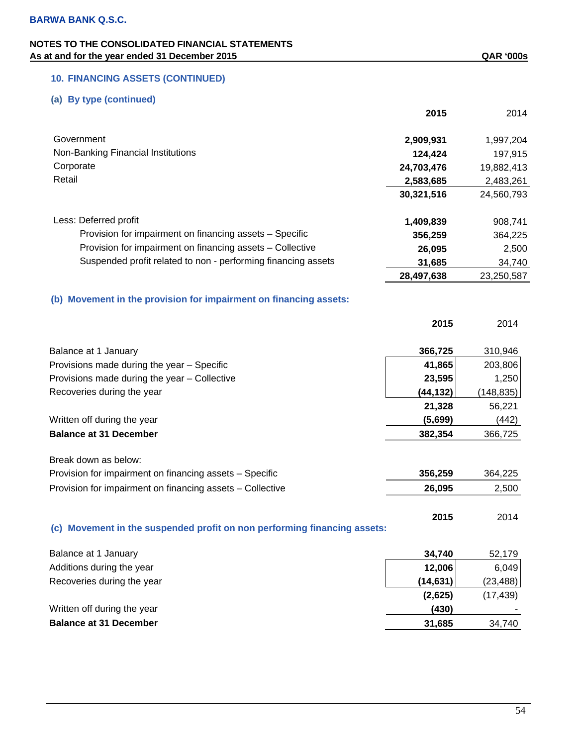# **10. FINANCING ASSETS (CONTINUED)**

# **(a) By type (continued)**

|                                                                          | 2015       | 2014       |
|--------------------------------------------------------------------------|------------|------------|
| Government                                                               | 2,909,931  | 1,997,204  |
| Non-Banking Financial Institutions                                       | 124,424    | 197,915    |
| Corporate                                                                | 24,703,476 | 19,882,413 |
| Retail                                                                   | 2,583,685  | 2,483,261  |
|                                                                          | 30,321,516 | 24,560,793 |
| Less: Deferred profit                                                    | 1,409,839  | 908,741    |
| Provision for impairment on financing assets - Specific                  | 356,259    | 364,225    |
| Provision for impairment on financing assets - Collective                | 26,095     | 2,500      |
| Suspended profit related to non - performing financing assets            | 31,685     | 34,740     |
|                                                                          | 28,497,638 | 23,250,587 |
| (b) Movement in the provision for impairment on financing assets:        |            |            |
|                                                                          | 2015       | 2014       |
| Balance at 1 January                                                     | 366,725    | 310,946    |
| Provisions made during the year - Specific                               | 41,865     | 203,806    |
| Provisions made during the year - Collective                             | 23,595     | 1,250      |
| Recoveries during the year                                               | (44, 132)  | (148, 835) |
|                                                                          | 21,328     | 56,221     |
| Written off during the year                                              | (5,699)    | (442)      |
| <b>Balance at 31 December</b>                                            | 382,354    | 366,725    |
| Break down as below:                                                     |            |            |
| Provision for impairment on financing assets - Specific                  | 356,259    | 364,225    |
| Provision for impairment on financing assets - Collective                | 26,095     | 2,500      |
| (c) Movement in the suspended profit on non performing financing assets: | 2015       | 2014       |
| Balance at 1 January                                                     | 34,740     | 52,179     |
| Additions during the year                                                | 12,006     | 6,049      |
| Recoveries during the year                                               | (14, 631)  | (23, 488)  |
|                                                                          | (2,625)    | (17, 439)  |
| Written off during the year                                              | (430)      |            |
| <b>Balance at 31 December</b>                                            | 31,685     | 34,740     |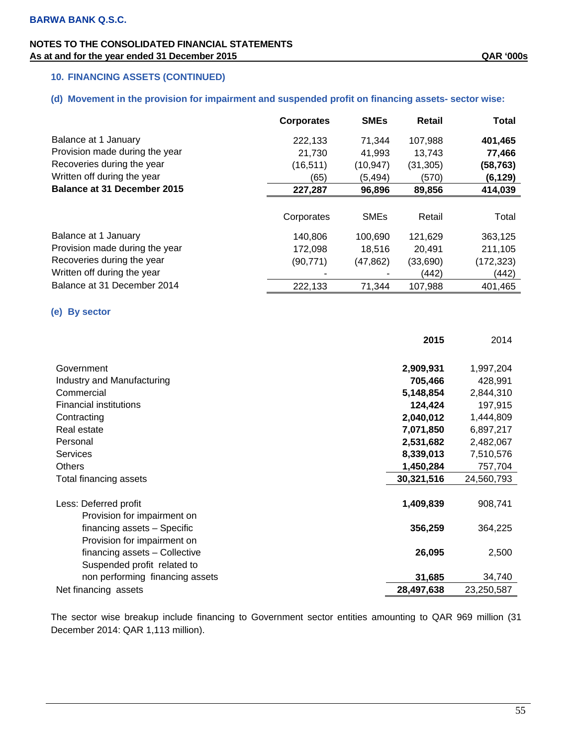## **10. FINANCING ASSETS (CONTINUED)**

## **(d) Movement in the provision for impairment and suspended profit on financing assets- sector wise:**

|                                    | <b>Corporates</b> | <b>SMEs</b> | Retail    | Total     |
|------------------------------------|-------------------|-------------|-----------|-----------|
| Balance at 1 January               | 222,133           | 71,344      | 107,988   | 401,465   |
| Provision made during the year     | 21,730            | 41,993      | 13,743    | 77,466    |
| Recoveries during the year         | (16, 511)         | (10,947)    | (31, 305) | (58, 763) |
| Written off during the year        | (65)              | (5, 494)    | (570)     | (6, 129)  |
| <b>Balance at 31 December 2015</b> | 227,287           | 96,896      | 89,856    | 414,039   |
|                                    | Corporates        | <b>SMEs</b> | Retail    | Total     |
| Balance at 1 January               | 140.806           | 100.690     | 121,629   | 363,125   |
| Provision made during the year     | 172.098           | 18.516      | 20.491    | 211.105   |
| Recoveries during the year         | (90,771)          | (47,862)    | (33,690)  | (172,323) |
| Written off during the year        |                   |             | (442)     | (442)     |
| Balance at 31 December 2014        | 222,133           | 71.344      | 107.988   | 401.465   |

## **(e) By sector**

|                                 | 2015       | 2014       |
|---------------------------------|------------|------------|
|                                 |            |            |
| Government                      | 2,909,931  | 1,997,204  |
| Industry and Manufacturing      | 705,466    | 428,991    |
| Commercial                      | 5,148,854  | 2,844,310  |
| <b>Financial institutions</b>   | 124,424    | 197,915    |
| Contracting                     | 2,040,012  | 1,444,809  |
| Real estate                     | 7,071,850  | 6,897,217  |
| Personal                        | 2,531,682  | 2,482,067  |
| <b>Services</b>                 | 8,339,013  | 7,510,576  |
| Others                          | 1,450,284  | 757,704    |
| Total financing assets          | 30,321,516 | 24,560,793 |
|                                 |            |            |
| Less: Deferred profit           | 1,409,839  | 908,741    |
| Provision for impairment on     |            |            |
| financing assets - Specific     | 356,259    | 364,225    |
| Provision for impairment on     |            |            |
| financing assets - Collective   | 26,095     | 2,500      |
| Suspended profit related to     |            |            |
| non performing financing assets | 31,685     | 34,740     |
| Net financing assets            | 28,497,638 | 23,250,587 |

The sector wise breakup include financing to Government sector entities amounting to QAR 969 million (31 December 2014: QAR 1,113 million).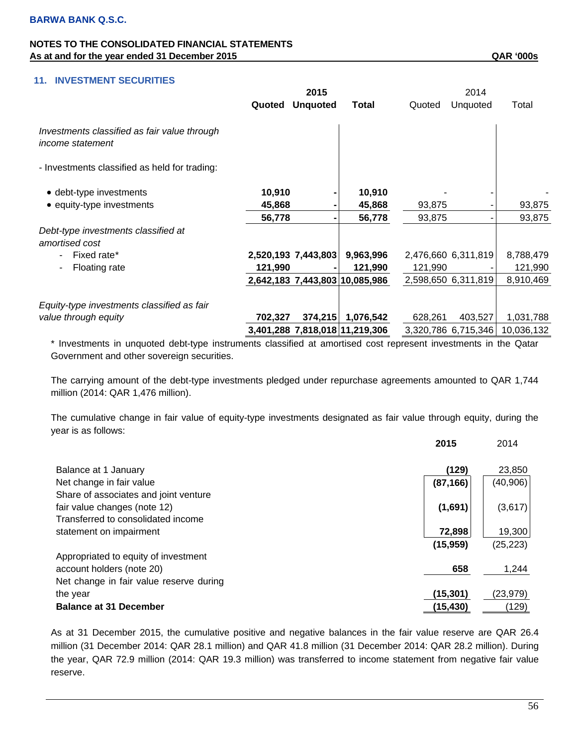## **11. INVESTMENT SECURITIES**

|                                                                  | 2015    |                     |                                |         | 2014                |            |  |
|------------------------------------------------------------------|---------|---------------------|--------------------------------|---------|---------------------|------------|--|
|                                                                  | Quoted  | <b>Unquoted</b>     | Total                          | Quoted  | Unquoted            | Total      |  |
| Investments classified as fair value through<br>income statement |         |                     |                                |         |                     |            |  |
| - Investments classified as held for trading:                    |         |                     |                                |         |                     |            |  |
| • debt-type investments                                          | 10,910  |                     | 10,910                         |         |                     |            |  |
| • equity-type investments                                        | 45,868  |                     | 45,868                         | 93,875  |                     | 93,875     |  |
|                                                                  | 56,778  |                     | 56,778                         | 93,875  |                     | 93,875     |  |
| Debt-type investments classified at<br>amortised cost            |         |                     |                                |         |                     |            |  |
| Fixed rate*<br>۰                                                 |         | 2,520,193 7,443,803 | 9,963,996                      |         | 2,476,660 6,311,819 | 8,788,479  |  |
| Floating rate<br>$\overline{\phantom{a}}$                        | 121,990 |                     | 121,990                        | 121,990 |                     | 121,990    |  |
|                                                                  |         |                     | 2,642,183 7,443,803 10,085,986 |         | 2,598,650 6,311,819 | 8,910,469  |  |
| Equity-type investments classified as fair                       |         |                     |                                |         |                     |            |  |
| value through equity                                             | 702,327 | 374,215             | 1,076,542                      | 628,261 | 403,527             | 1,031,788  |  |
|                                                                  |         |                     | 3,401,288 7,818,018 11,219,306 |         | 3,320,786 6,715,346 | 10,036,132 |  |

\* Investments in unquoted debt-type instruments classified at amortised cost represent investments in the Qatar Government and other sovereign securities.

The carrying amount of the debt-type investments pledged under repurchase agreements amounted to QAR 1,744 million (2014: QAR 1,476 million).

The cumulative change in fair value of equity-type investments designated as fair value through equity, during the year is as follows:

|                                         | 2015      | 2014      |
|-----------------------------------------|-----------|-----------|
| Balance at 1 January                    | (129)     | 23,850    |
| Net change in fair value                | (87, 166) | (40, 906) |
| Share of associates and joint venture   |           |           |
| fair value changes (note 12)            | (1,691)   | (3,617)   |
| Transferred to consolidated income      |           |           |
| statement on impairment                 | 72,898    | 19,300    |
|                                         | (15, 959) | (25, 223) |
| Appropriated to equity of investment    |           |           |
| account holders (note 20)               | 658       | 1,244     |
| Net change in fair value reserve during |           |           |
| the year                                | (15, 301) | (23, 979) |
| <b>Balance at 31 December</b>           | (15, 430) | (129)     |

As at 31 December 2015, the cumulative positive and negative balances in the fair value reserve are QAR 26.4 million (31 December 2014: QAR 28.1 million) and QAR 41.8 million (31 December 2014: QAR 28.2 million). During the year, QAR 72.9 million (2014: QAR 19.3 million) was transferred to income statement from negative fair value reserve.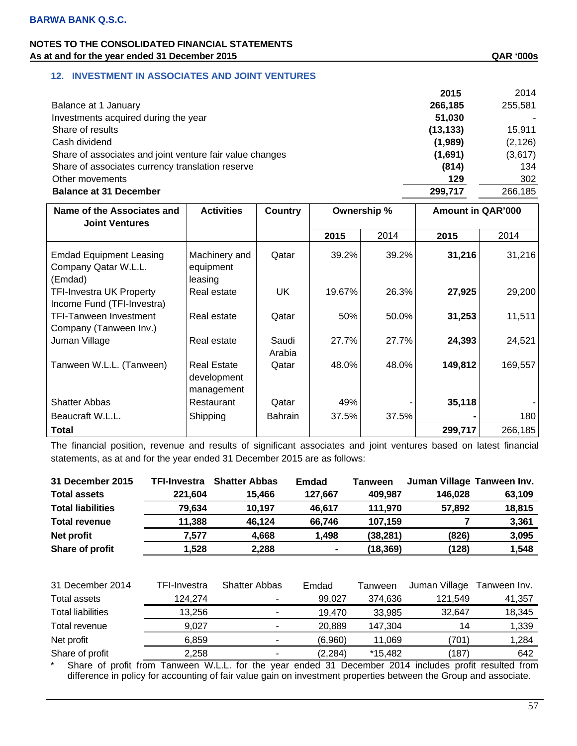# **12. INVESTMENT IN ASSOCIATES AND JOINT VENTURES**

|                                                          | 2015      | 2014     |
|----------------------------------------------------------|-----------|----------|
| Balance at 1 January                                     | 266,185   | 255,581  |
| Investments acquired during the year                     | 51,030    |          |
| Share of results                                         | (13, 133) | 15,911   |
| Cash dividend                                            | (1,989)   | (2, 126) |
| Share of associates and joint venture fair value changes | (1,691)   | (3,617)  |
| Share of associates currency translation reserve         | (814)     | 134      |
| Other movements                                          | 129       | 302      |
| <b>Balance at 31 December</b>                            | 299,717   | 266,185  |
|                                                          |           |          |

| Name of the Associates and<br><b>Joint Ventures</b>               | <b>Activities</b>                               | Country         | Ownership % |       | <b>Amount in QAR'000</b> |         |
|-------------------------------------------------------------------|-------------------------------------------------|-----------------|-------------|-------|--------------------------|---------|
|                                                                   |                                                 |                 | 2015        | 2014  | 2015                     | 2014    |
| <b>Emdad Equipment Leasing</b><br>Company Qatar W.L.L.<br>(Emdad) | Machinery and<br>equipment<br>leasing           | Qatar           | 39.2%       | 39.2% | 31,216                   | 31,216  |
| <b>TFI-Investra UK Property</b><br>Income Fund (TFI-Investra)     | Real estate                                     | UK              | 19.67%      | 26.3% | 27,925                   | 29,200  |
| <b>TFI-Tanween Investment</b><br>Company (Tanween Inv.)           | Real estate                                     | Qatar           | 50%         | 50.0% | 31,253                   | 11,511  |
| Juman Village                                                     | Real estate                                     | Saudi<br>Arabia | 27.7%       | 27.7% | 24,393                   | 24,521  |
| Tanween W.L.L. (Tanween)                                          | <b>Real Estate</b><br>development<br>management | Qatar           | 48.0%       | 48.0% | 149,812                  | 169,557 |
| <b>Shatter Abbas</b>                                              | Restaurant                                      | Qatar           | 49%         |       | 35,118                   |         |
| Beaucraft W.L.L.                                                  | Shipping                                        | <b>Bahrain</b>  | 37.5%       | 37.5% |                          | 180     |
| <b>Total</b>                                                      |                                                 |                 |             |       | 299,717                  | 266,185 |

The financial position, revenue and results of significant associates and joint ventures based on latest financial statements, as at and for the year ended 31 December 2015 are as follows:

| 31 December 2015         | <b>TFI-Investra</b> | <b>Shatter Abbas</b> | <b>Emdad</b> | Tanween   | Juman Village Tanween Inv. |              |
|--------------------------|---------------------|----------------------|--------------|-----------|----------------------------|--------------|
| <b>Total assets</b>      | 221,604             | 15,466               | 127,667      | 409,987   | 146,028                    | 63,109       |
| <b>Total liabilities</b> | 79,634              | 10,197               | 46,617       | 111,970   | 57,892                     | 18,815       |
| <b>Total revenue</b>     | 11,388              | 46,124               | 66,746       | 107,159   |                            | 3,361        |
| Net profit               | 7,577               | 4,668                | 1,498        | (38, 281) | (826)                      | 3,095        |
| Share of profit          | 1,528               | 2,288                |              | (18, 369) | (128)                      | 1,548        |
|                          |                     |                      |              |           |                            |              |
| 31 December 2014         | TFI-Investra        | <b>Shatter Abbas</b> | Emdad        | Tanween   | Juman Village              | Tanween Inv. |
| Total assets             | 124,274             |                      | 99,027       | 374,636   | 121,549                    | 41,357       |
| <b>Total liabilities</b> | 13,256              |                      | 19,470       | 33,985    | 32,647                     | 18,345       |
| Total revenue            | 9,027               |                      | 20,889       | 147,304   | 14                         | 1,339        |
| Net profit               | 6,859               |                      | (6,960)      | 11,069    | (701)                      | 1,284        |
| Share of profit          | 2,258               |                      | (2,284)      | *15,482   | (187)                      | 642          |

Share of profit from Tanween W.L.L. for the year ended 31 December 2014 includes profit resulted from difference in policy for accounting of fair value gain on investment properties between the Group and associate.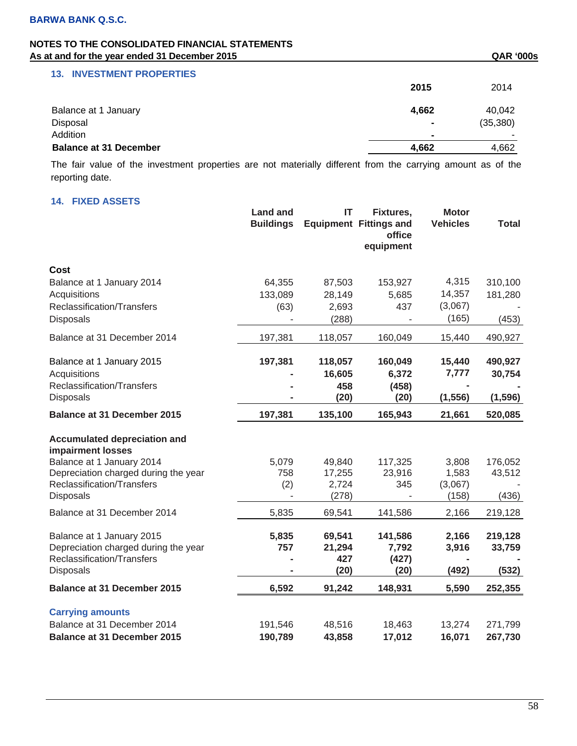# **NOTES TO THE CONSOLIDATED FINANCIAL STATEMENTS**

| As at and for the year ended 31 December 2015 |                | <b>QAR '000s</b> |
|-----------------------------------------------|----------------|------------------|
| <b>13. INVESTMENT PROPERTIES</b>              |                |                  |
|                                               | 2015           | 2014             |
| Balance at 1 January                          | 4.662          | 40,042           |
| Disposal                                      |                | (35, 380)        |
| Addition                                      | $\blacksquare$ |                  |
| <b>Balance at 31 December</b>                 | 4.662          | 4,662            |

The fair value of the investment properties are not materially different from the carrying amount as of the reporting date.

# **14. FIXED ASSETS**

|                                                                                                 | <b>Land and</b><br><b>Buildings</b> | IT                      | Fixtures,<br><b>Equipment Fittings and</b><br>office<br>equipment | <b>Motor</b><br><b>Vehicles</b> | <b>Total</b>      |
|-------------------------------------------------------------------------------------------------|-------------------------------------|-------------------------|-------------------------------------------------------------------|---------------------------------|-------------------|
| <b>Cost</b>                                                                                     |                                     |                         |                                                                   |                                 |                   |
| Balance at 1 January 2014                                                                       | 64,355                              | 87,503                  | 153,927                                                           | 4,315                           | 310,100           |
| Acquisitions                                                                                    | 133,089                             | 28,149                  | 5,685                                                             | 14,357                          | 181,280           |
| Reclassification/Transfers<br><b>Disposals</b>                                                  | (63)                                | 2,693<br>(288)          | 437                                                               | (3,067)<br>(165)                | (453)             |
| Balance at 31 December 2014                                                                     | 197,381                             | 118,057                 | 160,049                                                           | 15,440                          | 490,927           |
| Balance at 1 January 2015                                                                       | 197,381                             | 118,057                 | 160,049                                                           | 15,440                          | 490,927           |
| Acquisitions                                                                                    |                                     | 16,605                  | 6,372                                                             | 7,777                           | 30,754            |
| Reclassification/Transfers<br>Disposals                                                         |                                     | 458<br>(20)             | (458)<br>(20)                                                     | (1, 556)                        | (1, 596)          |
| <b>Balance at 31 December 2015</b>                                                              | 197,381                             | 135,100                 | 165,943                                                           | 21,661                          | 520,085           |
| <b>Accumulated depreciation and</b><br>impairment losses                                        |                                     |                         |                                                                   |                                 |                   |
| Balance at 1 January 2014                                                                       | 5,079                               | 49,840                  | 117,325                                                           | 3,808                           | 176,052           |
| Depreciation charged during the year                                                            | 758                                 | 17,255                  | 23,916                                                            | 1,583                           | 43,512            |
| Reclassification/Transfers<br>Disposals                                                         | (2)                                 | 2,724<br>(278)          | 345                                                               | (3,067)<br>(158)                | (436)             |
| Balance at 31 December 2014                                                                     | 5,835                               | 69,541                  | 141,586                                                           | 2,166                           | 219,128           |
| Balance at 1 January 2015<br>Depreciation charged during the year<br>Reclassification/Transfers | 5,835<br>757                        | 69,541<br>21,294<br>427 | 141,586<br>7,792<br>(427)                                         | 2,166<br>3,916                  | 219,128<br>33,759 |
| <b>Disposals</b>                                                                                |                                     | (20)                    | (20)                                                              | (492)                           | (532)             |
| <b>Balance at 31 December 2015</b>                                                              | 6,592                               | 91,242                  | 148,931                                                           | 5,590                           | 252,355           |
| <b>Carrying amounts</b>                                                                         |                                     |                         |                                                                   |                                 |                   |
| Balance at 31 December 2014                                                                     | 191,546                             | 48,516                  | 18,463                                                            | 13,274                          | 271,799           |
| <b>Balance at 31 December 2015</b>                                                              | 190,789                             | 43,858                  | 17,012                                                            | 16,071                          | 267,730           |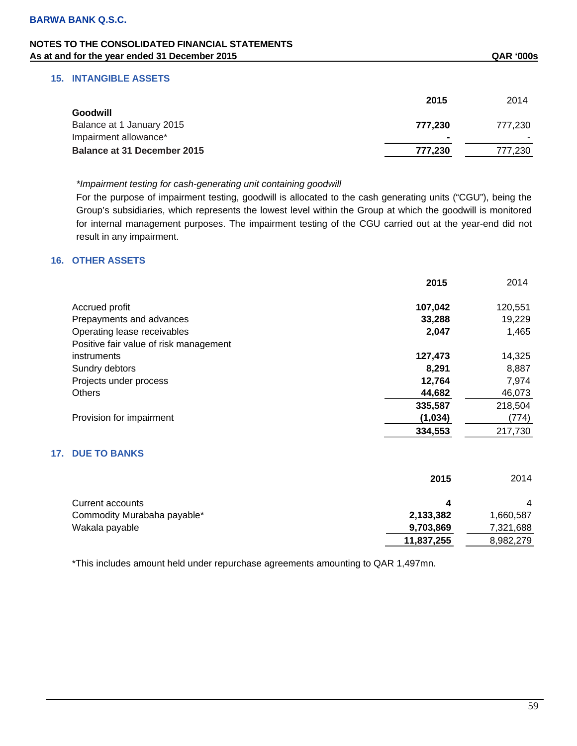## **15. INTANGIBLE ASSETS**

|                             | 2015           | 2014    |
|-----------------------------|----------------|---------|
| Goodwill                    |                |         |
| Balance at 1 January 2015   | 777.230        | 777.230 |
| Impairment allowance*       | $\blacksquare$ |         |
| Balance at 31 December 2015 | 777.230        | 777,230 |

*\*Impairment testing for cash-generating unit containing goodwill* 

For the purpose of impairment testing, goodwill is allocated to the cash generating units ("CGU"), being the Group's subsidiaries, which represents the lowest level within the Group at which the goodwill is monitored for internal management purposes. The impairment testing of the CGU carried out at the year-end did not result in any impairment.

## **16. OTHER ASSETS**

|                                        | 2015    | 2014    |
|----------------------------------------|---------|---------|
| Accrued profit                         | 107,042 | 120,551 |
| Prepayments and advances               | 33,288  | 19,229  |
| Operating lease receivables            | 2,047   | 1,465   |
| Positive fair value of risk management |         |         |
| instruments                            | 127,473 | 14,325  |
| Sundry debtors                         | 8.291   | 8,887   |
| Projects under process                 | 12,764  | 7,974   |
| <b>Others</b>                          | 44,682  | 46,073  |
|                                        | 335,587 | 218,504 |
| Provision for impairment               | (1,034) | (774)   |
|                                        | 334,553 | 217,730 |
|                                        |         |         |

# **17. DUE TO BANKS**

|                             | 2015       | 2014           |
|-----------------------------|------------|----------------|
| Current accounts            | Δ          | $\overline{4}$ |
| Commodity Murabaha payable* | 2,133,382  | 1,660,587      |
| Wakala payable              | 9,703,869  | 7,321,688      |
|                             | 11,837,255 | 8,982,279      |

\*This includes amount held under repurchase agreements amounting to QAR 1,497mn.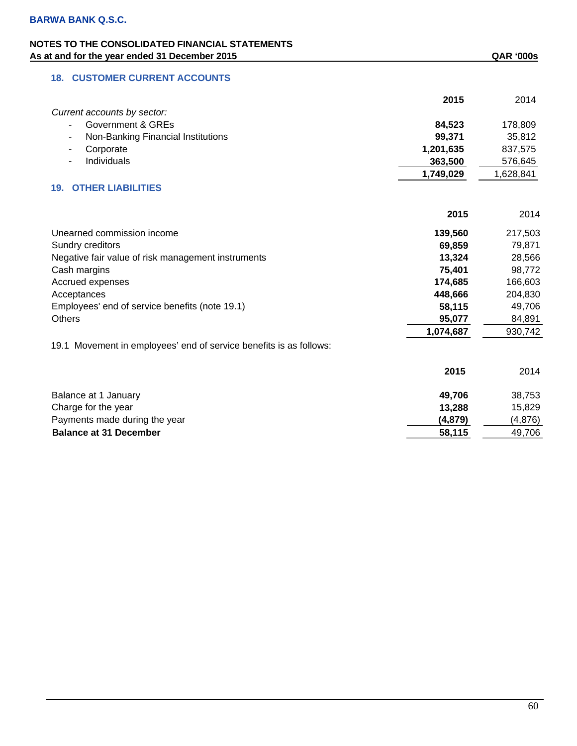# **18. CUSTOMER CURRENT ACCOUNTS**

|                                                                    | 2015      | 2014      |
|--------------------------------------------------------------------|-----------|-----------|
| Current accounts by sector:                                        |           |           |
| <b>Government &amp; GREs</b>                                       | 84,523    | 178,809   |
| Non-Banking Financial Institutions                                 | 99,371    | 35,812    |
| Corporate                                                          | 1,201,635 | 837,575   |
| Individuals                                                        | 363,500   | 576,645   |
|                                                                    | 1,749,029 | 1,628,841 |
| <b>OTHER LIABILITIES</b><br>19.                                    |           |           |
|                                                                    | 2015      | 2014      |
| Unearned commission income                                         | 139,560   | 217,503   |
| Sundry creditors                                                   | 69,859    | 79,871    |
| Negative fair value of risk management instruments                 | 13,324    | 28,566    |
| Cash margins                                                       | 75,401    | 98,772    |
| Accrued expenses                                                   | 174,685   | 166,603   |
| Acceptances                                                        | 448,666   | 204,830   |
| Employees' end of service benefits (note 19.1)                     | 58,115    | 49,706    |
| <b>Others</b>                                                      | 95,077    | 84,891    |
|                                                                    | 1,074,687 | 930,742   |
| 19.1 Movement in employees' end of service benefits is as follows: |           |           |
|                                                                    | 2015      | 2014      |
| Balance at 1 January                                               | 49,706    | 38,753    |
| Charge for the year                                                | 13,288    | 15,829    |
| Payments made during the year                                      | (4,879)   | (4,876)   |
| <b>Balance at 31 December</b>                                      | 58,115    | 49,706    |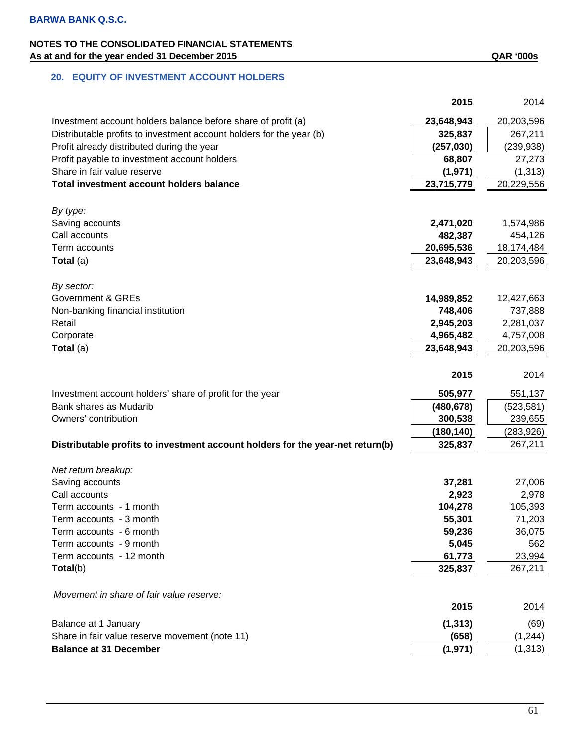|                                                                                | 2015              | 2014              |
|--------------------------------------------------------------------------------|-------------------|-------------------|
| Investment account holders balance before share of profit (a)                  | 23,648,943        | 20,203,596        |
| Distributable profits to investment account holders for the year (b)           | 325,837           | 267,211           |
| Profit already distributed during the year                                     | (257, 030)        | (239, 938)        |
| Profit payable to investment account holders                                   | 68,807            | 27,273            |
| Share in fair value reserve                                                    | (1,971)           | (1, 313)          |
| Total investment account holders balance                                       | 23,715,779        | 20,229,556        |
|                                                                                |                   |                   |
| By type:                                                                       |                   |                   |
| Saving accounts                                                                | 2,471,020         | 1,574,986         |
| Call accounts                                                                  | 482,387           | 454,126           |
| Term accounts                                                                  | 20,695,536        | 18,174,484        |
| Total (a)                                                                      | 23,648,943        | 20,203,596        |
|                                                                                |                   |                   |
| By sector:                                                                     |                   |                   |
| <b>Government &amp; GREs</b>                                                   | 14,989,852        | 12,427,663        |
| Non-banking financial institution                                              | 748,406           | 737,888           |
| Retail                                                                         | 2,945,203         | 2,281,037         |
| Corporate                                                                      | 4,965,482         | 4,757,008         |
| Total (a)                                                                      | 23,648,943        | 20,203,596        |
|                                                                                |                   |                   |
|                                                                                | 2015              | 2014              |
| Investment account holders' share of profit for the year                       | 505,977           | 551,137           |
| Bank shares as Mudarib                                                         | (480, 678)        | (523, 581)        |
| Owners' contribution                                                           | 300,538           | 239,655           |
|                                                                                | (180, 140)        | (283, 926)        |
| Distributable profits to investment account holders for the year-net return(b) | 325,837           | 267,211           |
|                                                                                |                   |                   |
| Net return breakup:                                                            |                   |                   |
| Saving accounts                                                                | 37,281            | 27,006            |
| Call accounts                                                                  | 2,923             | 2,978             |
| Term accounts - 1 month                                                        | 104,278           | 105,393           |
| Term accounts - 3 month                                                        | 55,301            | 71,203            |
| Term accounts - 6 month                                                        | 59,236            | 36,075            |
| Term accounts - 9 month<br>Term accounts - 12 month                            | 5,045             | 562               |
| Total(b)                                                                       | 61,773<br>325,837 | 23,994<br>267,211 |
|                                                                                |                   |                   |
| Movement in share of fair value reserve:                                       |                   |                   |
|                                                                                | 2015              | 2014              |
|                                                                                |                   |                   |
| Balance at 1 January                                                           | (1, 313)          | (69)              |
| Share in fair value reserve movement (note 11)                                 | (658)             | (1, 244)          |
| <b>Balance at 31 December</b>                                                  | (1, 971)          | (1, 313)          |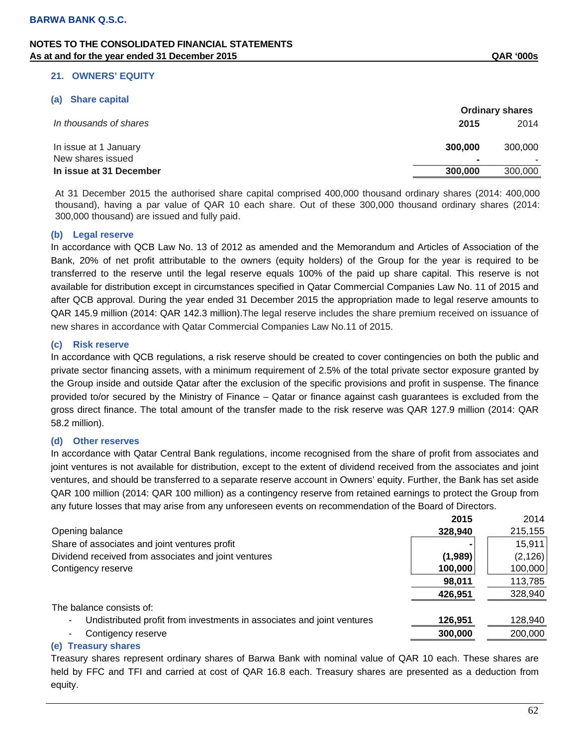#### **21. OWNERS' EQUITY**

#### **(a) Share capital**

|                                            |              | <b>Ordinary shares</b> |
|--------------------------------------------|--------------|------------------------|
| In thousands of shares                     | 2015         | 2014                   |
| In issue at 1 January<br>New shares issued | 300,000<br>- | 300,000                |
| In issue at 31 December                    | 300,000      | 300,000                |

At 31 December 2015 the authorised share capital comprised 400,000 thousand ordinary shares (2014: 400,000 thousand), having a par value of QAR 10 each share. Out of these 300,000 thousand ordinary shares (2014: 300,000 thousand) are issued and fully paid.

#### **(b) Legal reserve**

In accordance with QCB Law No. 13 of 2012 as amended and the Memorandum and Articles of Association of the Bank, 20% of net profit attributable to the owners (equity holders) of the Group for the year is required to be transferred to the reserve until the legal reserve equals 100% of the paid up share capital. This reserve is not available for distribution except in circumstances specified in Qatar Commercial Companies Law No. 11 of 2015 and after QCB approval. During the year ended 31 December 2015 the appropriation made to legal reserve amounts to QAR 145.9 million (2014: QAR 142.3 million).The legal reserve includes the share premium received on issuance of new shares in accordance with Qatar Commercial Companies Law No.11 of 2015.

#### **(c) Risk reserve**

In accordance with QCB regulations, a risk reserve should be created to cover contingencies on both the public and private sector financing assets, with a minimum requirement of 2.5% of the total private sector exposure granted by the Group inside and outside Qatar after the exclusion of the specific provisions and profit in suspense. The finance provided to/or secured by the Ministry of Finance – Qatar or finance against cash guarantees is excluded from the gross direct finance. The total amount of the transfer made to the risk reserve was QAR 127.9 million (2014: QAR 58.2 million).

#### **(d) Other reserves**

In accordance with Qatar Central Bank regulations, income recognised from the share of profit from associates and joint ventures is not available for distribution, except to the extent of dividend received from the associates and joint ventures, and should be transferred to a separate reserve account in Owners' equity. Further, the Bank has set aside QAR 100 million (2014: QAR 100 million) as a contingency reserve from retained earnings to protect the Group from any future losses that may arise from any unforeseen events on recommendation of the Board of Directors.

|                                                                        | 2015    | 2014     |
|------------------------------------------------------------------------|---------|----------|
| Opening balance                                                        | 328,940 | 215,155  |
| Share of associates and joint ventures profit                          |         | 15,911   |
| Dividend received from associates and joint ventures                   | (1,989) | (2, 126) |
| Contigency reserve                                                     | 100,000 | 100,000  |
|                                                                        | 98,011  | 113,785  |
|                                                                        | 426,951 | 328,940  |
| The balance consists of:                                               |         |          |
| Undistributed profit from investments in associates and joint ventures | 126,951 | 128,940  |
| Contigency reserve                                                     | 300,000 | 200,000  |
|                                                                        |         |          |

#### **(e) Treasury shares**

Treasury shares represent ordinary shares of Barwa Bank with nominal value of QAR 10 each. These shares are held by FFC and TFI and carried at cost of QAR 16.8 each. Treasury shares are presented as a deduction from equity.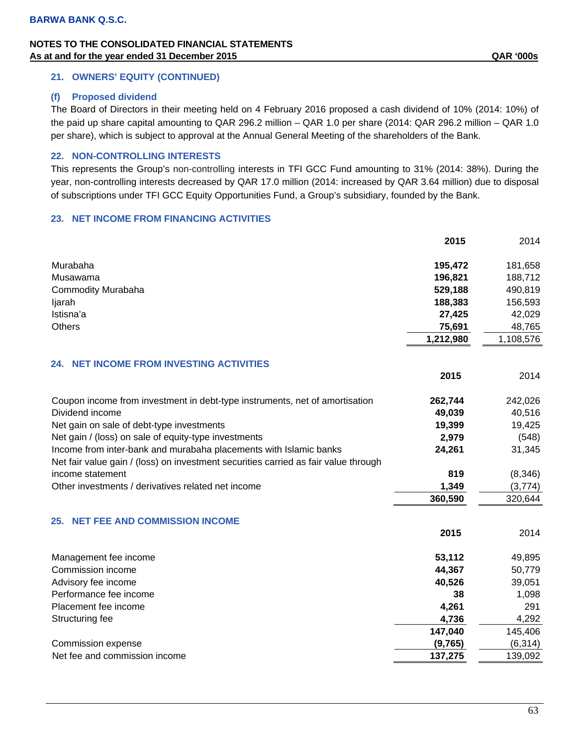## **21. OWNERS' EQUITY (CONTINUED)**

#### **(f) Proposed dividend**

The Board of Directors in their meeting held on 4 February 2016 proposed a cash dividend of 10% (2014: 10%) of the paid up share capital amounting to QAR 296.2 million – QAR 1.0 per share (2014: QAR 296.2 million – QAR 1.0 per share), which is subject to approval at the Annual General Meeting of the shareholders of the Bank.

## **22. NON-CONTROLLING INTERESTS**

This represents the Group's non-controlling interests in TFI GCC Fund amounting to 31% (2014: 38%). During the year, non-controlling interests decreased by QAR 17.0 million (2014: increased by QAR 3.64 million) due to disposal of subscriptions under TFI GCC Equity Opportunities Fund, a Group's subsidiary, founded by the Bank.

#### **23. NET INCOME FROM FINANCING ACTIVITIES**

|                                                                                     | 2015      | 2014      |
|-------------------------------------------------------------------------------------|-----------|-----------|
| Murabaha                                                                            | 195,472   | 181,658   |
| Musawama                                                                            | 196,821   | 188,712   |
| <b>Commodity Murabaha</b>                                                           | 529,188   | 490,819   |
| ljarah                                                                              | 188,383   | 156,593   |
| Istisna'a                                                                           | 27,425    | 42,029    |
| <b>Others</b>                                                                       | 75,691    | 48,765    |
|                                                                                     | 1,212,980 | 1,108,576 |
| <b>24. NET INCOME FROM INVESTING ACTIVITIES</b>                                     |           |           |
|                                                                                     | 2015      | 2014      |
| Coupon income from investment in debt-type instruments, net of amortisation         | 262,744   | 242,026   |
| Dividend income                                                                     | 49,039    | 40,516    |
| Net gain on sale of debt-type investments                                           | 19,399    | 19,425    |
| Net gain / (loss) on sale of equity-type investments                                | 2,979     | (548)     |
| Income from inter-bank and murabaha placements with Islamic banks                   | 24,261    | 31,345    |
| Net fair value gain / (loss) on investment securities carried as fair value through |           |           |
| income statement                                                                    | 819       | (8, 346)  |
| Other investments / derivatives related net income                                  | 1,349     | (3,774)   |
|                                                                                     | 360,590   | 320,644   |
| <b>NET FEE AND COMMISSION INCOME</b><br>25.                                         |           |           |
|                                                                                     | 2015      | 2014      |
| Management fee income                                                               | 53,112    | 49,895    |
| Commission income                                                                   | 44,367    | 50,779    |
| Advisory fee income                                                                 | 40,526    | 39,051    |
| Performance fee income                                                              | 38        | 1,098     |
| Placement fee income                                                                | 4,261     | 291       |
| Structuring fee                                                                     | 4,736     | 4,292     |
|                                                                                     | 147,040   | 145,406   |
| Commission expense                                                                  | (9,765)   | (6, 314)  |
| Net fee and commission income                                                       | 137,275   | 139,092   |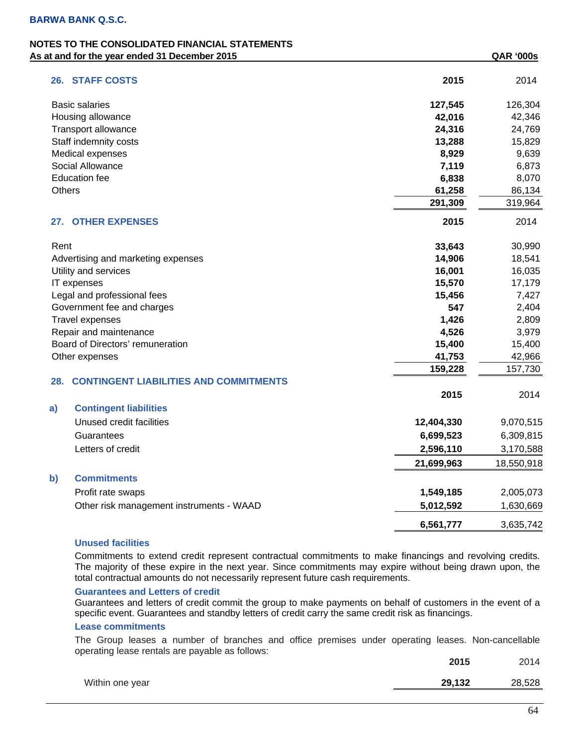| 26. STAFF COSTS                                      | 2015       | 2014       |
|------------------------------------------------------|------------|------------|
| <b>Basic salaries</b>                                | 127,545    | 126,304    |
| Housing allowance                                    | 42,016     | 42,346     |
| Transport allowance                                  | 24,316     | 24,769     |
| Staff indemnity costs                                | 13,288     | 15,829     |
| Medical expenses                                     | 8,929      | 9,639      |
| Social Allowance                                     | 7,119      | 6,873      |
| <b>Education fee</b>                                 | 6,838      | 8,070      |
| Others                                               | 61,258     | 86,134     |
|                                                      | 291,309    | 319,964    |
| <b>OTHER EXPENSES</b><br>27.                         | 2015       | 2014       |
| Rent                                                 | 33,643     | 30,990     |
| Advertising and marketing expenses                   | 14,906     | 18,541     |
| Utility and services                                 | 16,001     | 16,035     |
| IT expenses                                          | 15,570     | 17,179     |
| Legal and professional fees                          | 15,456     | 7,427      |
| Government fee and charges                           | 547        | 2,404      |
| Travel expenses                                      | 1,426      | 2,809      |
| Repair and maintenance                               | 4,526      | 3,979      |
| Board of Directors' remuneration                     | 15,400     | 15,400     |
| Other expenses                                       | 41,753     | 42,966     |
|                                                      | 159,228    | 157,730    |
| <b>CONTINGENT LIABILITIES AND COMMITMENTS</b><br>28. |            |            |
|                                                      | 2015       | 2014       |
| <b>Contingent liabilities</b><br>a)                  |            |            |
| Unused credit facilities                             | 12,404,330 | 9,070,515  |
| Guarantees                                           | 6,699,523  | 6,309,815  |
| Letters of credit                                    | 2,596,110  | 3,170,588  |
|                                                      | 21,699,963 | 18,550,918 |
| <b>Commitments</b>                                   |            |            |
| $\mathbf{b}$                                         |            |            |
| Profit rate swaps                                    | 1,549,185  | 2,005,073  |
| Other risk management instruments - WAAD             | 5,012,592  | 1,630,669  |
|                                                      | 6,561,777  | 3,635,742  |

#### **Unused facilities**

Commitments to extend credit represent contractual commitments to make financings and revolving credits. The majority of these expire in the next year. Since commitments may expire without being drawn upon, the total contractual amounts do not necessarily represent future cash requirements.

## **Guarantees and Letters of credit**

Guarantees and letters of credit commit the group to make payments on behalf of customers in the event of a specific event. Guarantees and standby letters of credit carry the same credit risk as financings.

#### **Lease commitments**

The Group leases a number of branches and office premises under operating leases. Non-cancellable operating lease rentals are payable as follows:

|                 | 2015   | 2014   |
|-----------------|--------|--------|
| Within one year | 29,132 | 28,528 |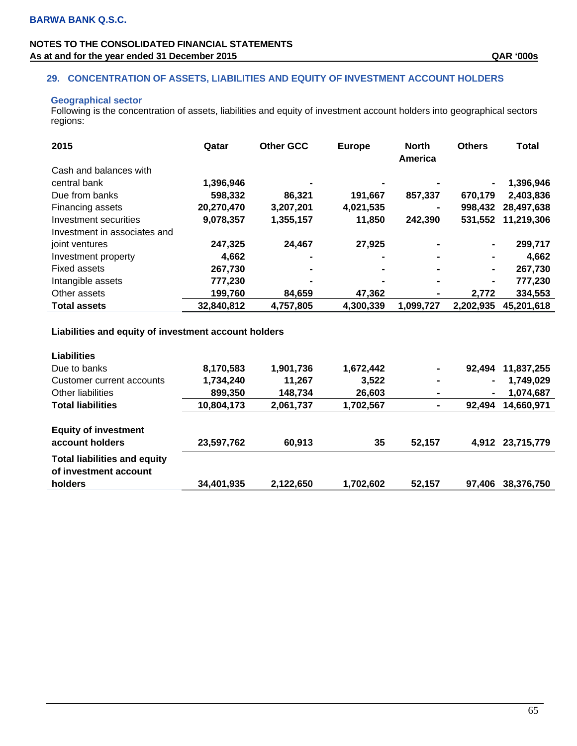## **29. CONCENTRATION OF ASSETS, LIABILITIES AND EQUITY OF INVESTMENT ACCOUNT HOLDERS**

## **Geographical sector**

Following is the concentration of assets, liabilities and equity of investment account holders into geographical sectors regions:

| 2015                         | Qatar      | <b>Other GCC</b> | <b>Europe</b> | <b>North</b><br>America | <b>Others</b> | Total      |
|------------------------------|------------|------------------|---------------|-------------------------|---------------|------------|
| Cash and balances with       |            |                  |               |                         |               |            |
| central bank                 | 1,396,946  |                  |               |                         |               | 1,396,946  |
| Due from banks               | 598,332    | 86,321           | 191,667       | 857,337                 | 670,179       | 2,403,836  |
| Financing assets             | 20,270,470 | 3,207,201        | 4,021,535     |                         | 998,432       | 28,497,638 |
| Investment securities        | 9,078,357  | 1,355,157        | 11,850        | 242,390                 | 531,552       | 11,219,306 |
| Investment in associates and |            |                  |               |                         |               |            |
| joint ventures               | 247,325    | 24,467           | 27,925        |                         | ٠             | 299,717    |
| Investment property          | 4.662      |                  |               |                         | ٠             | 4,662      |
| Fixed assets                 | 267,730    |                  |               |                         | ۰             | 267,730    |
| Intangible assets            | 777,230    |                  |               |                         | -             | 777,230    |
| Other assets                 | 199,760    | 84.659           | 47,362        |                         | 2.772         | 334,553    |
| <b>Total assets</b>          | 32,840,812 | 4,757,805        | 4,300,339     | 1,099,727               | 2,202,935     | 45,201,618 |

## **Liabilities and equity of investment account holders**

| <b>Liabilities</b>                                           |            |           |           |                |                |            |
|--------------------------------------------------------------|------------|-----------|-----------|----------------|----------------|------------|
| Due to banks                                                 | 8,170,583  | 1,901,736 | 1,672,442 | $\blacksquare$ | 92.494         | 11,837,255 |
| Customer current accounts                                    | 1,734,240  | 11,267    | 3,522     | $\blacksquare$ | ۰              | 1,749,029  |
| Other liabilities                                            | 899,350    | 148,734   | 26,603    | $\blacksquare$ | $\blacksquare$ | 1,074,687  |
| <b>Total liabilities</b>                                     | 10,804,173 | 2,061,737 | 1,702,567 | ٠              | 92.494         | 14,660,971 |
| <b>Equity of investment</b><br>account holders               | 23,597,762 | 60,913    | 35        | 52,157         | 4.912          | 23,715,779 |
| <b>Total liabilities and equity</b><br>of investment account |            |           |           |                |                |            |
| holders                                                      | 34,401,935 | 2,122,650 | 1,702,602 | 52,157         | 97,406         | 38,376,750 |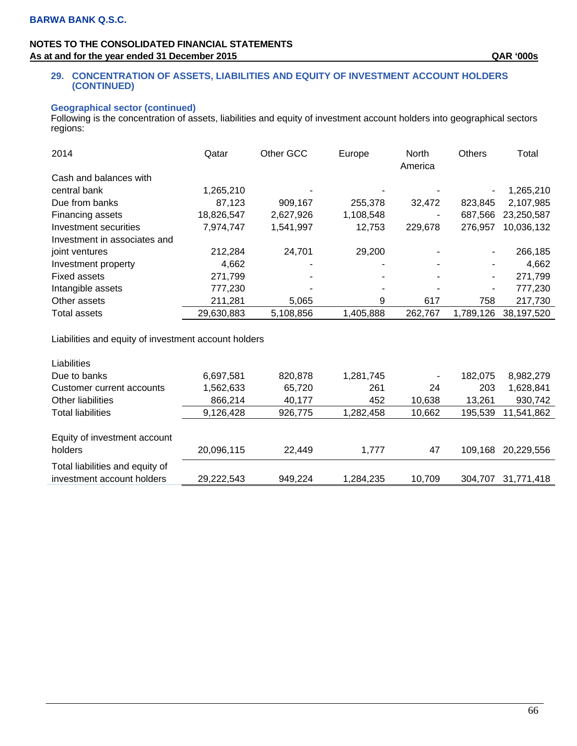#### **29. CONCENTRATION OF ASSETS, LIABILITIES AND EQUITY OF INVESTMENT ACCOUNT HOLDERS (CONTINUED)**

#### **Geographical sector (continued)**

Following is the concentration of assets, liabilities and equity of investment account holders into geographical sectors regions:

| 2014                         | Qatar      | Other GCC | Europe         | North<br>America | <b>Others</b> | Total      |
|------------------------------|------------|-----------|----------------|------------------|---------------|------------|
| Cash and balances with       |            |           |                |                  |               |            |
| central bank                 | 1,265,210  |           |                |                  |               | 1,265,210  |
| Due from banks               | 87,123     | 909,167   | 255,378        | 32.472           | 823.845       | 2,107,985  |
| Financing assets             | 18,826,547 | 2,627,926 | 1,108,548      |                  | 687,566       | 23,250,587 |
| Investment securities        | 7,974,747  | 1,541,997 | 12,753         | 229,678          | 276,957       | 10,036,132 |
| Investment in associates and |            |           |                |                  |               |            |
| joint ventures               | 212,284    | 24,701    | 29,200         |                  | ۰.            | 266,185    |
| Investment property          | 4,662      | -         | $\blacksquare$ |                  |               | 4,662      |
| <b>Fixed assets</b>          | 271,799    |           |                |                  | ۰.            | 271,799    |
| Intangible assets            | 777,230    |           |                |                  | ۰             | 777,230    |
| Other assets                 | 211,281    | 5,065     | 9              | 617              | 758           | 217,730    |
| Total assets                 | 29,630,883 | 5,108,856 | 1,405,888      | 262,767          | 1,789,126     | 38,197,520 |

Liabilities and equity of investment account holders

| <b>Liabilities</b>              |            |         |           |        |         |            |
|---------------------------------|------------|---------|-----------|--------|---------|------------|
| Due to banks                    | 6,697,581  | 820,878 | 1,281,745 | ۰      | 182.075 | 8,982,279  |
| Customer current accounts       | 1,562,633  | 65,720  | 261       | 24     | 203     | 1,628,841  |
| Other liabilities               | 866,214    | 40.177  | 452       | 10,638 | 13.261  | 930,742    |
| <b>Total liabilities</b>        | 9,126,428  | 926,775 | 1,282,458 | 10,662 | 195,539 | 11,541,862 |
|                                 |            |         |           |        |         |            |
| Equity of investment account    |            |         |           |        |         |            |
| holders                         | 20,096,115 | 22.449  | 1.777     | 47     | 109.168 | 20,229,556 |
| Total liabilities and equity of |            |         |           |        |         |            |
| investment account holders      | 29,222,543 | 949.224 | 1,284,235 | 10.709 | 304.707 | 31,771,418 |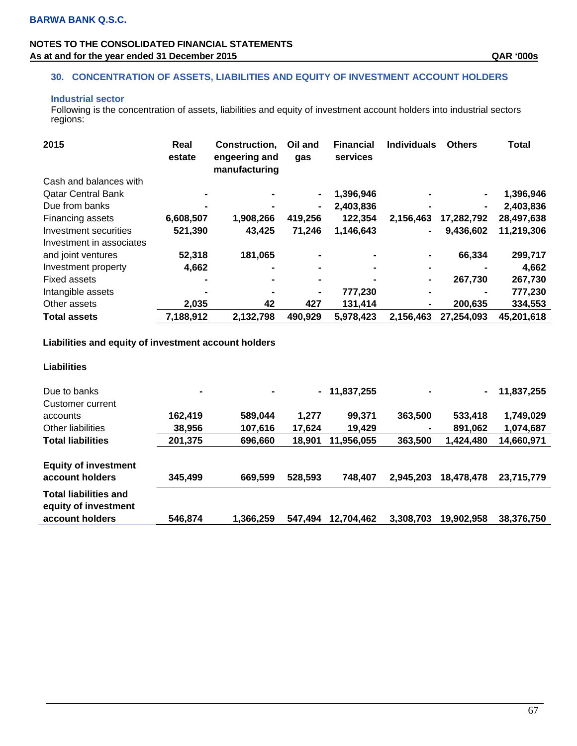## **30. CONCENTRATION OF ASSETS, LIABILITIES AND EQUITY OF INVESTMENT ACCOUNT HOLDERS**

## **Industrial sector**

Following is the concentration of assets, liabilities and equity of investment account holders into industrial sectors regions:

| 2015                      | Real<br>estate | Construction,<br>engeering and<br>manufacturing | Oil and<br>gas | <b>Financial</b><br>services | <b>Individuals</b> | <b>Others</b>  | <b>Total</b> |
|---------------------------|----------------|-------------------------------------------------|----------------|------------------------------|--------------------|----------------|--------------|
| Cash and balances with    |                |                                                 |                |                              |                    |                |              |
| <b>Qatar Central Bank</b> |                |                                                 |                | 1,396,946                    |                    | $\blacksquare$ | 1,396,946    |
| Due from banks            |                |                                                 | Ξ.             | 2,403,836                    |                    | $\blacksquare$ | 2,403,836    |
| Financing assets          | 6,608,507      | 1,908,266                                       | 419,256        | 122,354                      | 2,156,463          | 17,282,792     | 28,497,638   |
| Investment securities     | 521,390        | 43,425                                          | 71,246         | 1,146,643                    | $\blacksquare$     | 9,436,602      | 11,219,306   |
| Investment in associates  |                |                                                 |                |                              |                    |                |              |
| and joint ventures        | 52,318         | 181,065                                         |                |                              | ۰                  | 66,334         | 299,717      |
| Investment property       | 4,662          |                                                 |                |                              | $\blacksquare$     |                | 4,662        |
| Fixed assets              |                |                                                 |                |                              | $\blacksquare$     | 267.730        | 267,730      |
| Intangible assets         |                |                                                 |                | 777,230                      | $\blacksquare$     |                | 777,230      |
| Other assets              | 2.035          | 42                                              | 427            | 131,414                      | $\blacksquare$     | 200.635        | 334,553      |
| <b>Total assets</b>       | 7,188,912      | 2,132,798                                       | 490,929        | 5,978,423                    | 2,156,463          | 27,254,093     | 45,201,618   |

# **Liabilities and equity of investment account holders**

#### **Liabilities**

| Due to banks<br>Customer current                                        | $\blacksquare$ |           |         | $-11,837,255$ | -         |            | 11,837,255 |
|-------------------------------------------------------------------------|----------------|-----------|---------|---------------|-----------|------------|------------|
| accounts                                                                | 162.419        | 589,044   | 1.277   | 99,371        | 363,500   | 533,418    | 1,749,029  |
| Other liabilities                                                       | 38,956         | 107,616   | 17,624  | 19,429        | ۰         | 891,062    | 1,074,687  |
| <b>Total liabilities</b>                                                | 201,375        | 696,660   | 18,901  | 11,956,055    | 363,500   | 1,424,480  | 14,660,971 |
| <b>Equity of investment</b><br>account holders                          | 345,499        | 669,599   | 528,593 | 748.407       | 2.945.203 | 18,478,478 | 23,715,779 |
| <b>Total liabilities and</b><br>equity of investment<br>account holders | 546.874        | 1.366.259 | 547.494 | 12.704.462    | 3.308.703 | 19.902.958 | 38.376.750 |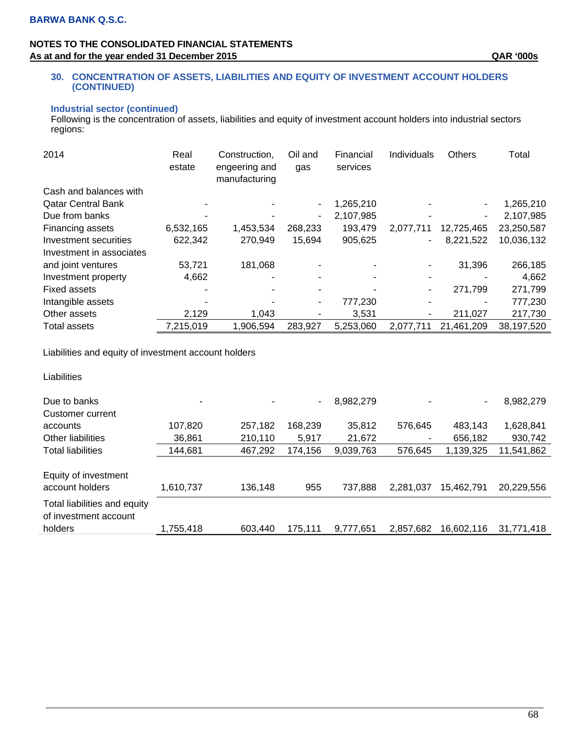#### **30. CONCENTRATION OF ASSETS, LIABILITIES AND EQUITY OF INVESTMENT ACCOUNT HOLDERS (CONTINUED)**

#### **Industrial sector (continued)**

Following is the concentration of assets, liabilities and equity of investment account holders into industrial sectors regions:

| 2014                      | Real<br>estate | Construction.<br>engeering and<br>manufacturing | Oil and<br>gas | Financial<br>services | Individuals              | <b>Others</b> | Total      |
|---------------------------|----------------|-------------------------------------------------|----------------|-----------------------|--------------------------|---------------|------------|
| Cash and balances with    |                |                                                 |                |                       |                          |               |            |
| <b>Qatar Central Bank</b> |                |                                                 |                | 1,265,210             |                          | $\sim$        | 1,265,210  |
| Due from banks            |                |                                                 | ۰              | 2,107,985             |                          | ٠.            | 2,107,985  |
| Financing assets          | 6,532,165      | 1,453,534                                       | 268,233        | 193,479               | 2,077,711                | 12,725,465    | 23,250,587 |
| Investment securities     | 622,342        | 270,949                                         | 15,694         | 905,625               | ۰                        | 8,221,522     | 10,036,132 |
| Investment in associates  |                |                                                 |                |                       |                          |               |            |
| and joint ventures        | 53,721         | 181,068                                         |                |                       |                          | 31,396        | 266,185    |
| Investment property       | 4,662          |                                                 |                |                       | $\overline{\phantom{0}}$ |               | 4,662      |
| <b>Fixed assets</b>       |                |                                                 |                |                       | ۰                        | 271,799       | 271,799    |
| Intangible assets         |                |                                                 |                | 777,230               | ۰                        | ۰             | 777,230    |
| Other assets              | 2,129          | 1,043                                           |                | 3,531                 | ۰                        | 211,027       | 217,730    |
| <b>Total assets</b>       | 7,215,019      | 1,906,594                                       | 283,927        | 5,253,060             | 2.077.711                | 21,461,209    | 38,197,520 |

Liabilities and equity of investment account holders

Liabilities

| Due to banks<br>Customer current                                 | ۰         |         | ۰.      | 8,982,279 |           | ۰          | 8,982,279  |
|------------------------------------------------------------------|-----------|---------|---------|-----------|-----------|------------|------------|
| accounts                                                         | 107,820   | 257,182 | 168,239 | 35,812    | 576,645   | 483,143    | 1,628,841  |
| Other liabilities                                                | 36,861    | 210,110 | 5,917   | 21,672    |           | 656,182    | 930,742    |
| <b>Total liabilities</b>                                         | 144,681   | 467,292 | 174,156 | 9,039,763 | 576,645   | 1,139,325  | 11,541,862 |
| Equity of investment<br>account holders                          | 1,610,737 | 136,148 | 955     | 737,888   | 2,281,037 | 15,462,791 | 20,229,556 |
| Total liabilities and equity<br>of investment account<br>holders | 1,755,418 | 603.440 | 175.111 | 9.777.651 | 2.857.682 | 16.602.116 | 31.771.418 |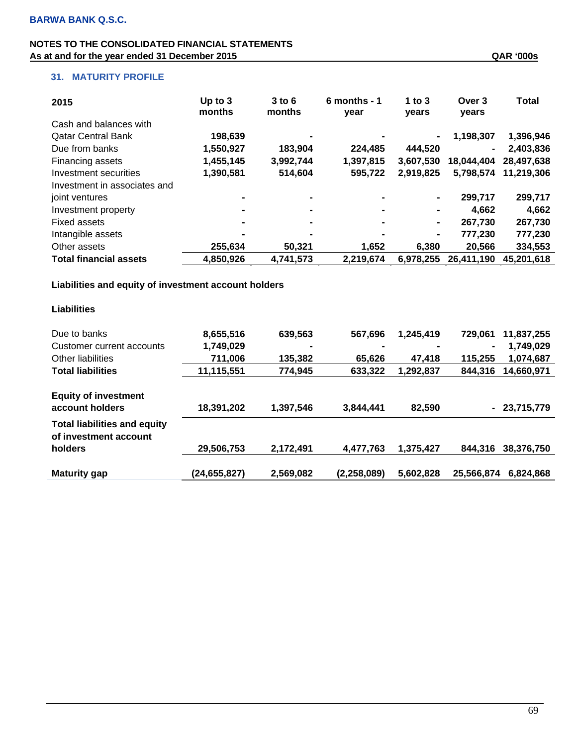| 2015                          | Up to $3$<br>months | $3$ to $6$<br>months | $6$ months - 1<br>year | 1 to $3$<br>years | Over 3<br>years | Total      |
|-------------------------------|---------------------|----------------------|------------------------|-------------------|-----------------|------------|
| Cash and balances with        |                     |                      |                        |                   |                 |            |
| <b>Qatar Central Bank</b>     | 198,639             |                      |                        | ۰                 | 1,198,307       | 1,396,946  |
| Due from banks                | 1,550,927           | 183,904              | 224,485                | 444,520           | $\blacksquare$  | 2,403,836  |
| Financing assets              | 1,455,145           | 3,992,744            | 1,397,815              | 3,607,530         | 18,044,404      | 28,497,638 |
| Investment securities         | 1,390,581           | 514,604              | 595,722                | 2,919,825         | 5,798,574       | 11.219.306 |
| Investment in associates and  |                     |                      |                        |                   |                 |            |
| joint ventures                |                     |                      | $\blacksquare$         | $\blacksquare$    | 299,717         | 299,717    |
| Investment property           | $\blacksquare$      | $\blacksquare$       | $\blacksquare$         | $\blacksquare$    | 4.662           | 4,662      |
| <b>Fixed assets</b>           |                     |                      | $\blacksquare$         | $\blacksquare$    | 267.730         | 267,730    |
| Intangible assets             |                     |                      |                        | $\blacksquare$    | 777.230         | 777,230    |
| Other assets                  | 255.634             | 50,321               | 1,652                  | 6.380             | 20,566          | 334,553    |
| <b>Total financial assets</b> | 4,850,926           | 4,741,573            | 2,219,674              | 6,978,255         | 26,411,190      | 45,201,618 |

 **Liabilities and equity of investment account holders** 

| Liabilities                                                  |              |                |                |                |                             |
|--------------------------------------------------------------|--------------|----------------|----------------|----------------|-----------------------------|
| Due to banks                                                 | 8,655,516    | 639,563        | 567,696        | 1,245,419      | 729,061<br>11,837,255       |
| Customer current accounts                                    | 1,749,029    | $\blacksquare$ | $\blacksquare$ | $\blacksquare$ | 1,749,029<br>$\blacksquare$ |
| Other liabilities                                            | 711,006      | 135,382        | 65,626         | 47.418         | 115.255<br>1,074,687        |
| <b>Total liabilities</b>                                     | 11,115,551   | 774,945        | 633,322        | 1.292.837      | 844,316<br>14,660,971       |
| <b>Equity of investment</b><br>account holders               | 18,391,202   | 1,397,546      | 3,844,441      | 82,590         | $-23,715,779$               |
| <b>Total liabilities and equity</b><br>of investment account |              |                |                |                |                             |
| holders                                                      | 29,506,753   | 2,172,491      | 4,477,763      | 1,375,427      | 844.316<br>38,376,750       |
| <b>Maturity gap</b>                                          | (24,655,827) | 2,569,082      | (2, 258, 089)  | 5,602,828      | 25,566,874<br>6.824.868     |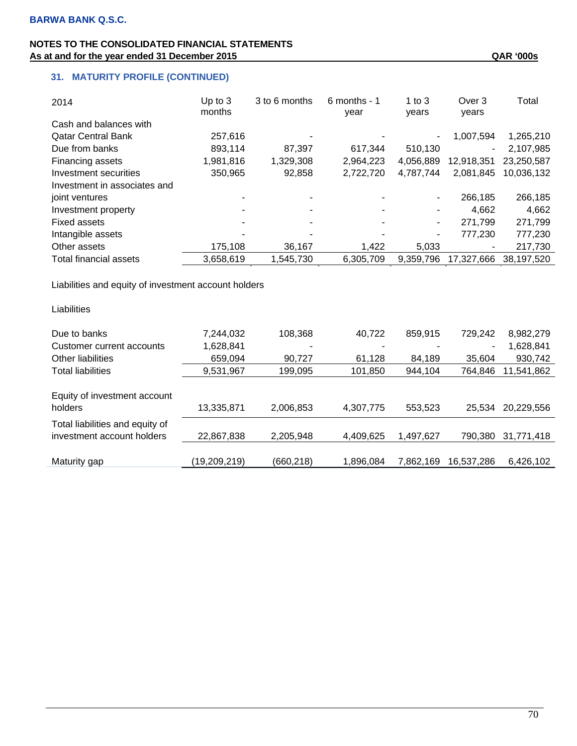| 2014                         | Up to $3$ | 3 to 6 months | 6 months - 1 | 1 to $3$  | Over 3     | Total      |
|------------------------------|-----------|---------------|--------------|-----------|------------|------------|
|                              | months    |               | year         | years     | years      |            |
| Cash and balances with       |           |               |              |           |            |            |
| <b>Qatar Central Bank</b>    | 257,616   |               |              | ٠         | 1,007,594  | 1,265,210  |
| Due from banks               | 893,114   | 87,397        | 617,344      | 510,130   | ۰.         | 2,107,985  |
| Financing assets             | 1,981,816 | 1,329,308     | 2,964,223    | 4.056.889 | 12,918,351 | 23.250.587 |
| Investment securities        | 350,965   | 92,858        | 2,722,720    | 4,787,744 | 2,081,845  | 10,036,132 |
| Investment in associates and |           |               |              |           |            |            |
| joint ventures               |           |               |              | ٠         | 266,185    | 266,185    |
| Investment property          |           |               |              | ٠         | 4.662      | 4,662      |
| Fixed assets                 | ٠         |               |              | -         | 271,799    | 271,799    |
| Intangible assets            |           |               |              | ۰         | 777,230    | 777,230    |
| Other assets                 | 175,108   | 36,167        | 1,422        | 5,033     |            | 217,730    |
| Total financial assets       | 3,658,619 | 1,545,730     | 6,305,709    | 9,359,796 | 17,327,666 | 38,197,520 |

Liabilities and equity of investment account holders

| Liabilities                                                   |              |            |           |           |            |            |
|---------------------------------------------------------------|--------------|------------|-----------|-----------|------------|------------|
| Due to banks                                                  | 7,244,032    | 108,368    | 40.722    | 859,915   | 729,242    | 8,982,279  |
| Customer current accounts                                     | 1,628,841    | ۰          |           |           |            | 1,628,841  |
| Other liabilities                                             | 659,094      | 90.727     | 61,128    | 84,189    | 35.604     | 930,742    |
| <b>Total liabilities</b>                                      | 9,531,967    | 199,095    | 101,850   | 944,104   | 764.846    | 11,541,862 |
| Equity of investment account<br>holders                       | 13,335,871   | 2,006,853  | 4,307,775 | 553,523   | 25.534     | 20,229,556 |
| Total liabilities and equity of<br>investment account holders | 22,867,838   | 2,205,948  | 4.409.625 | 1,497,627 | 790.380    | 31,771,418 |
| Maturity gap                                                  | (19,209,219) | (660, 218) | 1.896.084 | 7.862.169 | 16.537.286 | 6.426.102  |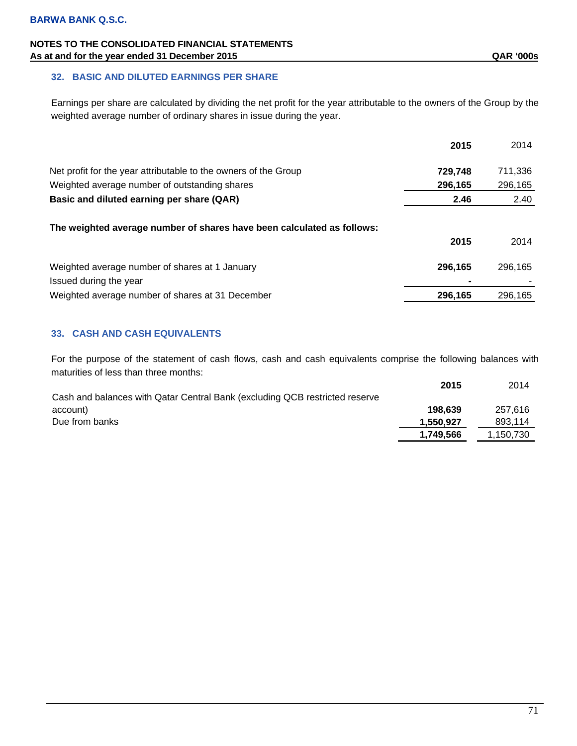### **32. BASIC AND DILUTED EARNINGS PER SHARE**

Earnings per share are calculated by dividing the net profit for the year attributable to the owners of the Group by the weighted average number of ordinary shares in issue during the year.

|                                                                          | 2015    | 2014    |
|--------------------------------------------------------------------------|---------|---------|
| Net profit for the year attributable to the owners of the Group          | 729,748 | 711,336 |
| Weighted average number of outstanding shares                            | 296,165 | 296,165 |
| Basic and diluted earning per share (QAR)                                | 2.46    | 2.40    |
| The weighted average number of shares have been calculated as follows:   | 2015    | 2014    |
| Weighted average number of shares at 1 January<br>Issued during the year | 296,165 | 296,165 |
| Weighted average number of shares at 31 December                         | 296,165 | 296,165 |

### **33. CASH AND CASH EQUIVALENTS**

For the purpose of the statement of cash flows, cash and cash equivalents comprise the following balances with maturities of less than three months:

|                                                                             | 2015      | 2014      |
|-----------------------------------------------------------------------------|-----------|-----------|
| Cash and balances with Qatar Central Bank (excluding QCB restricted reserve |           |           |
| account)                                                                    | 198.639   | 257.616   |
| Due from banks                                                              | 1,550,927 | 893.114   |
|                                                                             | 1.749.566 | 1.150.730 |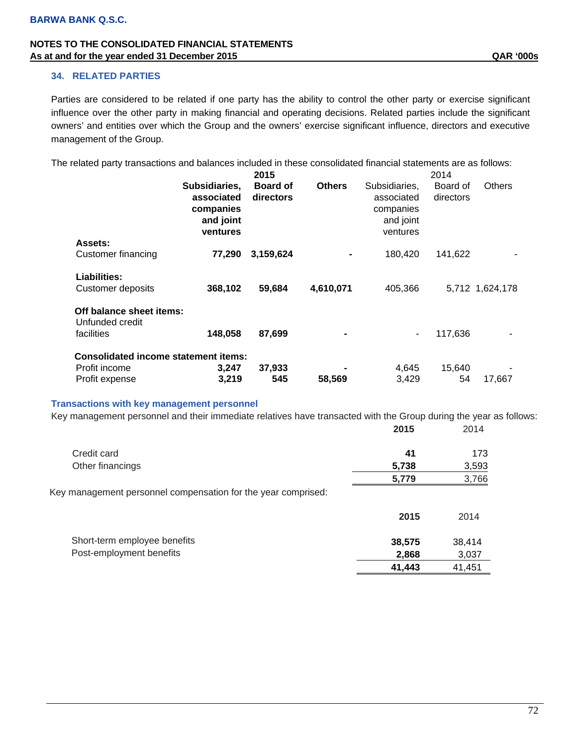#### **34. RELATED PARTIES**

Parties are considered to be related if one party has the ability to control the other party or exercise significant influence over the other party in making financial and operating decisions. Related parties include the significant owners' and entities over which the Group and the owners' exercise significant influence, directors and executive management of the Group.

The related party transactions and balances included in these consolidated financial statements are as follows:

|                                             |                                                                   | 2015                         |               |                                                                   | 2014                  |                 |
|---------------------------------------------|-------------------------------------------------------------------|------------------------------|---------------|-------------------------------------------------------------------|-----------------------|-----------------|
|                                             | Subsidiaries,<br>associated<br>companies<br>and joint<br>ventures | <b>Board of</b><br>directors | <b>Others</b> | Subsidiaries,<br>associated<br>companies<br>and joint<br>ventures | Board of<br>directors | <b>Others</b>   |
| Assets:                                     |                                                                   |                              |               |                                                                   |                       |                 |
| Customer financing                          | 77,290                                                            | 3,159,624                    |               | 180.420                                                           | 141,622               |                 |
| <b>Liabilities:</b>                         |                                                                   |                              |               |                                                                   |                       |                 |
| Customer deposits                           | 368,102                                                           | 59,684                       | 4,610,071     | 405,366                                                           |                       | 5,712 1,624,178 |
| Off balance sheet items:<br>Unfunded credit |                                                                   |                              |               |                                                                   |                       |                 |
| facilities                                  | 148,058                                                           | 87,699                       |               | ۰                                                                 | 117,636               |                 |
| <b>Consolidated income statement items:</b> |                                                                   |                              |               |                                                                   |                       |                 |
| Profit income                               | 3,247                                                             | 37,933                       |               | 4,645                                                             | 15,640                |                 |
| Profit expense                              | 3,219                                                             | 545                          | 58,569        | 3,429                                                             | 54                    | 17,667          |

### **Transactions with key management personnel**

Key management personnel and their immediate relatives have transacted with the Group during the year as follows:

|                                                               | 2015   | 2014   |
|---------------------------------------------------------------|--------|--------|
| Credit card                                                   | 41     | 173    |
| Other financings                                              | 5,738  | 3,593  |
|                                                               | 5,779  | 3,766  |
| Key management personnel compensation for the year comprised: |        |        |
|                                                               | 2015   | 2014   |
| Short-term employee benefits                                  | 38,575 | 38,414 |
| Post-employment benefits                                      | 2,868  | 3,037  |
|                                                               | 41,443 | 41,451 |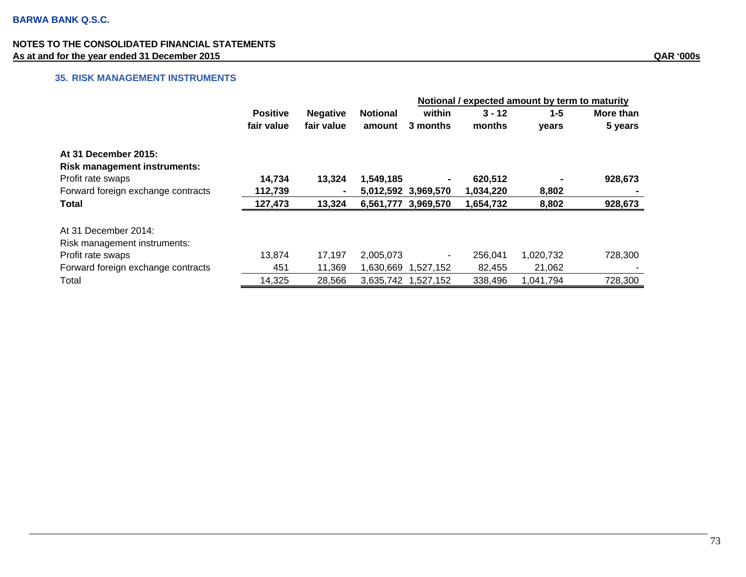# **35. RISK MANAGEMENT INSTRUMENTS**

|                                     |                 |                 |                 | Notional / expected amount by term to maturity |           |           |           |
|-------------------------------------|-----------------|-----------------|-----------------|------------------------------------------------|-----------|-----------|-----------|
|                                     | <b>Positive</b> | <b>Negative</b> | <b>Notional</b> | within                                         | $3 - 12$  | $1 - 5$   | More than |
|                                     | fair value      | fair value      | amount          | 3 months                                       | months    | years     | 5 years   |
| At 31 December 2015:                |                 |                 |                 |                                                |           |           |           |
| <b>Risk management instruments:</b> |                 |                 |                 |                                                |           |           |           |
| Profit rate swaps                   | 14,734          | 13,324          | 1,549,185       |                                                | 620,512   |           | 928,673   |
| Forward foreign exchange contracts  | 112,739         | $\blacksquare$  |                 | 5,012,592 3,969,570                            | 1,034,220 | 8,802     |           |
| <b>Total</b>                        | 127,473         | 13,324          |                 | 6,561,777 3,969,570                            | 1,654,732 | 8,802     | 928,673   |
| At 31 December 2014:                |                 |                 |                 |                                                |           |           |           |
| Risk management instruments:        |                 |                 |                 |                                                |           |           |           |
| Profit rate swaps                   | 13,874          | 17,197          | 2,005,073       |                                                | 256,041   | 1,020,732 | 728,300   |
| Forward foreign exchange contracts  | 451             | 11,369          | 1,630,669       | 1,527,152                                      | 82,455    | 21,062    |           |
| Total                               | 14,325          | 28,566          |                 | 3,635,742 1,527,152                            | 338,496   | 1,041,794 | 728,300   |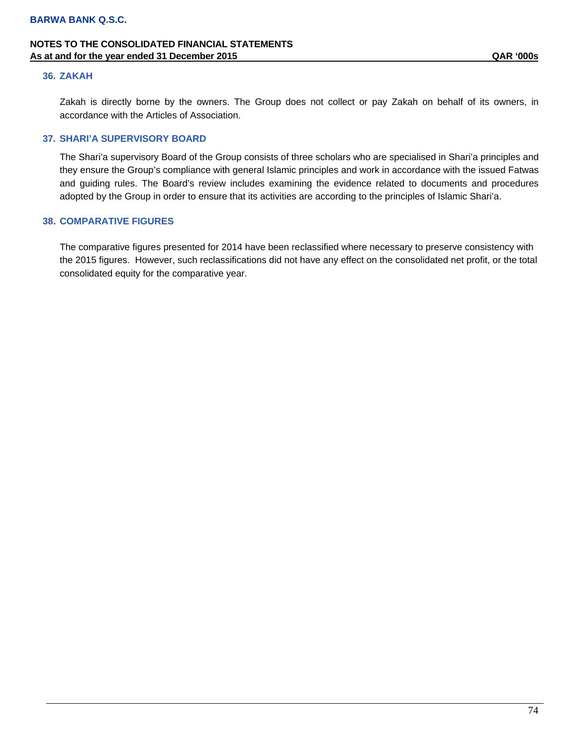#### **36. ZAKAH**

Zakah is directly borne by the owners. The Group does not collect or pay Zakah on behalf of its owners, in accordance with the Articles of Association.

#### **37. SHARI'A SUPERVISORY BOARD**

The Shari'a supervisory Board of the Group consists of three scholars who are specialised in Shari'a principles and they ensure the Group's compliance with general Islamic principles and work in accordance with the issued Fatwas and guiding rules. The Board's review includes examining the evidence related to documents and procedures adopted by the Group in order to ensure that its activities are according to the principles of Islamic Shari'a.

#### **38. COMPARATIVE FIGURES**

The comparative figures presented for 2014 have been reclassified where necessary to preserve consistency with the 2015 figures. However, such reclassifications did not have any effect on the consolidated net profit, or the total consolidated equity for the comparative year.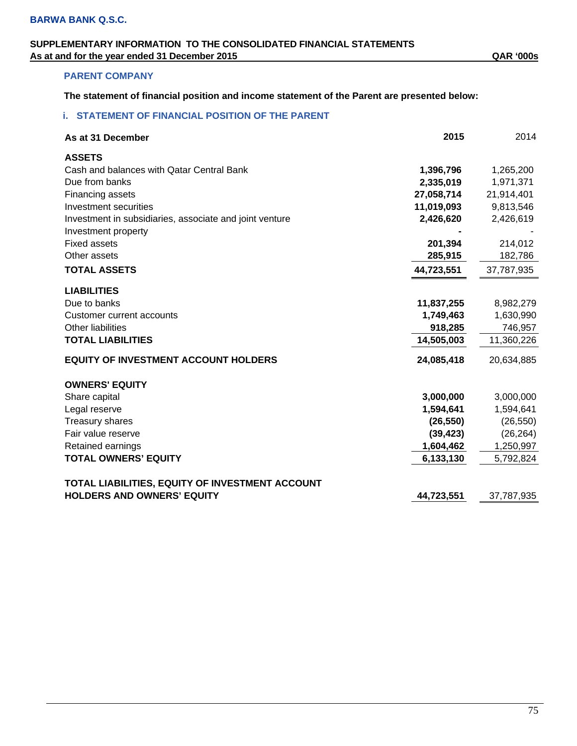# **SUPPLEMENTARY INFORMATION TO THE CONSOLIDATED FINANCIAL STATEMENTS As at and for the year ended 31 December 2015 QAR '000s**

## **PARENT COMPANY**

**The statement of financial position and income statement of the Parent are presented below:** 

### **i. STATEMENT OF FINANCIAL POSITION OF THE PARENT**

| As at 31 December                                       | 2015       | 2014       |
|---------------------------------------------------------|------------|------------|
| <b>ASSETS</b>                                           |            |            |
| Cash and balances with Qatar Central Bank               | 1,396,796  | 1,265,200  |
| Due from banks                                          | 2,335,019  | 1,971,371  |
| Financing assets                                        | 27,058,714 | 21,914,401 |
| Investment securities                                   | 11,019,093 | 9,813,546  |
| Investment in subsidiaries, associate and joint venture | 2,426,620  | 2,426,619  |
| Investment property                                     |            |            |
| <b>Fixed assets</b>                                     | 201,394    | 214,012    |
| Other assets                                            | 285,915    | 182,786    |
| <b>TOTAL ASSETS</b>                                     | 44,723,551 | 37,787,935 |
| <b>LIABILITIES</b>                                      |            |            |
| Due to banks                                            | 11,837,255 | 8,982,279  |
| Customer current accounts                               | 1,749,463  | 1,630,990  |
| Other liabilities                                       | 918,285    | 746,957    |
| <b>TOTAL LIABILITIES</b>                                | 14,505,003 | 11,360,226 |
| <b>EQUITY OF INVESTMENT ACCOUNT HOLDERS</b>             | 24,085,418 | 20,634,885 |
| <b>OWNERS' EQUITY</b>                                   |            |            |
| Share capital                                           | 3,000,000  | 3,000,000  |
| Legal reserve                                           | 1,594,641  | 1,594,641  |
| <b>Treasury shares</b>                                  | (26, 550)  | (26, 550)  |
| Fair value reserve                                      | (39, 423)  | (26, 264)  |
| Retained earnings                                       | 1,604,462  | 1,250,997  |
| <b>TOTAL OWNERS' EQUITY</b>                             | 6,133,130  | 5,792,824  |
| TOTAL LIABILITIES, EQUITY OF INVESTMENT ACCOUNT         |            |            |
| <b>HOLDERS AND OWNERS' EQUITY</b>                       | 44,723,551 | 37,787,935 |